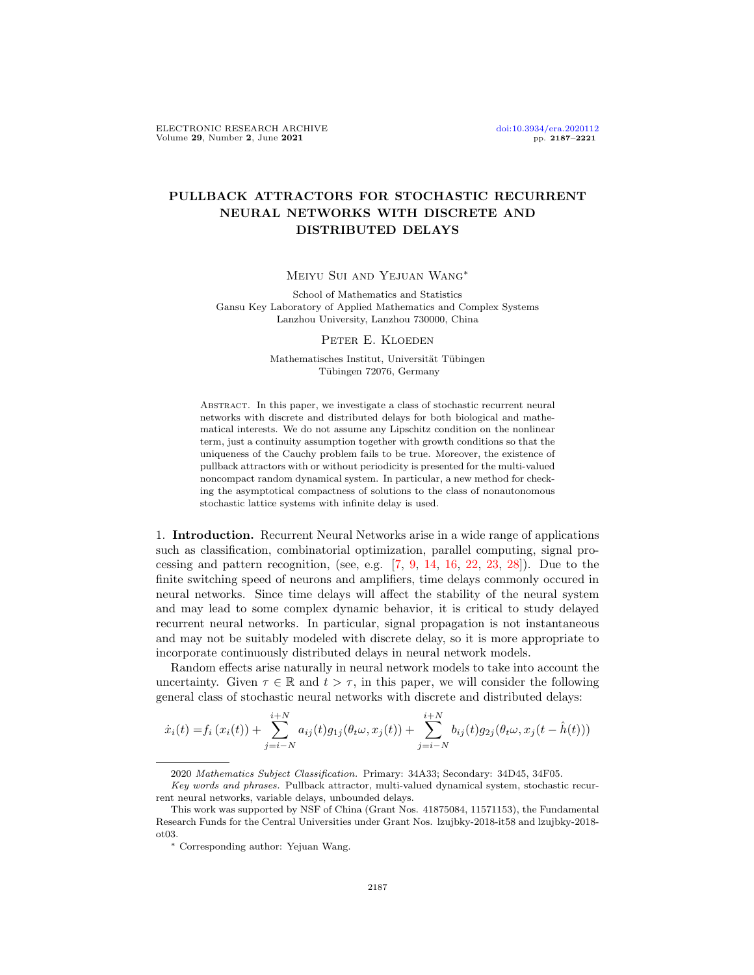## PULLBACK ATTRACTORS FOR STOCHASTIC RECURRENT NEURAL NETWORKS WITH DISCRETE AND DISTRIBUTED DELAYS

Meiyu Sui and Yejuan Wang∗

School of Mathematics and Statistics Gansu Key Laboratory of Applied Mathematics and Complex Systems Lanzhou University, Lanzhou 730000, China

## PETER E. KLOEDEN

Mathematisches Institut, Universität Tübingen Tübingen 72076, Germany

Abstract. In this paper, we investigate a class of stochastic recurrent neural networks with discrete and distributed delays for both biological and mathematical interests. We do not assume any Lipschitz condition on the nonlinear term, just a continuity assumption together with growth conditions so that the uniqueness of the Cauchy problem fails to be true. Moreover, the existence of pullback attractors with or without periodicity is presented for the multi-valued noncompact random dynamical system. In particular, a new method for checking the asymptotical compactness of solutions to the class of nonautonomous stochastic lattice systems with infinite delay is used.

1. Introduction. Recurrent Neural Networks arise in a wide range of applications such as classification, combinatorial optimization, parallel computing, signal processing and pattern recognition, (see, e.g.  $[7, 9, 14, 16, 22, 23, 28]$  $[7, 9, 14, 16, 22, 23, 28]$  $[7, 9, 14, 16, 22, 23, 28]$  $[7, 9, 14, 16, 22, 23, 28]$  $[7, 9, 14, 16, 22, 23, 28]$  $[7, 9, 14, 16, 22, 23, 28]$  $[7, 9, 14, 16, 22, 23, 28]$  $[7, 9, 14, 16, 22, 23, 28]$  $[7, 9, 14, 16, 22, 23, 28]$  $[7, 9, 14, 16, 22, 23, 28]$  $[7, 9, 14, 16, 22, 23, 28]$  $[7, 9, 14, 16, 22, 23, 28]$  $[7, 9, 14, 16, 22, 23, 28]$ ). Due to the finite switching speed of neurons and amplifiers, time delays commonly occured in neural networks. Since time delays will affect the stability of the neural system and may lead to some complex dynamic behavior, it is critical to study delayed recurrent neural networks. In particular, signal propagation is not instantaneous and may not be suitably modeled with discrete delay, so it is more appropriate to incorporate continuously distributed delays in neural network models.

Random effects arise naturally in neural network models to take into account the uncertainty. Given  $\tau \in \mathbb{R}$  and  $t > \tau$ , in this paper, we will consider the following general class of stochastic neural networks with discrete and distributed delays:

$$
\dot{x}_i(t) = f_i(x_i(t)) + \sum_{j=i-N}^{i+N} a_{ij}(t)g_{1j}(\theta_t \omega, x_j(t)) + \sum_{j=i-N}^{i+N} b_{ij}(t)g_{2j}(\theta_t \omega, x_j(t - \hat{h}(t)))
$$

<sup>2020</sup> Mathematics Subject Classification. Primary: 34A33; Secondary: 34D45, 34F05.

Key words and phrases. Pullback attractor, multi-valued dynamical system, stochastic recurrent neural networks, variable delays, unbounded delays.

This work was supported by NSF of China (Grant Nos. 41875084, 11571153), the Fundamental Research Funds for the Central Universities under Grant Nos. lzujbky-2018-it58 and lzujbky-2018 ot03.

<sup>∗</sup> Corresponding author: Yejuan Wang.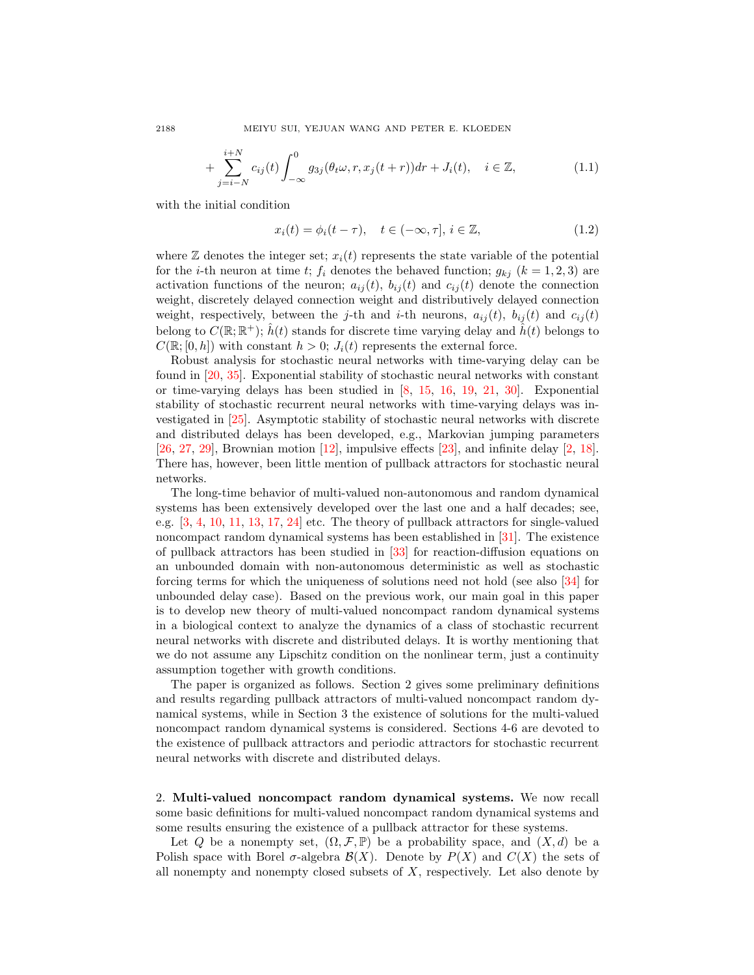+ 
$$
\sum_{j=i-N}^{i+N} c_{ij}(t) \int_{-\infty}^{0} g_{3j}(\theta_t \omega, r, x_j(t+r)) dr + J_i(t), \quad i \in \mathbb{Z},
$$
 (1.1)

with the initial condition

<span id="page-1-1"></span><span id="page-1-0"></span>
$$
x_i(t) = \phi_i(t - \tau), \quad t \in (-\infty, \tau], \, i \in \mathbb{Z}, \tag{1.2}
$$

where  $\mathbb Z$  denotes the integer set;  $x_i(t)$  represents the state variable of the potential for the *i*-th neuron at time t;  $f_i$  denotes the behaved function;  $g_{kj}$  ( $k = 1, 2, 3$ ) are activation functions of the neuron;  $a_{ij}(t)$ ,  $b_{ij}(t)$  and  $c_{ij}(t)$  denote the connection weight, discretely delayed connection weight and distributively delayed connection weight, respectively, between the j-th and i-th neurons,  $a_{ij}(t)$ ,  $b_{ij}(t)$  and  $c_{ij}(t)$ belong to  $C(\mathbb{R}; \mathbb{R}^+)$ ;  $\hat{h}(t)$  stands for discrete time varying delay and  $\hat{h}(t)$  belongs to  $C(\mathbb{R};[0,h])$  with constant  $h>0; J_i(t)$  represents the external force.

Robust analysis for stochastic neural networks with time-varying delay can be found in [\[20,](#page-33-6) [35\]](#page-34-1). Exponential stability of stochastic neural networks with constant or time-varying delays has been studied in [\[8,](#page-33-7) [15,](#page-33-8) [16,](#page-33-3) [19,](#page-33-9) [21,](#page-33-10) [30\]](#page-34-2). Exponential stability of stochastic recurrent neural networks with time-varying delays was investigated in [\[25\]](#page-33-11). Asymptotic stability of stochastic neural networks with discrete and distributed delays has been developed, e.g., Markovian jumping parameters  $[26, 27, 29]$  $[26, 27, 29]$  $[26, 27, 29]$  $[26, 27, 29]$  $[26, 27, 29]$ , Brownian motion  $[12]$ , impulsive effects  $[23]$ , and infinite delay  $[2, 18]$  $[2, 18]$  $[2, 18]$ . There has, however, been little mention of pullback attractors for stochastic neural networks.

The long-time behavior of multi-valued non-autonomous and random dynamical systems has been extensively developed over the last one and a half decades; see, e.g. [\[3,](#page-32-1) [4,](#page-33-16) [10,](#page-33-17) [11,](#page-33-18) [13,](#page-33-19) [17,](#page-33-20) [24\]](#page-33-21) etc. The theory of pullback attractors for single-valued noncompact random dynamical systems has been established in [\[31\]](#page-34-4). The existence of pullback attractors has been studied in [\[33\]](#page-34-5) for reaction-diffusion equations on an unbounded domain with non-autonomous deterministic as well as stochastic forcing terms for which the uniqueness of solutions need not hold (see also [\[34\]](#page-34-6) for unbounded delay case). Based on the previous work, our main goal in this paper is to develop new theory of multi-valued noncompact random dynamical systems in a biological context to analyze the dynamics of a class of stochastic recurrent neural networks with discrete and distributed delays. It is worthy mentioning that we do not assume any Lipschitz condition on the nonlinear term, just a continuity assumption together with growth conditions.

The paper is organized as follows. Section 2 gives some preliminary definitions and results regarding pullback attractors of multi-valued noncompact random dynamical systems, while in Section 3 the existence of solutions for the multi-valued noncompact random dynamical systems is considered. Sections 4-6 are devoted to the existence of pullback attractors and periodic attractors for stochastic recurrent neural networks with discrete and distributed delays.

2. Multi-valued noncompact random dynamical systems. We now recall some basic definitions for multi-valued noncompact random dynamical systems and some results ensuring the existence of a pullback attractor for these systems.

Let Q be a nonempty set,  $(\Omega, \mathcal{F}, \mathbb{P})$  be a probability space, and  $(X, d)$  be a Polish space with Borel  $\sigma$ -algebra  $\mathcal{B}(X)$ . Denote by  $P(X)$  and  $C(X)$  the sets of all nonempty and nonempty closed subsets of  $X$ , respectively. Let also denote by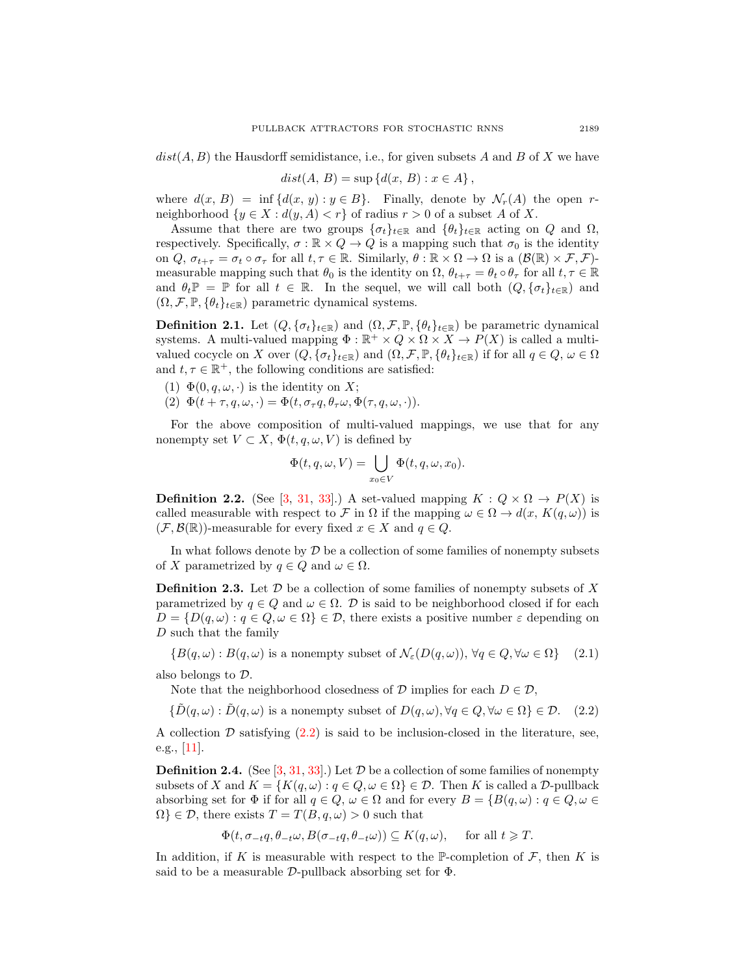$dist(A, B)$  the Hausdorff semidistance, i.e., for given subsets A and B of X we have

$$
dist(A, B) = \sup \{d(x, B) : x \in A\},\
$$

where  $d(x, B) = \inf \{d(x, y) : y \in B\}$ . Finally, denote by  $\mathcal{N}_r(A)$  the open rneighborhood  $\{y \in X : d(y, A) < r\}$  of radius  $r > 0$  of a subset A of X.

Assume that there are two groups  $\{\sigma_t\}_{t\in\mathbb{R}}$  and  $\{\theta_t\}_{t\in\mathbb{R}}$  acting on Q and  $\Omega$ , respectively. Specifically,  $\sigma : \mathbb{R} \times Q \to Q$  is a mapping such that  $\sigma_0$  is the identity on Q,  $\sigma_{t+\tau} = \sigma_t \circ \sigma_\tau$  for all  $t, \tau \in \mathbb{R}$ . Similarly,  $\theta : \mathbb{R} \times \Omega \to \Omega$  is a  $(\mathcal{B}(\mathbb{R}) \times \mathcal{F}, \mathcal{F})$ measurable mapping such that  $\theta_0$  is the identity on  $\Omega$ ,  $\theta_{t+\tau} = \theta_t \circ \theta_\tau$  for all  $t, \tau \in \mathbb{R}$ and  $\theta_t \mathbb{P} = \mathbb{P}$  for all  $t \in \mathbb{R}$ . In the sequel, we will call both  $(Q, \{\sigma_t\}_{t \in \mathbb{R}})$  and  $(\Omega, \mathcal{F}, \mathbb{P}, \{\theta_t\}_{t\in\mathbb{R}})$  parametric dynamical systems.

**Definition 2.1.** Let  $(Q, \{\sigma_t\}_{t\in\mathbb{R}})$  and  $(\Omega, \mathcal{F}, \mathbb{P}, \{\theta_t\}_{t\in\mathbb{R}})$  be parametric dynamical systems. A multi-valued mapping  $\Phi : \mathbb{R}^+ \times Q \times \Omega \times X \to P(X)$  is called a multivalued cocycle on X over  $(Q, \{\sigma_t\}_{t\in\mathbb{R}})$  and  $(\Omega, \mathcal{F}, \mathbb{P}, \{\theta_t\}_{t\in\mathbb{R}})$  if for all  $q \in Q, \omega \in \Omega$ and  $t, \tau \in \mathbb{R}^+$ , the following conditions are satisfied:

- (1)  $\Phi(0, q, \omega, \cdot)$  is the identity on X;
- (2)  $\Phi(t+\tau, q, \omega, \cdot) = \Phi(t, \sigma_\tau q, \theta_\tau \omega, \Phi(\tau, q, \omega, \cdot)).$

For the above composition of multi-valued mappings, we use that for any nonempty set  $V \subset X$ ,  $\Phi(t, q, \omega, V)$  is defined by

<span id="page-2-0"></span>
$$
\Phi(t, q, \omega, V) = \bigcup_{x_0 \in V} \Phi(t, q, \omega, x_0).
$$

**Definition 2.2.** (See [\[3,](#page-32-1) [31,](#page-34-4) [33\]](#page-34-5).) A set-valued mapping  $K: Q \times \Omega \rightarrow P(X)$  is called measurable with respect to F in  $\Omega$  if the mapping  $\omega \in \Omega \to d(x, K(q, \omega))$  is  $(\mathcal{F}, \mathcal{B}(\mathbb{R}))$ -measurable for every fixed  $x \in X$  and  $q \in Q$ .

In what follows denote by  $\mathcal D$  be a collection of some families of nonempty subsets of X parametrized by  $q \in Q$  and  $\omega \in \Omega$ .

**Definition 2.3.** Let  $D$  be a collection of some families of nonempty subsets of X parametrized by  $q \in Q$  and  $\omega \in \Omega$ . D is said to be neighborhood closed if for each  $D = \{D(q, \omega) : q \in Q, \omega \in \Omega\} \in \mathcal{D}$ , there exists a positive number  $\varepsilon$  depending on D such that the family

 ${B(q,\omega): B(q,\omega)$  is a nonempty subset of  $\mathcal{N}_{\varepsilon}(D(q,\omega)), \forall q \in Q, \forall \omega \in \Omega}$  (2.1)

also belongs to D.

Note that the neighborhood closedness of  $D$  implies for each  $D \in \mathcal{D}$ ,

 ${\lbrace \tilde{D}(q,\omega) : \tilde{D}(q,\omega) \text{ is a nonempty subset of } D(q,\omega), \forall q \in Q, \forall \omega \in \Omega \rbrace} \in \mathcal{D}.$  (2.2)

A collection  $D$  satisfying  $(2.2)$  $(2.2)$  is said to be inclusion-closed in the literature, see, e.g., [\[11\]](#page-33-18).

**Definition 2.4.** (See [\[3,](#page-32-1) [31,](#page-34-4) [33\]](#page-34-5).) Let  $\mathcal{D}$  be a collection of some families of nonempty subsets of X and  $K = \{K(q, \omega) : q \in Q, \omega \in \Omega\} \in \mathcal{D}$ . Then K is called a D-pullback absorbing set for  $\Phi$  if for all  $q \in Q$ ,  $\omega \in \Omega$  and for every  $B = \{B(q, \omega) : q \in Q, \omega \in \Omega\}$  $\Omega$   $\in \mathcal{D}$ , there exists  $T = T(B, q, \omega) > 0$  such that

$$
\Phi(t, \sigma_{-t}q, \theta_{-t}\omega, B(\sigma_{-t}q, \theta_{-t}\omega)) \subseteq K(q, \omega), \quad \text{ for all } t \geq T.
$$

In addition, if K is measurable with respect to the P-completion of  $\mathcal F$ , then K is said to be a measurable  $\mathcal{D}\text{-pullback absorbing set for }\Phi$ .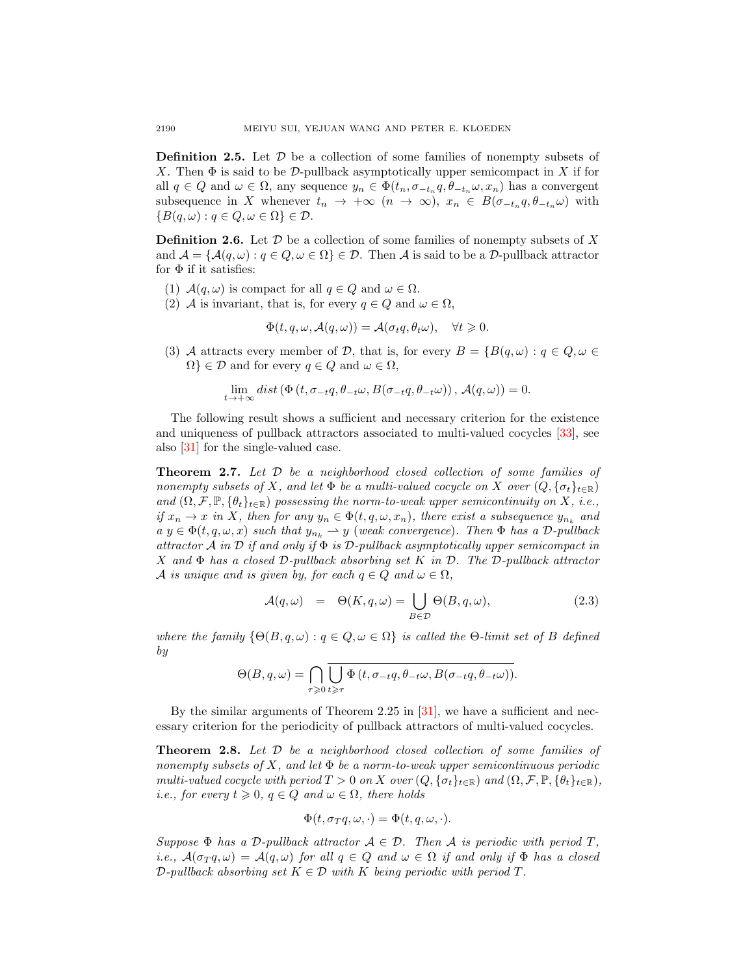**Definition 2.5.** Let  $\mathcal{D}$  be a collection of some families of nonempty subsets of X. Then  $\Phi$  is said to be D-pullback asymptotically upper semicompact in X if for all  $q \in Q$  and  $\omega \in \Omega$ , any sequence  $y_n \in \Phi(t_n, \sigma_{-t_n} q, \theta_{-t_n} \omega, x_n)$  has a convergent subsequence in X whenever  $t_n \to +\infty$   $(n \to \infty)$ ,  $x_n \in B(\sigma_{-t_n}q, \theta_{-t_n}\omega)$  with  ${B(q,\omega): q \in Q, \omega \in \Omega} \in \mathcal{D}.$ 

**Definition 2.6.** Let  $\mathcal{D}$  be a collection of some families of nonempty subsets of X and  $\mathcal{A} = \{ \mathcal{A}(q, \omega) : q \in \mathcal{Q}, \omega \in \Omega \} \in \mathcal{D}$ . Then  $\mathcal{A}$  is said to be a D-pullback attractor for  $\Phi$  if it satisfies:

- (1)  $\mathcal{A}(q,\omega)$  is compact for all  $q \in Q$  and  $\omega \in \Omega$ .
- (2) A is invariant, that is, for every  $q \in Q$  and  $\omega \in \Omega$ ,

$$
\Phi(t, q, \omega, \mathcal{A}(q, \omega)) = \mathcal{A}(\sigma_t q, \theta_t \omega), \quad \forall t \geq 0.
$$

(3) A attracts every member of D, that is, for every  $B = \{B(q, \omega) : q \in Q, \omega \in \mathbb{R}^d\}$  $\Omega$   $\in \mathcal{D}$  and for every  $q \in Q$  and  $\omega \in \Omega$ ,

$$
\lim_{t \to +\infty} dist\left(\Phi\left(t, \sigma_{-t}q, \theta_{-t}\omega, B(\sigma_{-t}q, \theta_{-t}\omega)\right), \mathcal{A}(q, \omega)\right) = 0.
$$

The following result shows a sufficient and necessary criterion for the existence and uniqueness of pullback attractors associated to multi-valued cocycles [\[33\]](#page-34-5), see also [\[31\]](#page-34-4) for the single-valued case.

<span id="page-3-0"></span>**Theorem 2.7.** Let  $D$  be a neighborhood closed collection of some families of nonempty subsets of X, and let  $\Phi$  be a multi-valued cocycle on X over  $(Q, \{\sigma_t\}_{t\in\mathbb{R}})$ and  $(\Omega, \mathcal{F}, \mathbb{P}, \{\theta_t\}_{t\in\mathbb{R}})$  possessing the norm-to-weak upper semicontinuity on X, i.e., if  $x_n \to x$  in X, then for any  $y_n \in \Phi(t, q, \omega, x_n)$ , there exist a subsequence  $y_{n_k}$  and  $a \ y \in \Phi(t, q, \omega, x)$  such that  $y_{n_k} \rightharpoonup y$  (weak convergence). Then  $\Phi$  has a D-pullback attractor A in D if and only if  $\Phi$  is D-pullback asymptotically upper semicompact in X and  $\Phi$  has a closed D-pullback absorbing set K in D. The D-pullback attractor A is unique and is given by, for each  $q \in Q$  and  $\omega \in \Omega$ ,

$$
\mathcal{A}(q,\omega) = \Theta(K,q,\omega) = \bigcup_{B \in \mathcal{D}} \Theta(B,q,\omega), \tag{2.3}
$$

where the family  $\{\Theta(B, q, \omega) : q \in Q, \omega \in \Omega\}$  is called the  $\Theta$ -limit set of B defined by

$$
\Theta(B,q,\omega)=\bigcap_{\tau\geqslant 0}\overline{\bigcup_{t\geqslant \tau}\Phi\left(t,\sigma_{-t}q,\theta_{-t}\omega,B(\sigma_{-t}q,\theta_{-t}\omega)\right)}.
$$

By the similar arguments of Theorem 2.25 in  $[31]$ , we have a sufficient and necessary criterion for the periodicity of pullback attractors of multi-valued cocycles.

<span id="page-3-1"></span>**Theorem 2.8.** Let  $D$  be a neighborhood closed collection of some families of nonempty subsets of X, and let  $\Phi$  be a norm-to-weak upper semicontinuous periodic multi-valued cocycle with period  $T > 0$  on X over  $(Q, \{\sigma_t\}_{t \in \mathbb{R}})$  and  $(\Omega, \mathcal{F}, \mathbb{P}, \{\theta_t\}_{t \in \mathbb{R}})$ , *i.e.*, for every  $t \geq 0$ ,  $q \in Q$  and  $\omega \in \Omega$ , there holds

$$
\Phi(t, \sigma_T q, \omega, \cdot) = \Phi(t, q, \omega, \cdot).
$$

Suppose  $\Phi$  has a D-pullback attractor  $A \in \mathcal{D}$ . Then A is periodic with period T, i.e.,  $\mathcal{A}(\sigma_T q, \omega) = \mathcal{A}(q, \omega)$  for all  $q \in Q$  and  $\omega \in \Omega$  if and only if  $\Phi$  has a closed  $\mathcal{D}\text{-}\text{pullback absorbing set } K \in \mathcal{D}$  with K being periodic with period T.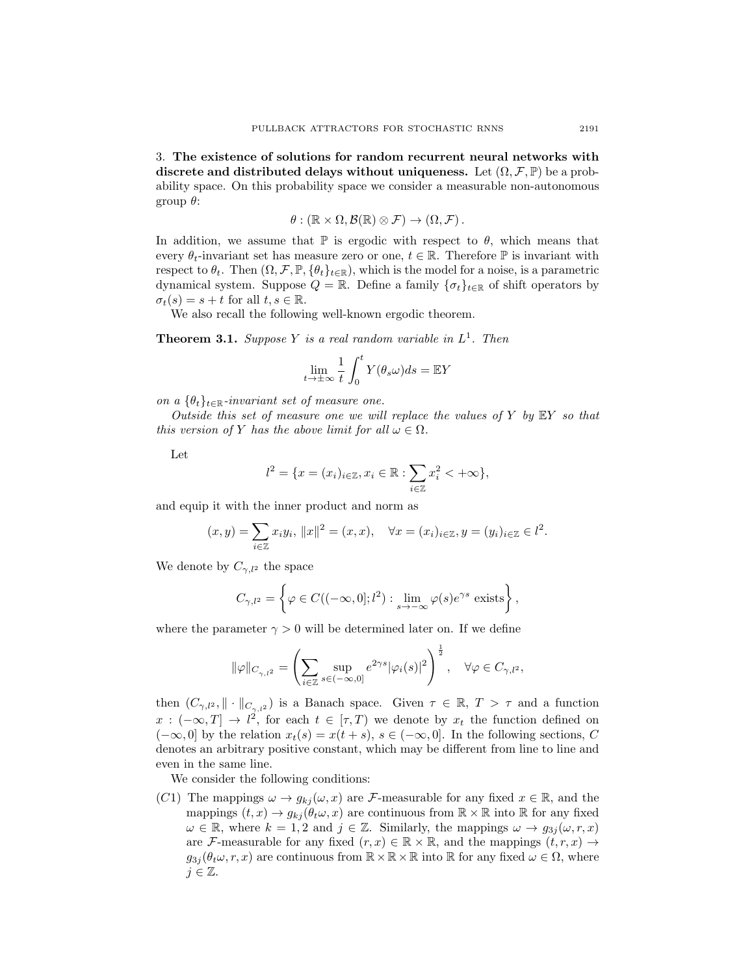3. The existence of solutions for random recurrent neural networks with discrete and distributed delays without uniqueness. Let  $(\Omega, \mathcal{F}, \mathbb{P})$  be a probability space. On this probability space we consider a measurable non-autonomous group θ:

$$
\theta: (\mathbb{R} \times \Omega, \mathcal{B}(\mathbb{R}) \otimes \mathcal{F}) \to (\Omega, \mathcal{F}).
$$

In addition, we assume that  $\mathbb P$  is ergodic with respect to  $\theta$ , which means that every  $\theta_t$ -invariant set has measure zero or one,  $t \in \mathbb{R}$ . Therefore  $\mathbb{P}$  is invariant with respect to  $\theta_t$ . Then  $(\Omega, \mathcal{F}, \mathbb{P}, \{\theta_t\}_{t \in \mathbb{R}})$ , which is the model for a noise, is a parametric dynamical system. Suppose  $Q = \mathbb{R}$ . Define a family  $\{\sigma_t\}_{t \in \mathbb{R}}$  of shift operators by  $\sigma_t(s) = s + t$  for all  $t, s \in \mathbb{R}$ .

We also recall the following well-known ergodic theorem.

<span id="page-4-0"></span>**Theorem 3.1.** Suppose Y is a real random variable in  $L^1$ . Then

$$
\lim_{t \to \pm \infty} \frac{1}{t} \int_0^t Y(\theta_s \omega) ds = \mathbb{E} Y
$$

on a  $\{\theta_t\}_{t\in\mathbb{R}}$ -invariant set of measure one.

Outside this set of measure one we will replace the values of  $Y$  by  $EY$  so that this version of Y has the above limit for all  $\omega \in \Omega$ .

Let

$$
l^2 = \{x = (x_i)_{i \in \mathbb{Z}}, x_i \in \mathbb{R} : \sum_{i \in \mathbb{Z}} x_i^2 < +\infty\},\
$$

and equip it with the inner product and norm as

$$
(x, y) = \sum_{i \in \mathbb{Z}} x_i y_i, ||x||^2 = (x, x), \quad \forall x = (x_i)_{i \in \mathbb{Z}}, y = (y_i)_{i \in \mathbb{Z}} \in l^2.
$$

We denote by  $C_{\gamma,l^2}$  the space

$$
C_{\gamma,l^2} = \left\{ \varphi \in C((-\infty,0];l^2) : \lim_{s \to -\infty} \varphi(s)e^{\gamma s} \text{ exists} \right\},\,
$$

where the parameter  $\gamma > 0$  will be determined later on. If we define

$$
\|\varphi\|_{C_{\gamma,l^2}}=\left(\sum_{i\in\mathbb{Z}}\sup_{s\in(-\infty,0]}e^{2\gamma s}|\varphi_i(s)|^2\right)^{\frac{1}{2}},\quad\forall\varphi\in C_{\gamma,l^2},
$$

then  $(C_{\gamma,l^2},\|\cdot\|_{C_{\gamma,l^2}})$  is a Banach space. Given  $\tau \in \mathbb{R}, T > \tau$  and a function  $x: (-\infty,T] \to l^2$ , for each  $t \in [\tau,T)$  we denote by  $x_t$  the function defined on  $(-\infty, 0]$  by the relation  $x_t(s) = x(t+s), s \in (-\infty, 0]$ . In the following sections, C denotes an arbitrary positive constant, which may be different from line to line and even in the same line.

We consider the following conditions:

(C1) The mappings  $\omega \to g_{kj}(\omega, x)$  are *F*-measurable for any fixed  $x \in \mathbb{R}$ , and the mappings  $(t, x) \to g_{kj}(\theta_t \omega, x)$  are continuous from  $\mathbb{R} \times \mathbb{R}$  into  $\mathbb{R}$  for any fixed  $\omega \in \mathbb{R}$ , where  $k = 1, 2$  and  $j \in \mathbb{Z}$ . Similarly, the mappings  $\omega \to g_{3j}(\omega, r, x)$ are F-measurable for any fixed  $(r, x) \in \mathbb{R} \times \mathbb{R}$ , and the mappings  $(t, r, x) \rightarrow$  $g_{3j}(\theta_t\omega, r, x)$  are continuous from  $\mathbb{R} \times \mathbb{R} \times \mathbb{R}$  into  $\mathbb{R}$  for any fixed  $\omega \in \Omega$ , where  $j \in \mathbb{Z}$ .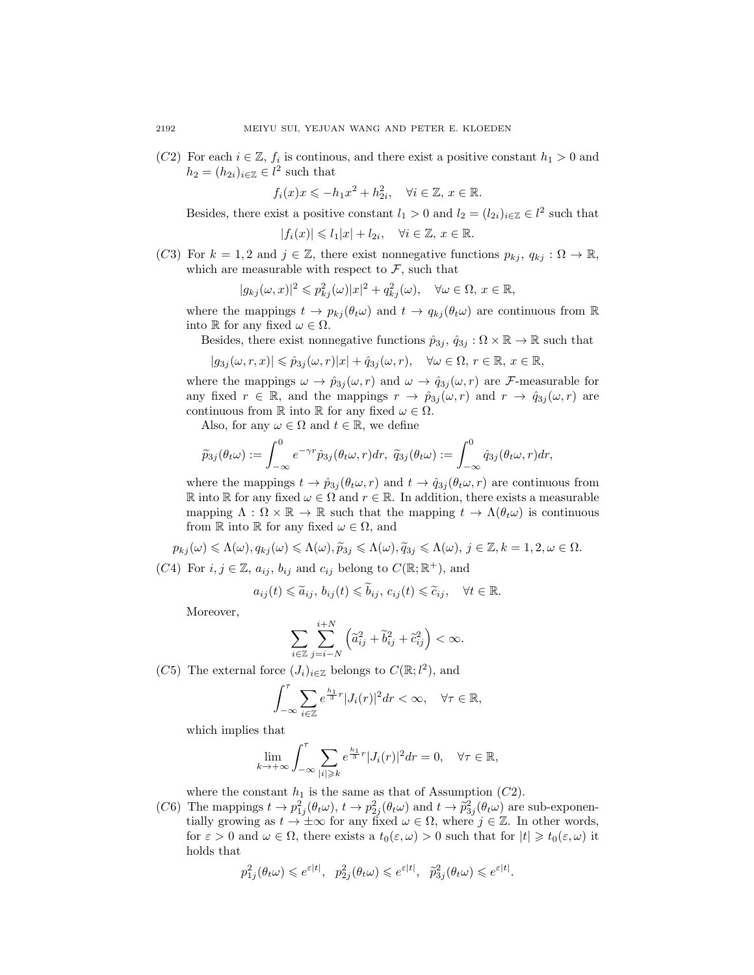(C2) For each  $i \in \mathbb{Z}$ ,  $f_i$  is continous, and there exist a positive constant  $h_1 > 0$  and  $h_2 = (h_{2i})_{i \in \mathbb{Z}} \in l^2$  such that

 $f_i(x)x \leqslant -h_1x^2 + h_{2i}^2, \quad \forall i \in \mathbb{Z}, x \in \mathbb{R}.$ 

Besides, there exist a positive constant  $l_1 > 0$  and  $l_2 = (l_{2i})_{i \in \mathbb{Z}} \in l^2$  such that

$$
|f_i(x)| \leqslant l_1|x| + l_{2i}, \quad \forall i \in \mathbb{Z}, \, x \in \mathbb{R}.
$$

(C3) For  $k = 1, 2$  and  $j \in \mathbb{Z}$ , there exist nonnegative functions  $p_{kj}, q_{kj} : \Omega \to \mathbb{R}$ , which are measurable with respect to  $\mathcal{F}$ , such that

$$
|g_{kj}(\omega, x)|^2 \leqslant p_{kj}^2(\omega)|x|^2 + q_{kj}^2(\omega), \quad \forall \omega \in \Omega, x \in \mathbb{R},
$$

where the mappings  $t \to p_{kj}(\theta_t \omega)$  and  $t \to q_{kj}(\theta_t \omega)$  are continuous from  $\mathbb R$ into R for any fixed  $\omega \in \Omega$ .

Besides, there exist nonnegative functions  $\hat{p}_{3j}$ ,  $\hat{q}_{3j} : \Omega \times \mathbb{R} \to \mathbb{R}$  such that

$$
|g_{3j}(\omega,r,x)| \leq \hat{p}_{3j}(\omega,r)|x| + \hat{q}_{3j}(\omega,r), \quad \forall \omega \in \Omega, r \in \mathbb{R}, x \in \mathbb{R},
$$

where the mappings  $\omega \to \hat{p}_{3j}(\omega, r)$  and  $\omega \to \hat{q}_{3j}(\omega, r)$  are *F*-measurable for any fixed  $r \in \mathbb{R}$ , and the mappings  $r \to \hat{p}_{3j}(\omega, r)$  and  $r \to \hat{q}_{3j}(\omega, r)$  are continuous from R into R for any fixed  $\omega \in \Omega$ .

Also, for any  $\omega \in \Omega$  and  $t \in \mathbb{R}$ , we define

$$
\widetilde{p}_{3j}(\theta_t \omega) := \int_{-\infty}^0 e^{-\gamma r} \widehat{p}_{3j}(\theta_t \omega, r) dr, \ \widetilde{q}_{3j}(\theta_t \omega) := \int_{-\infty}^0 \widehat{q}_{3j}(\theta_t \omega, r) dr,
$$

where the mappings  $t \to \hat{p}_{3j}(\theta_t \omega, r)$  and  $t \to \hat{q}_{3j}(\theta_t \omega, r)$  are continuous from R into R for any fixed  $\omega \in \Omega$  and  $r \in \mathbb{R}$ . In addition, there exists a measurable mapping  $\Lambda : \Omega \times \mathbb{R} \to \mathbb{R}$  such that the mapping  $t \to \Lambda(\theta_t \omega)$  is continuous from  $\mathbb R$  into  $\mathbb R$  for any fixed  $\omega \in \Omega$ , and

$$
p_{kj}(\omega) \leq \Lambda(\omega), q_{kj}(\omega) \leq \Lambda(\omega), \widetilde{p}_{3j} \leq \Lambda(\omega), \widetilde{q}_{3j} \leq \Lambda(\omega), j \in \mathbb{Z}, k = 1, 2, \omega \in \Omega.
$$

(C4) For  $i, j \in \mathbb{Z}$ ,  $a_{ij}$ ,  $b_{ij}$  and  $c_{ij}$  belong to  $C(\mathbb{R}; \mathbb{R}^+)$ , and

$$
a_{ij}(t) \leq \widetilde{a}_{ij}, b_{ij}(t) \leq \widetilde{b}_{ij}, c_{ij}(t) \leq \widetilde{c}_{ij}, \quad \forall t \in \mathbb{R}.
$$

Moreover,

$$
\sum_{i\in\mathbb{Z}}\sum_{j=i-N}^{i+N}\left(\widetilde{a}_{ij}^2+\widetilde{b}_{ij}^2+\widetilde{c}_{ij}^2\right)<\infty.
$$

(C5) The external force  $(J_i)_{i \in \mathbb{Z}}$  belongs to  $C(\mathbb{R}; l^2)$ , and

$$
\int_{-\infty}^{\tau} \sum_{i \in \mathbb{Z}} e^{\frac{h_1}{3}r} |J_i(r)|^2 dr < \infty, \quad \forall \tau \in \mathbb{R},
$$

which implies that

$$
\lim_{k \to +\infty} \int_{-\infty}^{\tau} \sum_{|i| \geqslant k} e^{\frac{h_1}{3}r} |J_i(r)|^2 dr = 0, \quad \forall \tau \in \mathbb{R},
$$

where the constant  $h_1$  is the same as that of Assumption (C2).

(C6) The mappings  $t \to p_{1j}^2(\theta_t \omega)$ ,  $t \to p_{2j}^2(\theta_t \omega)$  and  $t \to \tilde{p}_{3j}^2(\theta_t \omega)$  are sub-exponen-<br>tially growing as  $t \to \pm \infty$  for any fixed  $\omega \in \Omega$ , where  $i \in \mathbb{Z}$ . In other words tially growing as  $t \to \pm \infty$  for any fixed  $\omega \in \Omega$ , where  $j \in \mathbb{Z}$ . In other words, for  $\varepsilon > 0$  and  $\omega \in \Omega$ , there exists a  $t_0(\varepsilon, \omega) > 0$  such that for  $|t| \geq t_0(\varepsilon, \omega)$  it holds that

$$
p_{1j}^2(\theta_t \omega) \leq e^{\varepsilon|t|}, \quad p_{2j}^2(\theta_t \omega) \leq e^{\varepsilon|t|}, \quad \tilde{p}_{3j}^2(\theta_t \omega) \leq e^{\varepsilon|t|}.
$$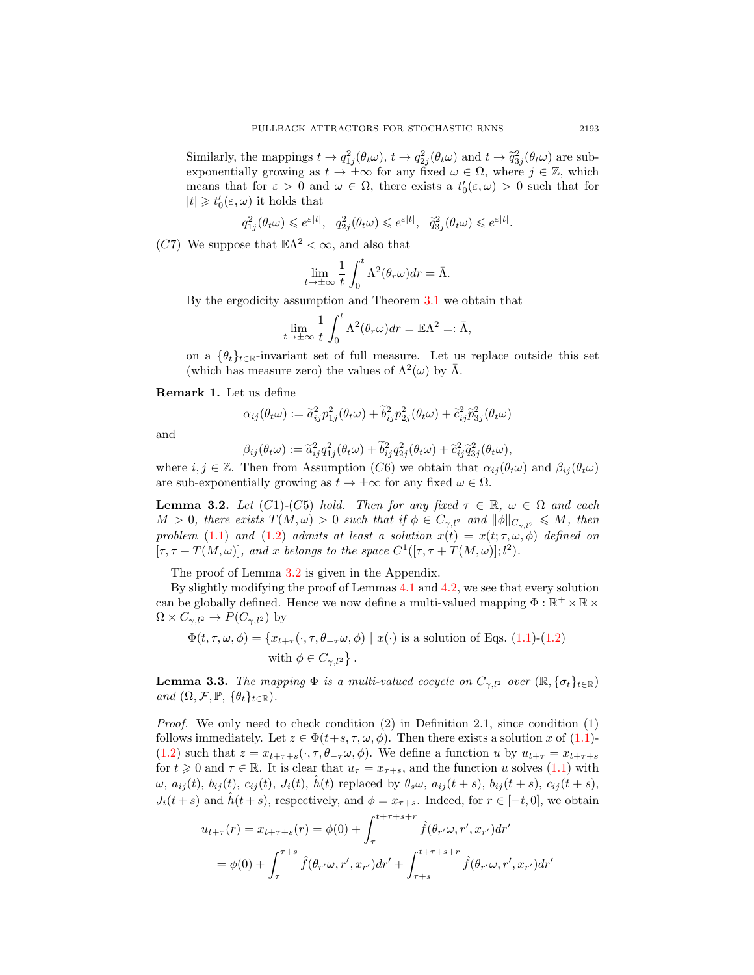Similarly, the mappings  $t \to q_{1j}^2(\theta_t\omega)$ ,  $t \to q_{2j}^2(\theta_t\omega)$  and  $t \to \tilde{q}_{3j}^2(\theta_t\omega)$  are sub-<br>exponentially growing as  $t \to +\infty$  for any fixed  $t \in \Omega$ , where  $i \in \mathbb{Z}$ , which exponentially growing as  $t \to \pm \infty$  for any fixed  $\omega \in \Omega$ , where  $j \in \mathbb{Z}$ , which means that for  $\varepsilon > 0$  and  $\omega \in \Omega$ , there exists a  $t'_{0}(\varepsilon, \omega) > 0$  such that for  $|t|\geqslant t_0'(\varepsilon,\omega)$  it holds that

$$
q_{1j}^2(\theta_t\omega) \leqslant e^{\varepsilon|t|}, \quad q_{2j}^2(\theta_t\omega) \leqslant e^{\varepsilon|t|}, \quad \widetilde{q}_{3j}^2(\theta_t\omega) \leqslant e^{\varepsilon|t|}.
$$

(C7) We suppose that  $\mathbb{E}\Lambda^2 < \infty$ , and also that

$$
\lim_{t \to \pm \infty} \frac{1}{t} \int_0^t \Lambda^2(\theta_r \omega) dr = \bar{\Lambda}.
$$

By the ergodicity assumption and Theorem [3.1](#page-4-0) we obtain that

$$
\lim_{t \to \pm \infty} \frac{1}{t} \int_0^t \Lambda^2(\theta_r \omega) dr = \mathbb{E}\Lambda^2 =: \bar{\Lambda},
$$

on a  $\{\theta_t\}_{t\in\mathbb{R}}$ -invariant set of full measure. Let us replace outside this set (which has measure zero) the values of  $\Lambda^2(\omega)$  by  $\bar{\Lambda}$ .

<span id="page-6-1"></span>Remark 1. Let us define

$$
\alpha_{ij}(\theta_t \omega) := \tilde{a}_{ij}^2 p_{1j}^2(\theta_t \omega) + \tilde{b}_{ij}^2 p_{2j}^2(\theta_t \omega) + \tilde{c}_{ij}^2 \tilde{p}_{3j}^2(\theta_t \omega)
$$

and

$$
\beta_{ij}(\theta_t \omega) := \widetilde{a}_{ij}^2 q_{1j}^2(\theta_t \omega) + \widetilde{b}_{ij}^2 q_{2j}^2(\theta_t \omega) + \widetilde{c}_{ij}^2 \widetilde{q}_{3j}^2(\theta_t \omega),
$$

where  $i, j \in \mathbb{Z}$ . Then from Assumption (C6) we obtain that  $\alpha_{ij}(\theta_t \omega)$  and  $\beta_{ij}(\theta_t \omega)$ are sub-exponentially growing as  $t \to \pm \infty$  for any fixed  $\omega \in \Omega$ .

<span id="page-6-0"></span>**Lemma 3.2.** Let  $(C1)-(C5)$  hold. Then for any fixed  $\tau \in \mathbb{R}$ ,  $\omega \in \Omega$  and each  $M > 0$ , there exists  $T(M,\omega) > 0$  such that if  $\phi \in C_{\gamma,l^2}$  and  $\|\phi\|_{C_{\gamma,l^2}} \leqslant M$ , then problem [\(1.1\)](#page-1-0) and [\(1.2\)](#page-1-1) admits at least a solution  $x(t) = x(t; \tau, \omega, \phi)$  defined on  $[\tau, \tau + T(M, \omega)],$  and x belongs to the space  $C^1([\tau, \tau + T(M, \omega)]; l^2)$ .

The proof of Lemma [3.2](#page-6-0) is given in the Appendix.

By slightly modifying the proof of Lemmas [4.1](#page-8-0) and [4.2,](#page-8-1) we see that every solution can be globally defined. Hence we now define a multi-valued mapping  $\Phi : \mathbb{R}^+ \times \mathbb{R} \times$  $\Omega \times C_{\gamma,l^2} \to P(C_{\gamma,l^2})$  by

$$
\Phi(t, \tau, \omega, \phi) = \{x_{t+\tau}(\cdot, \tau, \theta_{-\tau}\omega, \phi) \mid x(\cdot) \text{ is a solution of Eqs. (1.1)-(1.2)}
$$
  
with  $\phi \in C_{\gamma, l^2}\}.$ 

**Lemma 3.3.** The mapping  $\Phi$  is a multi-valued cocycle on  $C_{\gamma,l^2}$  over  $(\mathbb{R}, \{\sigma_t\}_{t \in \mathbb{R}})$ and  $(\Omega, \mathcal{F}, \mathbb{P}, \{\theta_t\}_{t \in \mathbb{R}})$ .

*Proof.* We only need to check condition  $(2)$  in Definition 2.1, since condition  $(1)$ follows immediately. Let  $z \in \Phi(t+s, \tau, \omega, \phi)$ . Then there exists a solution x of [\(1.1\)](#page-1-0)-[\(1.2\)](#page-1-1) such that  $z = x_{t+\tau+s}(\cdot, \tau, \theta_{-\tau}\omega, \phi)$ . We define a function u by  $u_{t+\tau} = x_{t+\tau+s}$ for  $t \geq 0$  and  $\tau \in \mathbb{R}$ . It is clear that  $u_{\tau} = x_{\tau+s}$ , and the function u solves [\(1.1\)](#page-1-0) with  $\omega$ ,  $a_{ij}(t)$ ,  $b_{ij}(t)$ ,  $c_{ij}(t)$ ,  $J_i(t)$ ,  $\tilde{h}(t)$  replaced by  $\theta_s\omega$ ,  $a_{ij}(t+s)$ ,  $b_{ij}(t+s)$ ,  $c_{ij}(t+s)$ ,  $J_i(t + s)$  and  $\hat{h}(t + s)$ , respectively, and  $\phi = x_{\tau+s}$ . Indeed, for  $r \in [-t, 0]$ , we obtain

$$
u_{t+\tau}(r) = x_{t+\tau+s}(r) = \phi(0) + \int_{\tau}^{t+\tau+s+r} \hat{f}(\theta_{r'}\omega, r', x_{r'}) dr'
$$
  
=  $\phi(0) + \int_{\tau}^{\tau+s} \hat{f}(\theta_{r'}\omega, r', x_{r'}) dr' + \int_{\tau+s}^{t+\tau+s+r} \hat{f}(\theta_{r'}\omega, r', x_{r'}) dr'$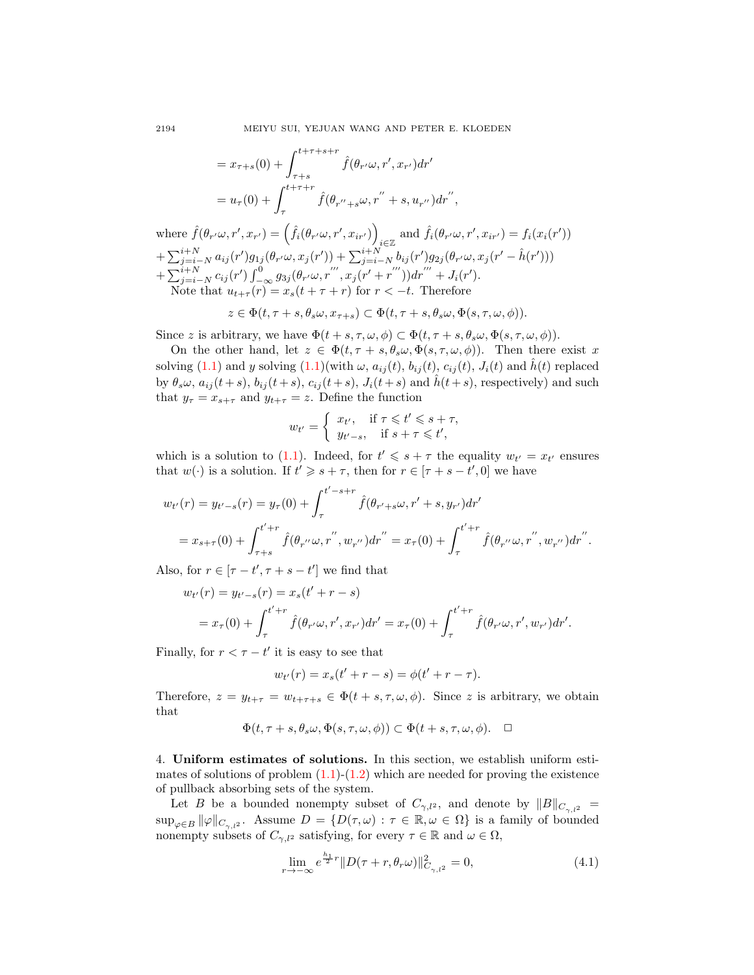$$
= x_{\tau+s}(0) + \int_{\tau+s}^{t+\tau+s+r} \hat{f}(\theta_{r'}\omega, r', x_{r'}) dr'
$$
  
=  $u_{\tau}(0) + \int_{\tau}^{t+\tau+r} \hat{f}(\theta_{r''+s}\omega, r'' + s, u_{r''}) dr'',$ 

where  $\hat{f}(\theta_{r'}\omega, r', x_{r'}) = (\hat{f}_i(\theta_{r'}\omega, r', x_{ir'}))$ and  $\hat{f}_i(\theta_{r'\omega}, r', x_{ir'}) = f_i(x_i(r'))$  $+\sum_{j=i-N}^{i+N} a_{ij}(r')g_{1j}(\theta_{r'}\omega, x_j(r')) + \sum_{j=i-N}^{i+N} b_{ij}(r')g_{2j}(\theta_{r'}\omega, x_j(r'-\hat{h}(r')))$  $+\sum_{j=i-N}^{i+N} c_{ij}(r') \int_{-\infty}^{0} g_{3j}(\theta_{r'}\omega, r''', x_j(r'+r''')) dr''' + J_i(r').$ Note that  $u_{t+\tau}(r) = x_s(t+\tau+r)$  for  $r < -t$ . Therefore

$$
z \in \Phi(t, \tau + s, \theta_s \omega, x_{\tau + s}) \subset \Phi(t, \tau + s, \theta_s \omega, \Phi(s, \tau, \omega, \phi)).
$$

Since z is arbitrary, we have  $\Phi(t + s, \tau, \omega, \phi) \subset \Phi(t, \tau + s, \theta_s \omega, \Phi(s, \tau, \omega, \phi)).$ 

On the other hand, let  $z \in \Phi(t, \tau + s, \theta_s \omega, \Phi(s, \tau, \omega, \phi))$ . Then there exist x solving [\(1.1\)](#page-1-0) and y solving  $(1.1)$ (with  $\omega$ ,  $a_{ij}(t)$ ,  $b_{ij}(t)$ ,  $c_{ij}(t)$ ,  $J_i(t)$  and  $h(t)$  replaced by  $\theta_s \omega$ ,  $a_{ij}(t + s)$ ,  $b_{ij}(t + s)$ ,  $c_{ij}(t + s)$ ,  $J_i(t + s)$  and  $\hat{h}(t + s)$ , respectively) and such that  $y_{\tau} = x_{s+\tau}$  and  $y_{t+\tau} = z$ . Define the function

$$
w_{t'} = \begin{cases} x_{t'}, & \text{if } \tau \leq t' \leq s + \tau, \\ y_{t'-s}, & \text{if } s + \tau \leq t', \end{cases}
$$

which is a solution to [\(1.1\)](#page-1-0). Indeed, for  $t' \leq s + \tau$  the equality  $w_{t'} = x_{t'}$  ensures that  $w(\cdot)$  is a solution. If  $t' \geqslant s + \tau$ , then for  $r \in [\tau + s - t', 0]$  we have

$$
w_{t'}(r) = y_{t'-s}(r) = y_{\tau}(0) + \int_{\tau}^{t'-s+r} \hat{f}(\theta_{r'+s}\omega, r' + s, y_{r'}) dr'
$$
  
=  $x_{s+\tau}(0) + \int_{\tau+s}^{t'+r} \hat{f}(\theta_{r''}\omega, r'', w_{r''}) dr'' = x_{\tau}(0) + \int_{\tau}^{t'+r} \hat{f}(\theta_{r''}\omega, r'', w_{r''}) dr''.$ 

Also, for  $r \in [\tau - t', \tau + s - t']$  we find that

$$
w_{t'}(r) = y_{t'-s}(r) = x_s(t' + r - s)
$$
  
=  $x_{\tau}(0) + \int_{\tau}^{t'+r} \hat{f}(\theta_{r'}\omega, r', x_{r'}) dr' = x_{\tau}(0) + \int_{\tau}^{t'+r} \hat{f}(\theta_{r'}\omega, r', w_{r'}) dr'.$ 

Finally, for  $r < \tau - t'$  it is easy to see that

$$
w_{t'}(r) = x_s(t' + r - s) = \phi(t' + r - \tau).
$$

Therefore,  $z = y_{t+\tau} = w_{t+\tau+s} \in \Phi(t+s,\tau,\omega,\phi)$ . Since z is arbitrary, we obtain that

$$
\Phi(t, \tau + s, \theta_s \omega, \Phi(s, \tau, \omega, \phi)) \subset \Phi(t + s, \tau, \omega, \phi). \quad \Box
$$

4. Uniform estimates of solutions. In this section, we establish uniform estimates of solutions of problem  $(1.1)-(1.2)$  $(1.1)-(1.2)$  $(1.1)-(1.2)$  which are needed for proving the existence of pullback absorbing sets of the system.

Let B be a bounded nonempty subset of  $C_{\gamma,l^2}$ , and denote by  $||B||_{C_{\gamma,l^2}} =$  $\sup_{\varphi\in B} \|\varphi\|_{C_{\gamma,l^2}}$ . Assume  $D = \{D(\tau,\omega) : \tau \in \mathbb{R}, \omega \in \Omega\}$  is a family of bounded nonempty subsets of  $C_{\gamma,l^2}$  satisfying, for every  $\tau \in \mathbb{R}$  and  $\omega \in \Omega$ ,

<span id="page-7-0"></span>
$$
\lim_{r \to -\infty} e^{\frac{h_1}{2}r} \|D(\tau + r, \theta_r \omega)\|_{C_{\gamma, l^2}}^2 = 0,
$$
\n(4.1)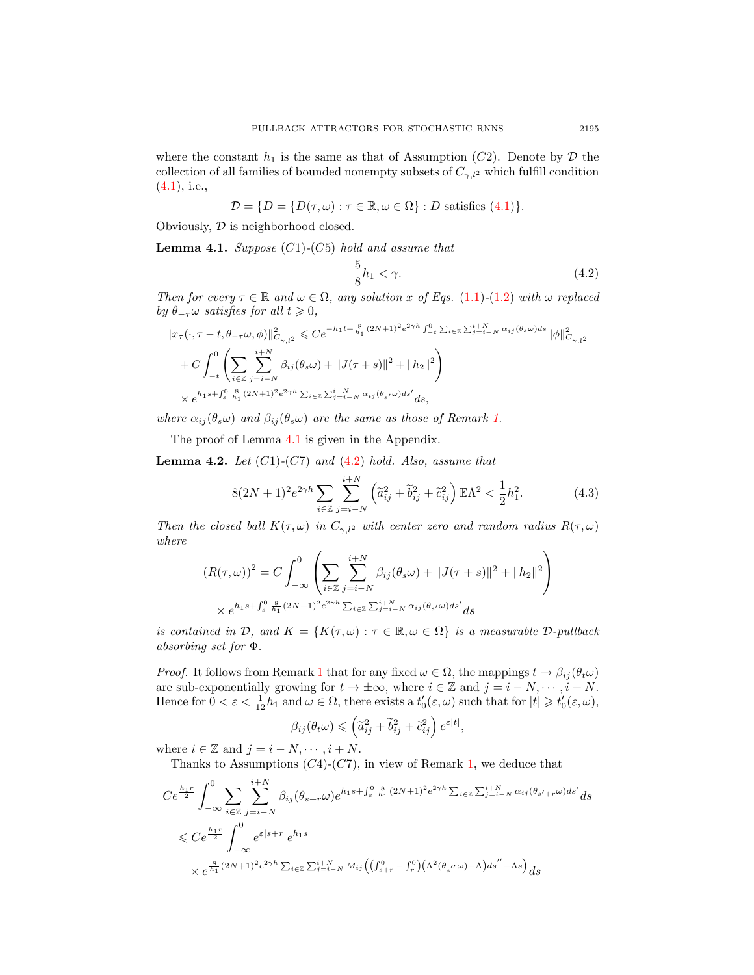where the constant  $h_1$  is the same as that of Assumption (C2). Denote by  $\mathcal D$  the collection of all families of bounded nonempty subsets of  $C_{\gamma,l^2}$  which fulfill condition  $(4.1)$ , i.e.,

$$
\mathcal{D} = \{ D = \{ D(\tau, \omega) : \tau \in \mathbb{R}, \omega \in \Omega \} : D \text{ satisfies (4.1)} \}.
$$

Obviously,  $D$  is neighborhood closed.

<span id="page-8-0"></span>**Lemma 4.1.** Suppose  $(C1)$ - $(C5)$  hold and assume that

<span id="page-8-2"></span>
$$
\frac{5}{8}h_1 < \gamma. \tag{4.2}
$$

Then for every  $\tau \in \mathbb{R}$  and  $\omega \in \Omega$ , any solution x of Eqs. [\(1.1\)](#page-1-0)-[\(1.2\)](#page-1-1) with  $\omega$  replaced by  $\theta_{-\tau}\omega$  satisfies for all  $t \geq 0$ ,

$$
\begin{aligned} &\|x_\tau(\cdot,\tau-t,\theta_{-\tau}\omega,\phi)\|^2_{C_{\gamma,l^2}}\leqslant Ce^{-h_1t+\frac{8}{h_1}(2N+1)^2e^{2\gamma h}\int_{-t}^0\sum_{i\in\mathbb{Z}}\sum_{j=i-N}^{i+N}\alpha_{ij}(\theta_s\omega)ds}\|\phi\|^2_{C_{\gamma,l^2}}\\&+C\int_{-t}^0\left(\sum_{i\in\mathbb{Z}}\sum_{j=i-N}^{i+N}\beta_{ij}(\theta_s\omega)+\|J(\tau+s)\|^2+\|h_2\|^2\right)\\&\times e^{h_1s+\int_s^0\frac{8}{h_1}(2N+1)^2e^{2\gamma h}\sum_{i\in\mathbb{Z}}\sum_{j=i-N}^{i+N}\alpha_{ij}(\theta_{s'}\omega)ds'}ds,\end{aligned}
$$

where  $\alpha_{ij}(\theta_s\omega)$  and  $\beta_{ij}(\theta_s\omega)$  are the same as those of Remark [1.](#page-6-1)

The proof of Lemma [4.1](#page-8-0) is given in the Appendix.

<span id="page-8-1"></span>**Lemma 4.2.** Let  $(C1)$ - $(C7)$  and  $(4.2)$  hold. Also, assume that

$$
8(2N+1)^2 e^{2\gamma h} \sum_{i \in \mathbb{Z}} \sum_{j=i-N}^{i+N} \left( \tilde{a}_{ij}^2 + \tilde{b}_{ij}^2 + \tilde{c}_{ij}^2 \right) \mathbb{E} \Lambda^2 < \frac{1}{2} h_1^2. \tag{4.3}
$$

Then the closed ball  $K(\tau,\omega)$  in  $C_{\gamma,l^2}$  with center zero and random radius  $R(\tau,\omega)$ where

$$
(R(\tau,\omega))^2 = C \int_{-\infty}^0 \left( \sum_{i \in \mathbb{Z}} \sum_{j=i-N}^{i+N} \beta_{ij}(\theta_s \omega) + ||J(\tau+s)||^2 + ||h_2||^2 \right)
$$
  
  $\times e^{h_1 s + \int_s^0 \frac{8}{h_1} (2N+1)^2 e^{2\gamma h} \sum_{i \in \mathbb{Z}} \sum_{j=i-N}^{i+N} \alpha_{ij}(\theta_{s'}\omega) ds'} ds$ 

is contained in  $\mathcal{D}$ , and  $K = \{K(\tau, \omega) : \tau \in \mathbb{R}, \omega \in \Omega\}$  is a measurable  $\mathcal{D}\text{-pullback}$ absorbing set for Φ.

*Proof.* It follows from Remark [1](#page-6-1) that for any fixed  $\omega \in \Omega$ , the mappings  $t \to \beta_{ij}(\theta_t\omega)$ are sub-exponentially growing for  $t \to \pm \infty$ , where  $i \in \mathbb{Z}$  and  $j = i - N, \dots, i + N$ . Hence for  $0 < \varepsilon < \frac{1}{12}h_1$  and  $\omega \in \Omega$ , there exists a  $t'_0(\varepsilon, \omega)$  such that for  $|t| \geq t'_0(\varepsilon, \omega)$ ,

$$
\beta_{ij}(\theta_t \omega) \leqslant \left(\widetilde{a}_{ij}^2 + \widetilde{b}_{ij}^2 + \widetilde{c}_{ij}^2\right) e^{\varepsilon|t|}
$$

<span id="page-8-3"></span>,

where  $i \in \mathbb{Z}$  and  $j = i - N, \dots, i + N$ .

Thanks to Assumptions  $(C4)-(C7)$ , in view of Remark [1,](#page-6-1) we deduce that

$$
Ce^{\frac{h_1 r}{2}} \int_{-\infty}^{0} \sum_{i \in \mathbb{Z}} \sum_{j=i-N}^{i+N} \beta_{ij} (\theta_{s+r} \omega) e^{h_1 s + \int_s^0 \frac{8}{h_1} (2N+1)^2 e^{2\gamma h} \sum_{i \in \mathbb{Z}} \sum_{j=i-N}^{i+N} \alpha_{ij} (\theta_{s'+r} \omega) ds'} ds
$$
  

$$
\leq Ce^{\frac{h_1 r}{2}} \int_{-\infty}^{0} e^{\varepsilon |s+r|} e^{h_1 s}
$$
  

$$
\times e^{\frac{8}{h_1} (2N+1)^2 e^{2\gamma h} \sum_{i \in \mathbb{Z}} \sum_{j=i-N}^{i+N} M_{ij} ((\int_{s+r}^0 - \int_r^0) (\Lambda^2 (\theta_{s''} \omega) - \bar{\Lambda}) ds'' - \bar{\Lambda} s)} ds
$$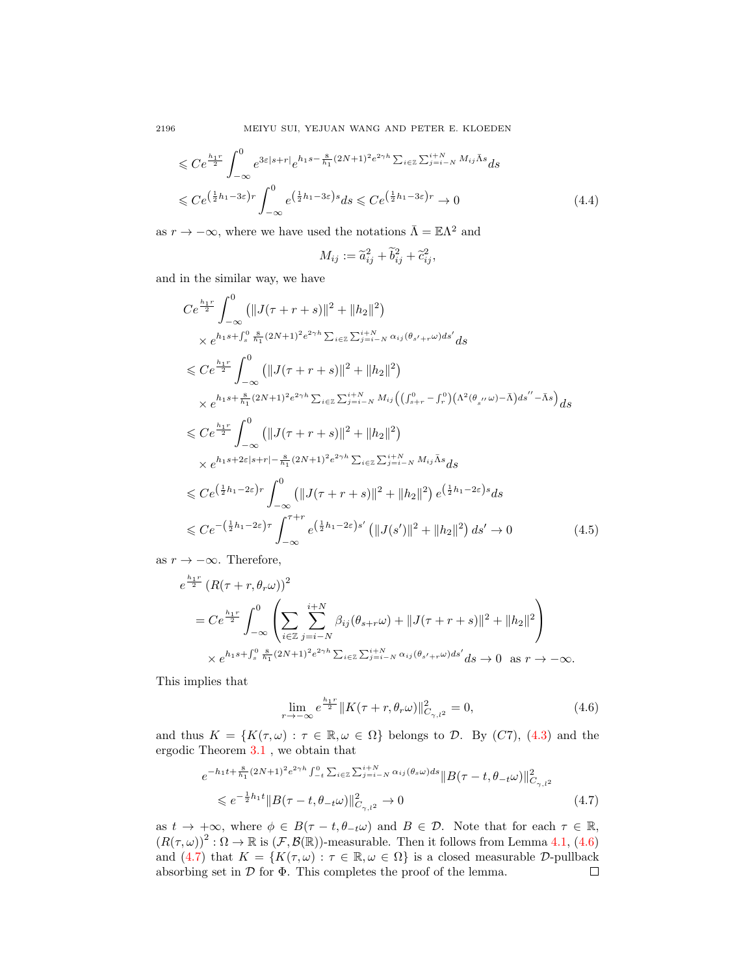2196 MEIYU SUI, YEJUAN WANG AND PETER E. KLOEDEN

$$
\leq C e^{\frac{h_1 r}{2}} \int_{-\infty}^{0} e^{3\varepsilon|s+r|} e^{h_1 s - \frac{8}{h_1}(2N+1)^2 e^{2\gamma h} \sum_{i \in \mathbb{Z}} \sum_{j=i-N}^{i+N} M_{ij} \bar{\Lambda} s} ds
$$
  

$$
\leq C e^{\left(\frac{1}{2}h_1 - 3\varepsilon\right)r} \int_{-\infty}^{0} e^{\left(\frac{1}{2}h_1 - 3\varepsilon\right)s} ds \leq C e^{\left(\frac{1}{2}h_1 - 3\varepsilon\right)r} \to 0
$$
 (4.4)

as  $r \to -\infty$ , where we have used the notations  $\bar{\Lambda} = \mathbb{E}\Lambda^2$  and

$$
M_{ij} := \widetilde{a}_{ij}^2 + \widetilde{b}_{ij}^2 + \widetilde{c}_{ij}^2,
$$

and in the similar way, we have

$$
Ce^{\frac{h_1r}{2}} \int_{-\infty}^{0} (||J(\tau + r + s)||^2 + ||h_2||^2)
$$
  
\n
$$
\times e^{h_1s + \int_s^0 \frac{8}{h_1}(2N+1)^2 e^{2\gamma h} \sum_{i \in \mathbb{Z}} \sum_{j=i-N}^{i+N} \alpha_{ij}(\theta_{s'+r}\omega)ds'} ds
$$
  
\n
$$
\leq Ce^{\frac{h_1r}{2}} \int_{-\infty}^{0} (||J(\tau + r + s)||^2 + ||h_2||^2)
$$
  
\n
$$
\times e^{h_1s + \frac{8}{h_1}(2N+1)^2 e^{2\gamma h} \sum_{i \in \mathbb{Z}} \sum_{j=i-N}^{i+N} M_{ij}((\int_{s+r}^0 - \int_r^0)(\Lambda^2(\theta_{s''}\omega) - \bar{\Lambda})ds'' - \bar{\Lambda}s}) ds
$$
  
\n
$$
\leq Ce^{\frac{h_1r}{2}} \int_{-\infty}^{0} (||J(\tau + r + s)||^2 + ||h_2||^2)
$$
  
\n
$$
\times e^{h_1s + 2\varepsilon|s+r| - \frac{8}{h_1}(2N+1)^2 e^{2\gamma h} \sum_{i \in \mathbb{Z}} \sum_{j=i-N}^{i+N} M_{ij} \bar{\Lambda}s} ds
$$
  
\n
$$
\leq Ce^{\left(\frac{1}{2}h_1 - 2\varepsilon\right)r} \int_{-\infty}^{0} (||J(\tau + r + s)||^2 + ||h_2||^2) e^{\left(\frac{1}{2}h_1 - 2\varepsilon\right)s} ds
$$
  
\n
$$
\leq Ce^{-(\frac{1}{2}h_1 - 2\varepsilon)r} \int_{-\infty}^{\tau + r} e^{\left(\frac{1}{2}h_1 - 2\varepsilon\right)s'} (\|J(s')\|^2 + ||h_2||^2) ds' \to 0
$$
 (4.5)

as  $r \to -\infty$ . Therefore,

$$
e^{\frac{h_1 r}{2}} (R(\tau + r, \theta_r \omega))^2
$$
  
=  $C e^{\frac{h_1 r}{2}} \int_{-\infty}^0 \left( \sum_{i \in \mathbb{Z}} \sum_{j=i-N}^{i+N} \beta_{ij} (\theta_{s+r} \omega) + ||J(\tau + r + s)||^2 + ||h_2||^2 \right)$   
 $\times e^{h_1 s + \int_s^0 \frac{8}{h_1} (2N+1)^2 e^{2\gamma h} \sum_{i \in \mathbb{Z}} \sum_{j=i-N}^{i+N} \alpha_{ij} (\theta_{s'+r} \omega) ds'} ds \to 0 \text{ as } r \to -\infty.$ 

This implies that

<span id="page-9-1"></span><span id="page-9-0"></span>
$$
\lim_{r \to -\infty} e^{\frac{h_1 r}{2}} \|K(\tau + r, \theta_r \omega)\|_{C_{\gamma, l^2}}^2 = 0,
$$
\n(4.6)

and thus  $K = \{K(\tau, \omega) : \tau \in \mathbb{R}, \omega \in \Omega\}$  belongs to D. By (C7), [\(4.3\)](#page-8-3) and the ergodic Theorem [3.1](#page-4-0) , we obtain that

$$
e^{-h_1 t + \frac{8}{h_1}(2N+1)^2 e^{2\gamma h} \int_{-t}^{0} \sum_{i \in \mathbb{Z}} \sum_{j=i-N}^{i+N} \alpha_{ij}(\theta_s \omega) ds} \|B(\tau - t, \theta_{-t} \omega)\|_{C_{\gamma, l^2}}^2
$$
  
\$\leqslant e^{-\frac{1}{2}h\_1 t} \|B(\tau - t, \theta\_{-t} \omega)\|\_{C\_{\gamma, l^2}}^2 \to 0\$ (4.7)

as  $t \to +\infty$ , where  $\phi \in B(\tau - t, \theta_{-t}\omega)$  and  $B \in \mathcal{D}$ . Note that for each  $\tau \in \mathbb{R}$ ,  $(R(\tau,\omega))^2 : \Omega \to \mathbb{R}$  is  $(\mathcal{F}, \mathcal{B}(\mathbb{R}))$ -measurable. Then it follows from Lemma [4.1,](#page-8-0) [\(4.6\)](#page-9-0) and [\(4.7\)](#page-9-1) that  $K = \{K(\tau,\omega): \tau \in \mathbb{R}, \omega \in \Omega\}$  is a closed measurable D-pullback absorbing set in  $D$  for  $\Phi$ . This completes the proof of the lemma.  $\Box$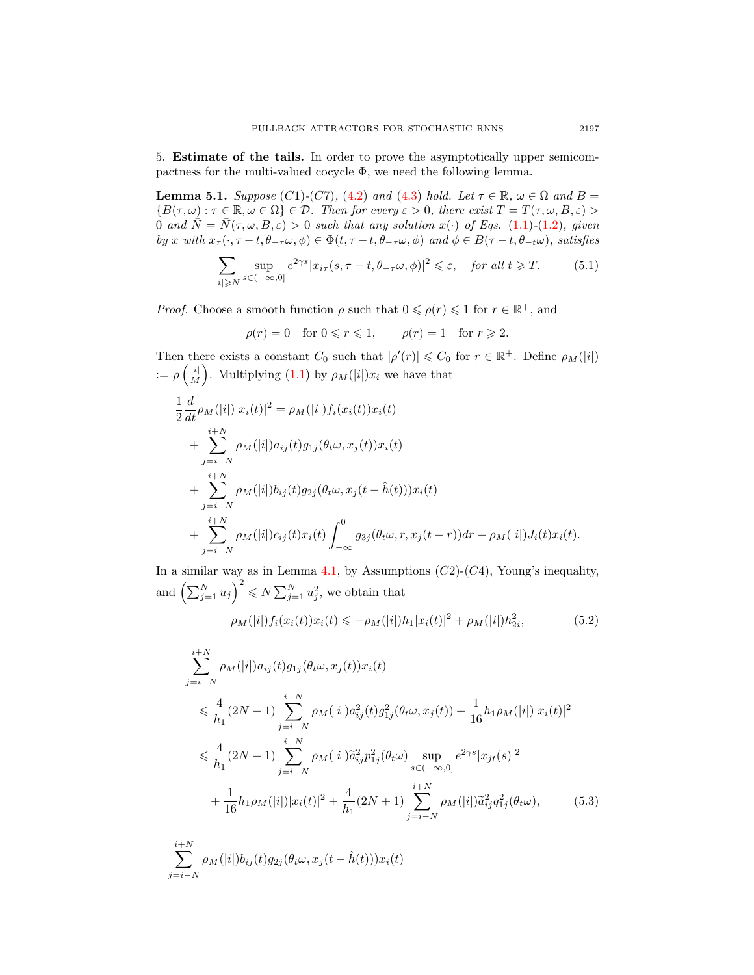5. Estimate of the tails. In order to prove the asymptotically upper semicompactness for the multi-valued cocycle  $\Phi$ , we need the following lemma.

<span id="page-10-1"></span>**Lemma 5.1.** Suppose (C1)-(C7), [\(4.2\)](#page-8-2) and [\(4.3\)](#page-8-3) hold. Let  $\tau \in \mathbb{R}$ ,  $\omega \in \Omega$  and  $B =$  ${B(\tau,\omega): \tau \in \mathbb{R}, \omega \in \Omega} \in \mathcal{D}$ . Then for every  $\varepsilon > 0$ , there exist  $T = T(\tau,\omega,B,\varepsilon) >$ 0 and  $\overline{N} = \overline{N}(\tau, \omega, B, \varepsilon) > 0$  such that any solution  $x(\cdot)$  of Eqs. [\(1.1\)](#page-1-0)-[\(1.2\)](#page-1-1), given by x with  $x_{\tau}(\cdot, \tau - t, \theta_{-\tau}\omega, \phi) \in \Phi(t, \tau - t, \theta_{-\tau}\omega, \phi)$  and  $\phi \in B(\tau - t, \theta_{-t}\omega)$ , satisfies

$$
\sum_{|i|\geqslant \bar{N}} \sup_{s\in (-\infty,0]} e^{2\gamma s} |x_{i\tau}(s,\tau-t,\theta_{-\tau}\omega,\phi)|^2 \leqslant \varepsilon, \quad \text{for all } t\geqslant T. \tag{5.1}
$$

*Proof.* Choose a smooth function  $\rho$  such that  $0 \leq \rho(r) \leq 1$  for  $r \in \mathbb{R}^+$ , and

$$
\rho(r) = 0 \quad \text{for } 0 \leq r \leq 1, \qquad \rho(r) = 1 \quad \text{for } r \geq 2.
$$

Then there exists a constant  $C_0$  such that  $|\rho'(r)| \leq C_0$  for  $r \in \mathbb{R}^+$ . Define  $\rho_M(|i|)$  $:=\rho\left(\frac{|i|}{M}\right)$  $\frac{|i|}{M}$ . Multiplying [\(1.1\)](#page-1-0) by  $\rho_M(|i|)x_i$  we have that

$$
\frac{1}{2} \frac{d}{dt} \rho_M(|i|)|x_i(t)|^2 = \rho_M(|i|) f_i(x_i(t))x_i(t) \n+ \sum_{j=i-N}^{i+N} \rho_M(|i|) a_{ij}(t) g_{1j}(\theta_t \omega, x_j(t))x_i(t) \n+ \sum_{j=i-N}^{i+N} \rho_M(|i|) b_{ij}(t) g_{2j}(\theta_t \omega, x_j(t - \hat{h}(t)))x_i(t) \n+ \sum_{j=i-N}^{i+N} \rho_M(|i|) c_{ij}(t) x_i(t) \int_{-\infty}^0 g_{3j}(\theta_t \omega, r, x_j(t+r)) dr + \rho_M(|i|) J_i(t) x_i(t).
$$

In a similar way as in Lemma [4.1,](#page-8-0) by Assumptions  $(C2)-(C4)$ , Young's inequality, and  $\left(\sum_{j=1}^N u_j\right)^2 \leq N \sum_{j=1}^N u_j^2$ , we obtain that

<span id="page-10-0"></span>
$$
\rho_M(|i|) f_i(x_i(t)) x_i(t) \leq -\rho_M(|i|) h_1 |x_i(t)|^2 + \rho_M(|i|) h_{2i}^2,
$$
\n(5.2)

$$
\sum_{j=i-N}^{i+N} \rho_M(|i|) a_{ij}(t) g_{1j}(\theta_t \omega, x_j(t)) x_i(t)
$$
\n
$$
\leq \frac{4}{h_1} (2N+1) \sum_{j=i-N}^{i+N} \rho_M(|i|) a_{ij}^2(t) g_{1j}^2(\theta_t \omega, x_j(t)) + \frac{1}{16} h_1 \rho_M(|i|) |x_i(t)|^2
$$
\n
$$
\leq \frac{4}{h_1} (2N+1) \sum_{j=i-N}^{i+N} \rho_M(|i|) \widetilde{a}_{ij}^2 p_{1j}^2(\theta_t \omega) \sup_{s \in (-\infty,0]} e^{2\gamma s} |x_{jt}(s)|^2
$$
\n
$$
+ \frac{1}{16} h_1 \rho_M(|i|) |x_i(t)|^2 + \frac{4}{h_1} (2N+1) \sum_{j=i-N}^{i+N} \rho_M(|i|) \widetilde{a}_{ij}^2 q_{1j}^2(\theta_t \omega), \qquad (5.3)
$$

$$
\sum_{j=i-N}^{i+N} \rho_M(|i|) b_{ij}(t) g_{2j}(\theta_t \omega, x_j(t - \hat{h}(t))) x_i(t)
$$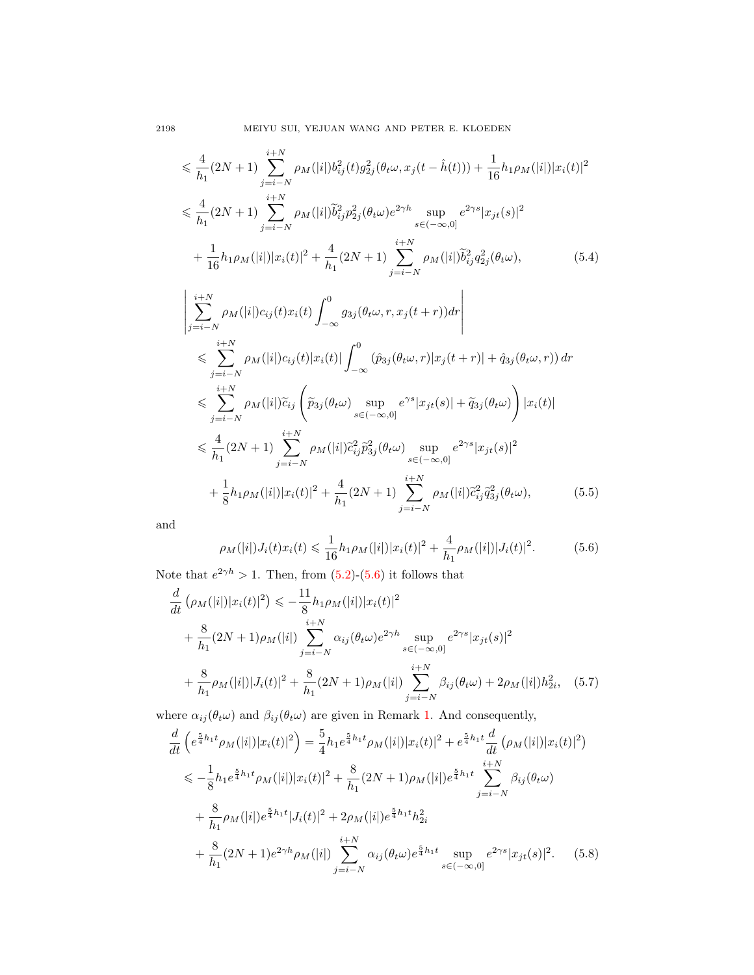$$
\leq \frac{4}{h_1} (2N+1) \sum_{j=i-N}^{i+N} \rho_M(|i|) b_{ij}^2(t) g_{2j}^2(\theta_t \omega, x_j(t - \hat{h}(t))) + \frac{1}{16} h_1 \rho_M(|i|) |x_i(t)|^2
$$
  

$$
\leq \frac{4}{h_1} (2N+1) \sum_{j=i-N}^{i+N} \rho_M(|i|) \tilde{b}_{ij}^2 p_{2j}^2(\theta_t \omega) e^{2\gamma h} \sup_{s \in (-\infty,0]} e^{2\gamma s} |x_{jt}(s)|^2
$$
  

$$
+ \frac{1}{16} h_1 \rho_M(|i|) |x_i(t)|^2 + \frac{4}{h_1} (2N+1) \sum_{j=i-N}^{i+N} \rho_M(|i|) \tilde{b}_{ij}^2 q_{2j}^2(\theta_t \omega), \qquad (5.4)
$$

$$
\begin{split}\n&\left|\sum_{j=i-N}^{i+N} \rho_M(|i|) c_{ij}(t) x_i(t) \int_{-\infty}^0 g_{3j}(\theta_t \omega, r, x_j(t+r)) dr \right| \\
&\leqslant \sum_{j=i-N}^{i+N} \rho_M(|i|) c_{ij}(t) |x_i(t)| \int_{-\infty}^0 (\hat{p}_{3j}(\theta_t \omega, r) |x_j(t+r)| + \hat{q}_{3j}(\theta_t \omega, r)) dr \\
&\leqslant \sum_{j=i-N}^{i+N} \rho_M(|i|) \widetilde{c}_{ij} \left( \widetilde{p}_{3j}(\theta_t \omega) \sup_{s \in (-\infty, 0]} e^{\gamma s} |x_{jt}(s)| + \widetilde{q}_{3j}(\theta_t \omega) \right) |x_i(t)| \\
&\leqslant \frac{4}{h_1} (2N+1) \sum_{j=i-N}^{i+N} \rho_M(|i|) \widetilde{c}_{ij}^2 \widetilde{p}_{3j}^2(\theta_t \omega) \sup_{s \in (-\infty, 0]} e^{2\gamma s} |x_{jt}(s)|^2 \\
&+ \frac{1}{8} h_1 \rho_M(|i|) |x_i(t)|^2 + \frac{4}{h_1} (2N+1) \sum_{j=i-N}^{i+N} \rho_M(|i|) \widetilde{c}_{ij}^2 \widetilde{q}_{3j}^2(\theta_t \omega), \end{split} \tag{5.5}
$$

and

<span id="page-11-0"></span>
$$
\rho_M(|i|)J_i(t)x_i(t) \leq \frac{1}{16}h_1\rho_M(|i|)|x_i(t)|^2 + \frac{4}{h_1}\rho_M(|i|)|J_i(t)|^2.
$$
 (5.6)

Note that  $e^{2\gamma h} > 1$ . Then, from  $(5.2)-(5.6)$  $(5.2)-(5.6)$  $(5.2)-(5.6)$  it follows that

$$
\frac{d}{dt} \left( \rho_M(|i|) |x_i(t)|^2 \right) \leq -\frac{11}{8} h_1 \rho_M(|i|) |x_i(t)|^2 \n+ \frac{8}{h_1} (2N+1) \rho_M(|i|) \sum_{j=i-N}^{i+N} \alpha_{ij} (\theta_t \omega) e^{2\gamma h} \sup_{s \in (-\infty,0]} e^{2\gamma s} |x_{jt}(s)|^2 \n+ \frac{8}{h_1} \rho_M(|i|) |J_i(t)|^2 + \frac{8}{h_1} (2N+1) \rho_M(|i|) \sum_{j=i-N}^{i+N} \beta_{ij} (\theta_t \omega) + 2\rho_M(|i|) h_{2i}^2, \quad (5.7)
$$

where  $\alpha_{ij}(\theta_t \omega)$  and  $\beta_{ij}(\theta_t \omega)$  are given in Remark [1.](#page-6-1) And consequently,

<span id="page-11-1"></span>
$$
\frac{d}{dt} \left( e^{\frac{5}{4}h_1 t} \rho_M(|i|) |x_i(t)|^2 \right) = \frac{5}{4} h_1 e^{\frac{5}{4}h_1 t} \rho_M(|i|) |x_i(t)|^2 + e^{\frac{5}{4}h_1 t} \frac{d}{dt} \left( \rho_M(|i|) |x_i(t)|^2 \right)
$$
\n
$$
\leq -\frac{1}{8} h_1 e^{\frac{5}{4}h_1 t} \rho_M(|i|) |x_i(t)|^2 + \frac{8}{h_1} (2N+1) \rho_M(|i|) e^{\frac{5}{4}h_1 t} \sum_{j=i-N}^{i+N} \beta_{ij}(\theta_t \omega)
$$
\n
$$
+ \frac{8}{h_1} \rho_M(|i|) e^{\frac{5}{4}h_1 t} |J_i(t)|^2 + 2\rho_M(|i|) e^{\frac{5}{4}h_1 t} h_{2i}^2
$$
\n
$$
+ \frac{8}{h_1} (2N+1) e^{2\gamma h} \rho_M(|i|) \sum_{j=i-N}^{i+N} \alpha_{ij}(\theta_t \omega) e^{\frac{5}{4}h_1 t} \sup_{s \in (-\infty,0]} e^{2\gamma s} |x_{jt}(s)|^2. \tag{5.8}
$$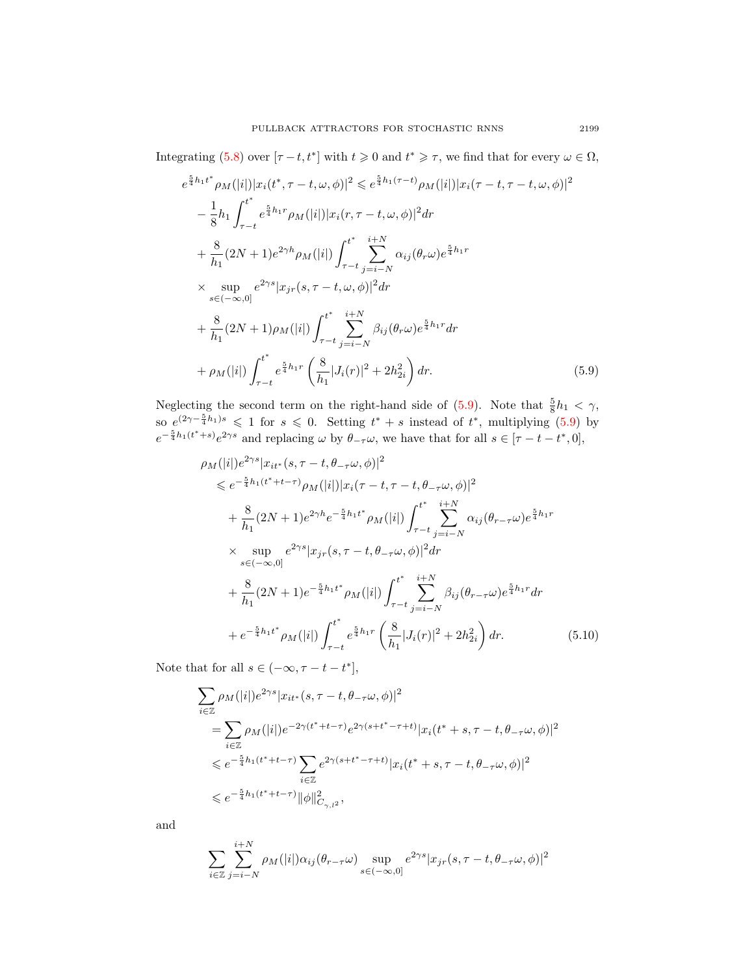Integrating [\(5.8\)](#page-11-1) over  $[\tau - t, t^*]$  with  $t \ge 0$  and  $t^* \ge \tau$ , we find that for every  $\omega \in \Omega$ ,

$$
e^{\frac{5}{4}h_1t^*}\rho_M(|i|)|x_i(t^*,\tau-t,\omega,\phi)|^2 \leqslant e^{\frac{5}{4}h_1(\tau-t)}\rho_M(|i|)|x_i(\tau-t,\tau-t,\omega,\phi)|^2 -\frac{1}{8}h_1\int_{\tau-t}^{t^*} e^{\frac{5}{4}h_1\tau}\rho_M(|i|)|x_i(\tau,\tau-t,\omega,\phi)|^2 d\tau +\frac{8}{h_1}(2N+1)e^{2\gamma h}\rho_M(|i|)\int_{\tau-t}^{t^*}\sum_{j=i-N}^{i+N} \alpha_{ij}(\theta_r\omega)e^{\frac{5}{4}h_1\tau} \times \sup_{s\in(-\infty,0]} e^{2\gamma s}|x_{jr}(s,\tau-t,\omega,\phi)|^2 d\tau +\frac{8}{h_1}(2N+1)\rho_M(|i|)\int_{\tau-t}^{t^*}\sum_{j=i-N}^{i+N} \beta_{ij}(\theta_r\omega)e^{\frac{5}{4}h_1\tau} d\tau +\rho_M(|i|)\int_{\tau-t}^{t^*} e^{\frac{5}{4}h_1\tau}\left(\frac{8}{h_1}|J_i(\tau)|^2+2h_{2i}^2\right) d\tau.
$$
 (5.9)

Neglecting the second term on the right-hand side of [\(5.9\)](#page-12-0). Note that  $\frac{5}{8}h_1 < \gamma$ , so  $e^{(2\gamma - \frac{5}{4}h_1)s} \leq 1$  for  $s \leq 0$ . Setting  $t^* + s$  instead of  $t^*$ , multiplying [\(5.9\)](#page-12-0) by  $e^{-\frac{5}{4}h_1(t^*+s)}e^{2\gamma s}$  and replacing  $\omega$  by  $\theta_{-\tau}\omega$ , we have that for all  $s \in [\tau-t-t^*,0],$ 

<span id="page-12-0"></span>
$$
\rho_{M}(|i|)e^{2\gamma s}|x_{it^{*}}(s,\tau-t,\theta_{-\tau}\omega,\phi)|^{2}
$$
\n
$$
\leq e^{-\frac{5}{4}h_{1}(t^{*}+t-\tau)}\rho_{M}(|i|)|x_{i}(\tau-t,\tau-t,\theta_{-\tau}\omega,\phi)|^{2}
$$
\n
$$
+\frac{8}{h_{1}}(2N+1)e^{2\gamma h}e^{-\frac{5}{4}h_{1}t^{*}}\rho_{M}(|i|)\int_{\tau-t}^{t^{*}}\sum_{j=i-N}^{i+N}\alpha_{ij}(\theta_{\tau-\tau}\omega)e^{\frac{5}{4}h_{1}r}
$$
\n
$$
\times \sup_{s\in(-\infty,0]}e^{2\gamma s}|x_{j\tau}(s,\tau-t,\theta_{-\tau}\omega,\phi)|^{2}dr
$$
\n
$$
+\frac{8}{h_{1}}(2N+1)e^{-\frac{5}{4}h_{1}t^{*}}\rho_{M}(|i|)\int_{\tau-t}^{t^{*}}\sum_{j=i-N}^{i+N}\beta_{ij}(\theta_{\tau-\tau}\omega)e^{\frac{5}{4}h_{1}r}dr
$$
\n
$$
+e^{-\frac{5}{4}h_{1}t^{*}}\rho_{M}(|i|)\int_{\tau-t}^{t^{*}}e^{\frac{5}{4}h_{1}r}\left(\frac{8}{h_{1}}|J_{i}(r)|^{2}+2h_{2i}^{2}\right)dr.
$$
\n(5.10)

Note that for all  $s \in (-\infty, \tau - t - t^*],$ 

$$
\begin{split} & \sum_{i\in\mathbb{Z}} \rho_M(|i|)e^{2\gamma s}|x_{it^*}(s,\tau-t,\theta_{-\tau}\omega,\phi)|^2\\ &=\sum_{i\in\mathbb{Z}} \rho_M(|i|)e^{-2\gamma(t^*+t-\tau)}e^{2\gamma(s+t^*-\tau+t)}|x_i(t^*+s,\tau-t,\theta_{-\tau}\omega,\phi)|^2\\ &\leqslant e^{-\frac{5}{4}h_1(t^*+t-\tau)}\sum_{i\in\mathbb{Z}}e^{2\gamma(s+t^*-\tau+t)}|x_i(t^*+s,\tau-t,\theta_{-\tau}\omega,\phi)|^2\\ &\leqslant e^{-\frac{5}{4}h_1(t^*+t-\tau)}\|\phi\|^2_{C_{\gamma,l^2}}, \end{split}
$$

and

$$
\sum_{i\in\mathbb{Z}}\sum_{j=i-N}^{i+N} \rho_M(|i|)\alpha_{ij}(\theta_{r-\tau}\omega)\sup_{s\in(-\infty,0]}e^{2\gamma s}|x_{jr}(s,\tau-t,\theta_{-\tau}\omega,\phi)|^2
$$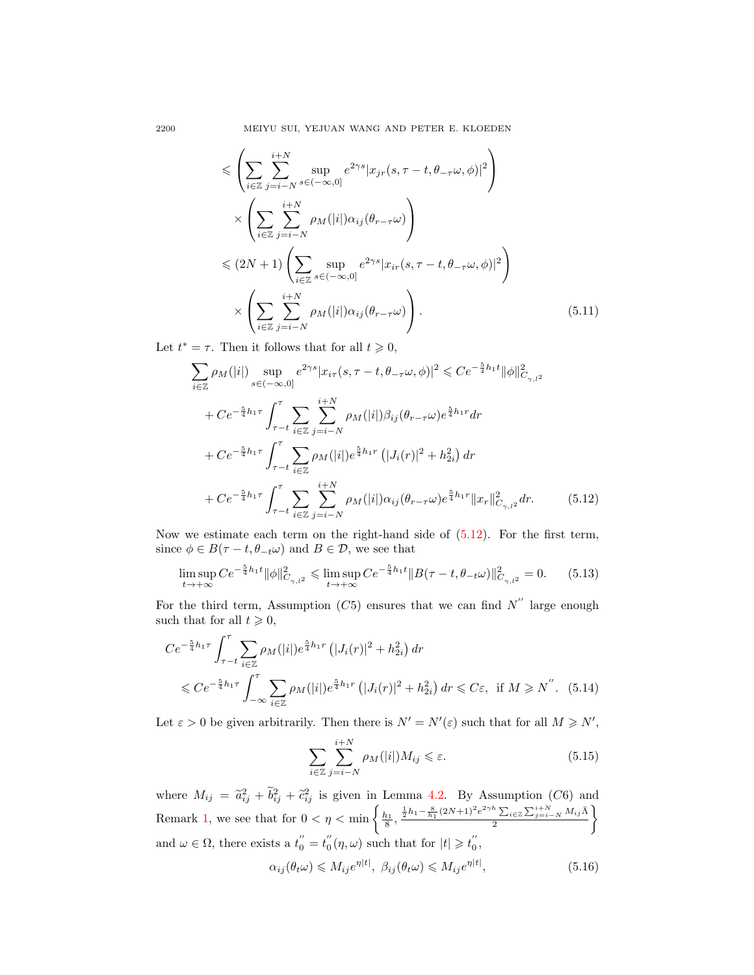$$
\leq \left( \sum_{i \in \mathbb{Z}} \sum_{j=i-N}^{i+N} \sup_{s \in (-\infty,0]} e^{2\gamma s} |x_{jr}(s, \tau - t, \theta_{-\tau}\omega, \phi)|^2 \right) \times \left( \sum_{i \in \mathbb{Z}} \sum_{j=i-N}^{i+N} \rho_M(|i|) \alpha_{ij}(\theta_{r-\tau}\omega) \right) \leq (2N+1) \left( \sum_{i \in \mathbb{Z}} \sup_{s \in (-\infty,0]} e^{2\gamma s} |x_{ir}(s, \tau - t, \theta_{-\tau}\omega, \phi)|^2 \right) \times \left( \sum_{i \in \mathbb{Z}} \sum_{j=i-N}^{i+N} \rho_M(|i|) \alpha_{ij}(\theta_{r-\tau}\omega) \right).
$$
\n(5.11)

Let  $t^* = \tau$ . Then it follows that for all  $t \geq 0$ ,

$$
\sum_{i\in\mathbb{Z}} \rho_M(|i|) \sup_{s\in(-\infty,0]} e^{2\gamma s} |x_{i\tau}(s,\tau - t, \theta_{-\tau}\omega,\phi)|^2 \leq C e^{-\frac{5}{4}h_1 t} ||\phi||^2_{C_{\gamma,l^2}} \n+ C e^{-\frac{5}{4}h_1 \tau} \int_{\tau-t}^{\tau} \sum_{i\in\mathbb{Z}} \sum_{j=i-N}^{i+N} \rho_M(|i|) \beta_{ij} (\theta_{r-\tau}\omega) e^{\frac{5}{4}h_1 r} dr \n+ C e^{-\frac{5}{4}h_1 \tau} \int_{\tau-t}^{\tau} \sum_{i\in\mathbb{Z}} \rho_M(|i|) e^{\frac{5}{4}h_1 r} (|J_i(r)|^2 + h_{2i}^2) dr \n+ C e^{-\frac{5}{4}h_1 \tau} \int_{\tau-t}^{\tau} \sum_{i\in\mathbb{Z}} \sum_{j=i-N}^{i+N} \rho_M(|i|) \alpha_{ij} (\theta_{r-\tau}\omega) e^{\frac{5}{4}h_1 r} ||x_r||^2_{C_{\gamma,l^2}} dr.
$$
\n(5.12)

Now we estimate each term on the right-hand side of  $(5.12)$ . For the first term, since  $\phi \in B(\tau - t, \theta_{-t}\omega)$  and  $B \in \mathcal{D}$ , we see that

$$
\limsup_{t \to +\infty} C e^{-\frac{5}{4}h_1 t} ||\phi||_{C_{\gamma,l^2}}^2 \leq \limsup_{t \to +\infty} C e^{-\frac{5}{4}h_1 t} ||B(\tau - t, \theta_{-t}\omega)||_{C_{\gamma,l^2}}^2 = 0. \tag{5.13}
$$

For the third term, Assumption (C5) ensures that we can find  $N''$  large enough such that for all  $t \geqslant 0$ ,

$$
Ce^{-\frac{5}{4}h_1\tau} \int_{\tau-t}^{\tau} \sum_{i \in \mathbb{Z}} \rho_M(|i|) e^{\frac{5}{4}h_1\tau} \left( |J_i(r)|^2 + h_{2i}^2 \right) dr
$$
  
\$\leqslant Ce^{-\frac{5}{4}h\_1\tau} \int\_{-\infty}^{\tau} \sum\_{i \in \mathbb{Z}} \rho\_M(|i|) e^{\frac{5}{4}h\_1\tau} \left( |J\_i(r)|^2 + h\_{2i}^2 \right) dr \leqslant C\varepsilon\$, if  $M \geqslant N^{''}$ . (5.14)

Let  $\varepsilon > 0$  be given arbitrarily. Then there is  $N' = N'(\varepsilon)$  such that for all  $M \ge N'$ ,

<span id="page-13-3"></span><span id="page-13-2"></span><span id="page-13-1"></span><span id="page-13-0"></span>
$$
\sum_{i \in \mathbb{Z}} \sum_{j=i-N}^{i+N} \rho_M(|i|) M_{ij} \leq \varepsilon. \tag{5.15}
$$

where  $M_{ij} = \tilde{a}_{ij}^2 + \tilde{b}_{ij}^2 + \tilde{c}_{ij}^2$  is given in Lemma [4.2.](#page-8-1) By Assumption (C6) and Remark [1,](#page-6-1) we see that for  $0 < \eta < \min\left\{\frac{h_1}{8}, \frac{\frac{1}{2}h_1 - \frac{8}{h_1}(2N+1)^2e^{2\gamma h}\sum_{i\in\mathbb{Z}}\sum_{j=i-N}^{i+N}M_{ij}\bar{\Lambda}_j\right\}$ 2  $\mathcal{L}$ and  $\omega \in \Omega$ , there exists a  $t_0'' = t_0''(\eta, \omega)$  such that for  $|t| \geq t_0''$ ,

$$
\alpha_{ij}(\theta_t \omega) \leqslant M_{ij} e^{\eta |t|}, \ \beta_{ij}(\theta_t \omega) \leqslant M_{ij} e^{\eta |t|}, \tag{5.16}
$$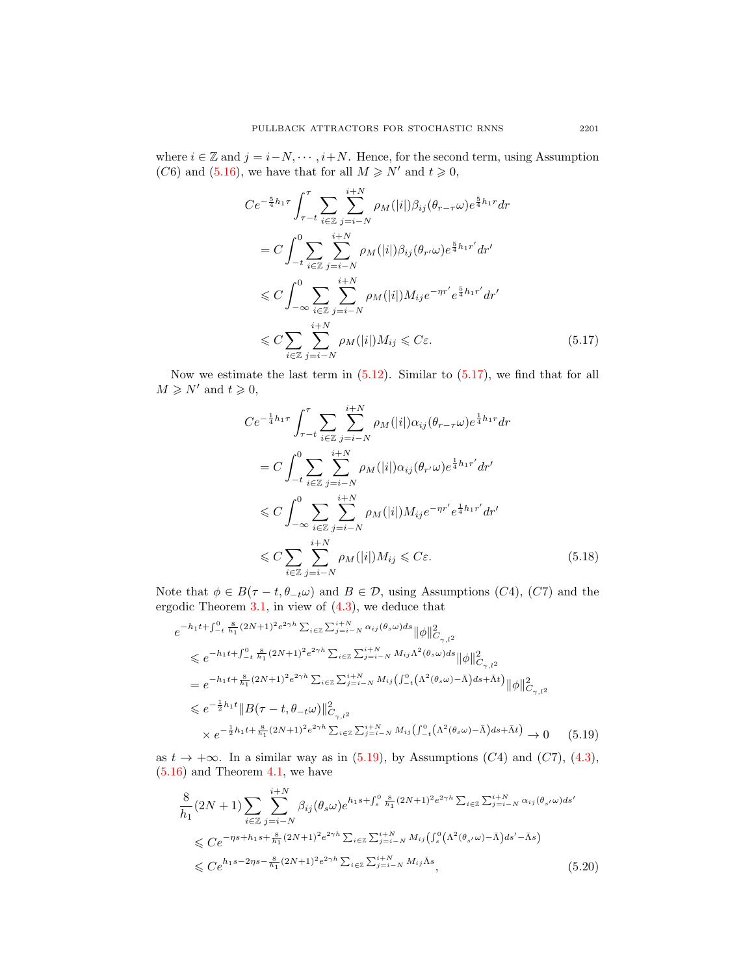where  $i \in \mathbb{Z}$  and  $j = i - N, \dots, i + N$ . Hence, for the second term, using Assumption (C6) and [\(5.16\)](#page-13-1), we have that for all  $M \ge N'$  and  $t \ge 0$ ,

$$
Ce^{-\frac{5}{4}h_1\tau} \int_{\tau-t}^{\tau} \sum_{i \in \mathbb{Z}} \sum_{j=i-N}^{i+N} \rho_M(|i|) \beta_{ij} (\theta_{r-\tau} \omega) e^{\frac{5}{4}h_1r} dr
$$
  
\n
$$
= C \int_{-t}^{0} \sum_{i \in \mathbb{Z}} \sum_{j=i-N}^{i+N} \rho_M(|i|) \beta_{ij} (\theta_{r'} \omega) e^{\frac{5}{4}h_1r'} dr'
$$
  
\n
$$
\leq C \int_{-\infty}^{0} \sum_{i \in \mathbb{Z}} \sum_{j=i-N}^{i+N} \rho_M(|i|) M_{ij} e^{-\eta r'} e^{\frac{5}{4}h_1r'} dr'
$$
  
\n
$$
\leq C \sum_{i \in \mathbb{Z}} \sum_{j=i-N}^{i+N} \rho_M(|i|) M_{ij} \leq C \varepsilon.
$$
 (5.17)

Now we estimate the last term in  $(5.12)$ . Similar to  $(5.17)$ , we find that for all  $M \geq N'$  and  $t \geq 0$ ,

<span id="page-14-3"></span><span id="page-14-0"></span>
$$
Ce^{-\frac{1}{4}h_1\tau} \int_{\tau-t}^{\tau} \sum_{i \in \mathbb{Z}} \sum_{j=i-N}^{i+N} \rho_M(|i|) \alpha_{ij} (\theta_{r-\tau}\omega) e^{\frac{1}{4}h_1r} dr
$$
  
\n
$$
= C \int_{-t}^{0} \sum_{i \in \mathbb{Z}} \sum_{j=i-N}^{i+N} \rho_M(|i|) \alpha_{ij} (\theta_{r'}\omega) e^{\frac{1}{4}h_1r'} dr'
$$
  
\n
$$
\leq C \int_{-\infty}^{0} \sum_{i \in \mathbb{Z}} \sum_{j=i-N}^{i+N} \rho_M(|i|) M_{ij} e^{-\eta r'} e^{\frac{1}{4}h_1r'} dr'
$$
  
\n
$$
\leq C \sum_{i \in \mathbb{Z}} \sum_{j=i-N}^{i+N} \rho_M(|i|) M_{ij} \leq C \varepsilon.
$$
 (5.18)

Note that  $\phi \in B(\tau - t, \theta_{-t}\omega)$  and  $B \in \mathcal{D}$ , using Assumptions (C4), (C7) and the ergodic Theorem [3.1,](#page-4-0) in view of [\(4.3\)](#page-8-3), we deduce that

$$
e^{-h_1t + \int_{-t}^{0} \frac{8}{h_1}(2N+1)^2 e^{2\gamma h} \sum_{i \in \mathbb{Z}} \sum_{j=i-N}^{i+N} \alpha_{ij}(\theta_s \omega) ds} ||\phi||^2_{C_{\gamma,1^2}}\n\leq e^{-h_1t + \int_{-t}^{0} \frac{8}{h_1}(2N+1)^2 e^{2\gamma h} \sum_{i \in \mathbb{Z}} \sum_{j=i-N}^{i+N} M_{ij} \Lambda^2(\theta_s \omega) ds} ||\phi||^2_{C_{\gamma,1^2}}\n= e^{-h_1t + \frac{8}{h_1}(2N+1)^2 e^{2\gamma h} \sum_{i \in \mathbb{Z}} \sum_{j=i-N}^{i+N} M_{ij} (\int_{-t}^{0} (\Lambda^2(\theta_s \omega) - \bar{\Lambda}) ds + \bar{\Lambda}t)} ||\phi||^2_{C_{\gamma,1^2}}\n\leq e^{-\frac{1}{2}h_1t} ||B(\tau - t, \theta_{-t} \omega)||^2_{C_{\gamma,1^2}}\n\times e^{-\frac{1}{2}h_1t + \frac{8}{h_1}(2N+1)^2 e^{2\gamma h} \sum_{i \in \mathbb{Z}} \sum_{j=i-N}^{i+N} M_{ij} (\int_{-t}^{0} (\Lambda^2(\theta_s \omega) - \bar{\Lambda}) ds + \bar{\Lambda}t)} \rightarrow 0
$$
\n(5.19)

as  $t \to +\infty$ . In a similar way as in [\(5.19\)](#page-14-1), by Assumptions (C4) and (C7), [\(4.3\)](#page-8-3),  $(5.16)$  and Theorem [4.1,](#page-8-0) we have

<span id="page-14-2"></span><span id="page-14-1"></span>
$$
\frac{8}{h_1}(2N+1)\sum_{i\in\mathbb{Z}}\sum_{j=i-N}^{i+N}\beta_{ij}(\theta_s\omega)e^{h_1s+\int_s^0\frac{8}{h_1}(2N+1)^2e^{2\gamma h}\sum_{i\in\mathbb{Z}}\sum_{j=i-N}^{i+N}\alpha_{ij}(\theta_{s'}\omega)ds'}\leq Ce^{-\eta s+h_1s+\frac{8}{h_1}(2N+1)^2e^{2\gamma h}\sum_{i\in\mathbb{Z}}\sum_{j=i-N}^{i+N}M_{ij}(\int_s^0(\Lambda^2(\theta_{s'}\omega)-\bar{\Lambda})ds'-\bar{\Lambda}s)}\leq Ce^{h_1s-2\eta s-\frac{8}{h_1}(2N+1)^2e^{2\gamma h}\sum_{i\in\mathbb{Z}}\sum_{j=i-N}^{i+N}M_{ij}\bar{\Lambda}s},
$$
\n(5.20)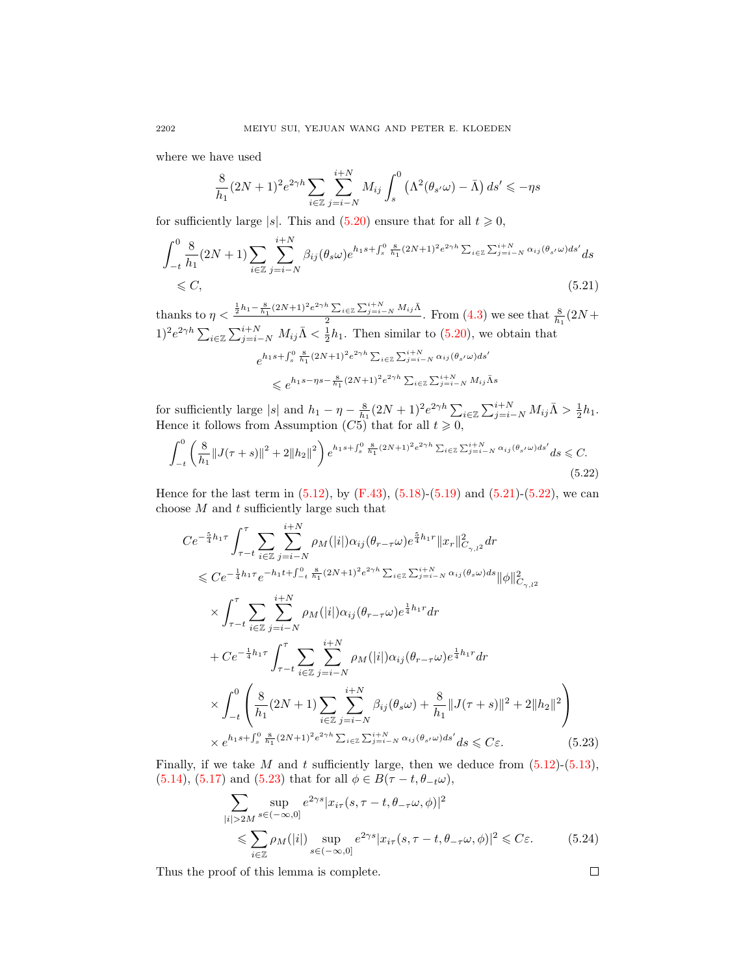where we have used

$$
\frac{8}{h_1}(2N+1)^2 e^{2\gamma h} \sum_{i \in \mathbb{Z}} \sum_{j=i-N}^{i+N} M_{ij} \int_s^0 \left(\Lambda^2(\theta_{s'}\omega) - \bar{\Lambda}\right) ds' \leq -\eta s
$$

for sufficiently large |s|. This and  $(5.20)$  ensure that for all  $t \ge 0$ ,

$$
\int_{-t}^{0} \frac{8}{h_1} (2N+1) \sum_{i \in \mathbb{Z}} \sum_{j=i-N}^{i+N} \beta_{ij} (\theta_s \omega) e^{h_1 s + \int_s^0 \frac{8}{h_1} (2N+1)^2 e^{2\gamma h} \sum_{i \in \mathbb{Z}} \sum_{j=i-N}^{i+N} \alpha_{ij} (\theta_{s'} \omega) ds'} ds
$$
  
\$\leq C\$,\n
$$
(5.21)
$$

thanks to  $\eta < \frac{\frac{1}{2}h_1 - \frac{8}{h_1}(2N+1)^2 e^{2\gamma h} \sum_{i \in \mathbb{Z}} \sum_{j=i-N}^{i+N} M_{ij} \bar{\Lambda}}{2}$  $\frac{\sum_{i\in\mathbb{Z}}\sum_{j=i-N}M_{ij}\Lambda}{2}$ . From  $(4.3)$  we see that  $\frac{8}{h_1}(2N+$  $(1)^2 e^{2\gamma h} \sum_{i \in \mathbb{Z}} \sum_{j=i-N}^{i+N} M_{ij} \bar{\Lambda} \langle \frac{1}{2} h_1 \rangle$ . Then similar to  $(5.20)$ , we obtain that  $e^{h_1 s + \int_s^0 \frac{8}{h_1} (2N+1)^2 e^{2\gamma h} \sum_{i \in \mathbb{Z}} \sum_{j=i-N}^{i+N} \alpha_{ij} (\theta_{s'} \omega) ds'}$ 

<span id="page-15-1"></span><span id="page-15-0"></span>
$$
\leqslant e^{h_1s-\eta s-\frac{8}{h_1}(2N+1)^2e^{2\gamma h}\sum_{i\in\mathbb{Z}}\sum_{j=i-N}^{i+N}M_{ij}\bar{\Lambda}s}
$$

for sufficiently large |s| and  $h_1 - \eta - \frac{8}{h_1}(2N+1)^2 e^{2\gamma h} \sum_{i \in \mathbb{Z}} \sum_{j=i-N}^{i+N} M_{ij} \bar{\Lambda} > \frac{1}{2} h_1$ . Hence it follows from Assumption  $(C5)$  that for all  $t \geq 0$ ,

$$
\int_{-t}^{0} \left(\frac{8}{h_1} \|J(\tau+s)\|^2 + 2\|h_2\|^2\right) e^{h_1 s + \int_{s}^{0} \frac{8}{h_1} (2N+1)^2 e^{2\gamma h} \sum_{i \in \mathbb{Z}} \sum_{j=i-N}^{i+N} \alpha_{ij}(\theta_{s'}\omega) ds'} ds \leq C.
$$
\n(5.22)

Hence for the last term in  $(5.12)$ , by  $(F.43)$ ,  $(5.18)$ - $(5.19)$  and  $(5.21)$ - $(5.22)$ , we can choose  $M$  and  $t$  sufficiently large such that

$$
Ce^{-\frac{5}{4}h_{1}\tau} \int_{\tau-t}^{\tau} \sum_{i\in\mathbb{Z}} \sum_{j=i-N}^{i+N} \rho_{M}(|i|) \alpha_{ij} (\theta_{r-\tau}\omega) e^{\frac{5}{4}h_{1}r} \|x_{r}\|_{C_{\gamma,l^{2}}}^{2} dr
$$
  
\n
$$
\leq Ce^{-\frac{1}{4}h_{1}\tau} e^{-h_{1}t+\int_{-t}^{0} \frac{8}{h_{1}} (2N+1)^{2} e^{2\gamma h} \sum_{i\in\mathbb{Z}} \sum_{j=i-N}^{i+N} \alpha_{ij}(\theta_{s}\omega) ds} \|\phi\|_{C_{\gamma,l^{2}}}^{2}
$$
  
\n
$$
\times \int_{\tau-t}^{\tau} \sum_{i\in\mathbb{Z}} \sum_{j=i-N}^{i+N} \rho_{M}(|i|) \alpha_{ij} (\theta_{r-\tau}\omega) e^{\frac{1}{4}h_{1}r} dr
$$
  
\n
$$
+ Ce^{-\frac{1}{4}h_{1}\tau} \int_{\tau-t}^{\tau} \sum_{i\in\mathbb{Z}} \sum_{j=i-N}^{i+N} \rho_{M}(|i|) \alpha_{ij} (\theta_{r-\tau}\omega) e^{\frac{1}{4}h_{1}r} dr
$$
  
\n
$$
\times \int_{-t}^{0} \left( \frac{8}{h_{1}} (2N+1) \sum_{i\in\mathbb{Z}} \sum_{j=i-N}^{i+N} \beta_{ij} (\theta_{s}\omega) + \frac{8}{h_{1}} \|J(\tau+s)\|^{2} + 2\|h_{2}\|^{2} \right)
$$
  
\n
$$
\times e^{h_{1}s+\int_{s}^{0} \frac{8}{h_{1}} (2N+1)^{2} e^{2\gamma h} \sum_{i\in\mathbb{Z}} \sum_{j=i-N}^{i+N} \alpha_{ij}(\theta_{s'}\omega) ds' ds \leq C \varepsilon.
$$
 (5.23)

Finally, if we take  $M$  and  $t$  sufficiently large, then we deduce from  $(5.12)-(5.13)$  $(5.12)-(5.13)$  $(5.12)-(5.13)$ , [\(5.14\)](#page-13-3), [\(5.17\)](#page-14-0) and [\(5.23\)](#page-15-2) that for all  $\phi \in B(\tau - t, \theta_{-t}\omega)$ ,

$$
\sum_{|i|>2M} \sup_{s \in (-\infty,0]} e^{2\gamma s} |x_{i\tau}(s,\tau - t, \theta_{-\tau}\omega, \phi)|^2
$$
  
\$\leqslant \sum\_{i \in \mathbb{Z}} \rho\_M(|i|) \sup\_{s \in (-\infty,0]} e^{2\gamma s} |x\_{i\tau}(s,\tau - t, \theta\_{-\tau}\omega, \phi)|^2 \leqslant C\epsilon\$. (5.24)

Thus the proof of this lemma is complete.

<span id="page-15-2"></span> $\Box$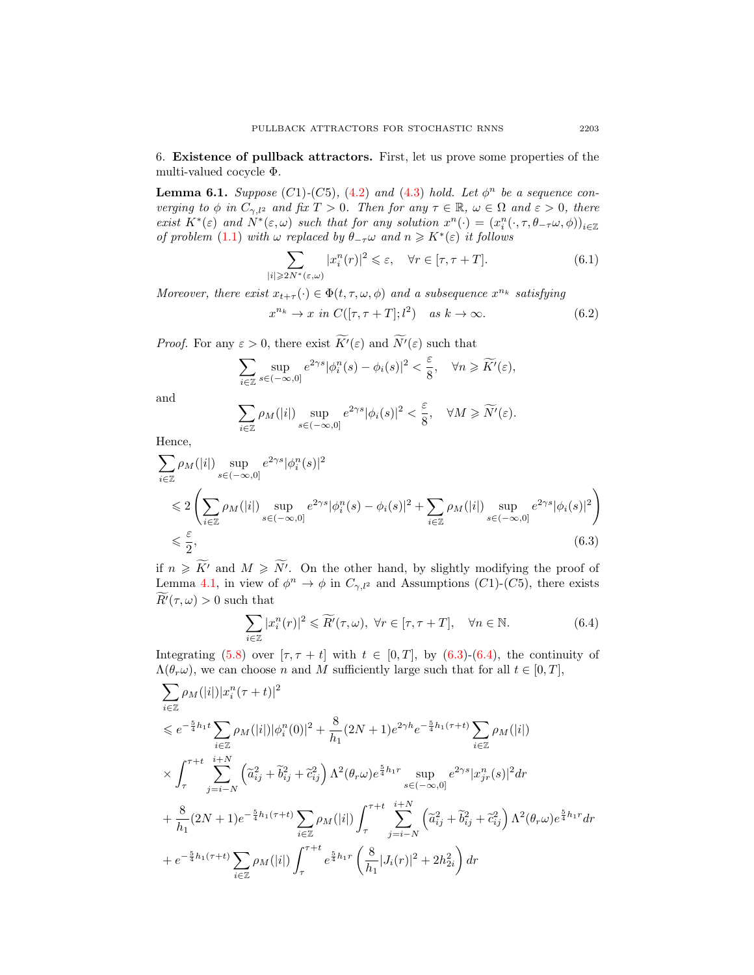6. Existence of pullback attractors. First, let us prove some properties of the multi-valued cocycle Φ.

<span id="page-16-4"></span>**Lemma 6.1.** Suppose  $(C1)$ - $(C5)$ ,  $(4.2)$  and  $(4.3)$  hold. Let  $\phi^n$  be a sequence converging to  $\phi$  in  $C_{\gamma,l^2}$  and fix  $T > 0$ . Then for any  $\tau \in \mathbb{R}$ ,  $\omega \in \Omega$  and  $\varepsilon > 0$ , there exist  $K^*(\varepsilon)$  and  $\tilde{N}^*(\varepsilon,\omega)$  such that for any solution  $x^n(\cdot)=(x_i^n(\cdot,\tau,\theta_{-\tau}\omega,\phi))_{i\in\mathbb{Z}}$ of problem [\(1.1\)](#page-1-0) with  $\omega$  replaced by  $\theta_{-\tau}\omega$  and  $n \geq K^*(\varepsilon)$  it follows

<span id="page-16-2"></span>
$$
\sum_{|i|\geqslant 2N^*(\varepsilon,\omega)} |x_i^n(r)|^2 \leqslant \varepsilon, \quad \forall r \in [\tau, \tau + T]. \tag{6.1}
$$

Moreover, there exist  $x_{t+\tau}(\cdot) \in \Phi(t, \tau, \omega, \phi)$  and a subsequence  $x^{n_k}$  satisfying

<span id="page-16-3"></span>
$$
x^{n_k} \to x \text{ in } C([\tau, \tau + T]; l^2) \quad \text{as } k \to \infty. \tag{6.2}
$$

*Proof.* For any  $\varepsilon > 0$ , there exist  $\widetilde{K}^{\prime}(\varepsilon)$  and  $\widetilde{N}^{\prime}(\varepsilon)$  such that

$$
\sum_{i\in\mathbb{Z}}\sup_{s\in(-\infty,0]}e^{2\gamma s}|\phi_i^n(s)-\phi_i(s)|^2<\frac{\varepsilon}{8},\quad\forall n\geqslant\widetilde{K}'(\varepsilon),
$$

and

$$
\sum_{i\in\mathbb{Z}} \rho_M(|i|) \sup_{s\in(-\infty,0]} e^{2\gamma s} |\phi_i(s)|^2 < \frac{\varepsilon}{8}, \quad \forall M \geqslant \widetilde{N}'(\varepsilon).
$$

Hence,

$$
\sum_{i\in\mathbb{Z}} \rho_M(|i|) \sup_{s\in(-\infty,0]} e^{2\gamma s} |\phi_i^n(s)|^2
$$
\n
$$
\leq 2 \left( \sum_{i\in\mathbb{Z}} \rho_M(|i|) \sup_{s\in(-\infty,0]} e^{2\gamma s} |\phi_i^n(s) - \phi_i(s)|^2 + \sum_{i\in\mathbb{Z}} \rho_M(|i|) \sup_{s\in(-\infty,0]} e^{2\gamma s} |\phi_i(s)|^2 \right)
$$
\n
$$
\leq \frac{\varepsilon}{2},\tag{6.3}
$$

if  $n \geqslant \widetilde{K}$  and  $M \geqslant \widetilde{N}'$ . On the other hand, by slightly modifying the proof of Lemma [4.1,](#page-8-0) in view of  $\phi^n \to \phi$  in  $C_{\gamma,l^2}$  and Assumptions (C1)-(C5), there exists  $R'(\tau,\omega) > 0$  such that

<span id="page-16-1"></span><span id="page-16-0"></span>
$$
\sum_{i\in\mathbb{Z}}|x_i^n(r)|^2\leqslant\widetilde{R}'(\tau,\omega),\ \forall r\in[\tau,\tau+T],\quad\forall n\in\mathbb{N}.\tag{6.4}
$$

Integrating [\(5.8\)](#page-11-1) over  $[\tau, \tau + t]$  with  $t \in [0, T]$ , by [\(6.3\)](#page-16-0)-[\(6.4\)](#page-16-1), the continuity of  $\Lambda(\theta_r\omega)$ , we can choose n and M sufficiently large such that for all  $t \in [0, T]$ ,

$$
\sum_{i\in\mathbb{Z}} \rho_M(|i|)|x_i^n(\tau+t)|^2
$$
\n
$$
\leq e^{-\frac{5}{4}h_1t} \sum_{i\in\mathbb{Z}} \rho_M(|i|)|\phi_i^n(0)|^2 + \frac{8}{h_1}(2N+1)e^{2\gamma h}e^{-\frac{5}{4}h_1(\tau+t)} \sum_{i\in\mathbb{Z}} \rho_M(|i|)
$$
\n
$$
\times \int_{\tau}^{\tau+t} \sum_{j=i-N}^{i+N} \left(\tilde{a}_{ij}^2 + \tilde{b}_{ij}^2 + \tilde{c}_{ij}^2\right) \Lambda^2(\theta_r\omega)e^{\frac{5}{4}h_1r} \sup_{s\in(-\infty,0]} e^{2\gamma s}|x_{jr}^n(s)|^2 dr
$$
\n
$$
+ \frac{8}{h_1}(2N+1)e^{-\frac{5}{4}h_1(\tau+t)} \sum_{i\in\mathbb{Z}} \rho_M(|i|) \int_{\tau}^{\tau+t} \sum_{j=i-N}^{i+N} \left(\tilde{a}_{ij}^2 + \tilde{b}_{ij}^2 + \tilde{c}_{ij}^2\right) \Lambda^2(\theta_r\omega)e^{\frac{5}{4}h_1r} dr
$$
\n
$$
+ e^{-\frac{5}{4}h_1(\tau+t)} \sum_{i\in\mathbb{Z}} \rho_M(|i|) \int_{\tau}^{\tau+t} e^{\frac{5}{4}h_1r} \left(\frac{8}{h_1}|J_i(r)|^2 + 2h_{2i}^2\right) dr
$$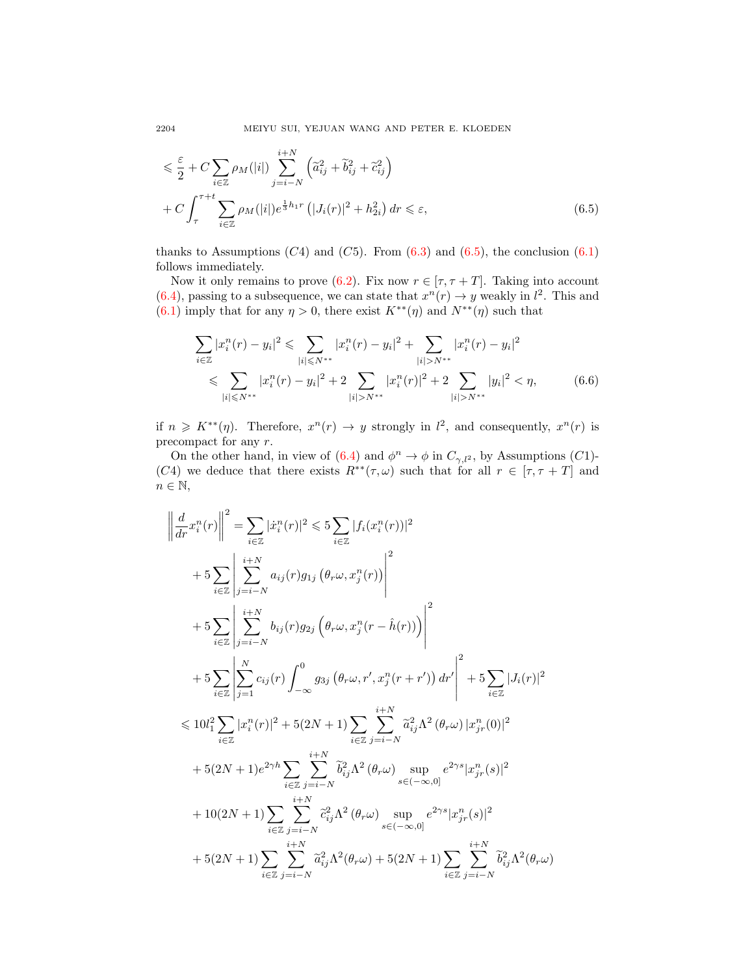$$
\leq \frac{\varepsilon}{2} + C \sum_{i \in \mathbb{Z}} \rho_M(|i|) \sum_{j=i-N}^{i+N} \left( \tilde{a}_{ij}^2 + \tilde{b}_{ij}^2 + \tilde{c}_{ij}^2 \right)
$$
  
+ 
$$
C \int_{\tau}^{\tau+t} \sum_{i \in \mathbb{Z}} \rho_M(|i|) e^{\frac{1}{3}h_1 r} \left( |J_i(r)|^2 + h_{2i}^2 \right) dr \leq \varepsilon,
$$
 (6.5)

thanks to Assumptions  $(C4)$  and  $(C5)$ . From  $(6.3)$  and  $(6.5)$ , the conclusion  $(6.1)$ follows immediately.

Now it only remains to prove [\(6.2\)](#page-16-3). Fix now  $r \in [\tau, \tau + T]$ . Taking into account [\(6.4\)](#page-16-1), passing to a subsequence, we can state that  $x^n(r) \to y$  weakly in  $l^2$ . This and  $(6.1)$  imply that for any  $\eta > 0$ , there exist  $K^{**}(\eta)$  and  $N^{**}(\eta)$  such that

<span id="page-17-0"></span>
$$
\sum_{i \in \mathbb{Z}} |x_i^n(r) - y_i|^2 \leqslant \sum_{|i| \leqslant N^{**}} |x_i^n(r) - y_i|^2 + \sum_{|i| > N^{**}} |x_i^n(r) - y_i|^2
$$
  

$$
\leqslant \sum_{|i| \leqslant N^{**}} |x_i^n(r) - y_i|^2 + 2 \sum_{|i| > N^{**}} |x_i^n(r)|^2 + 2 \sum_{|i| > N^{**}} |y_i|^2 < \eta,
$$
 (6.6)

if  $n \geq K^{**}(\eta)$ . Therefore,  $x^n(r) \to y$  strongly in  $l^2$ , and consequently,  $x^n(r)$  is precompact for any r.

On the other hand, in view of [\(6.4\)](#page-16-1) and  $\phi^n \to \phi$  in  $C_{\gamma,l^2}$ , by Assumptions (C1)-(C4) we deduce that there exists  $R^{**}(\tau,\omega)$  such that for all  $r \in [\tau,\tau+T]$  and  $n \in \mathbb{N}$ ,

$$
\left\| \frac{d}{dr} x_i^n(r) \right\|^2 = \sum_{i \in \mathbb{Z}} |\dot{x}_i^n(r)|^2 \leqslant 5 \sum_{i \in \mathbb{Z}} |f_i(x_i^n(r))|^2 \n+ 5 \sum_{i \in \mathbb{Z}} \left| \sum_{j=i-N}^{i+N} a_{ij}(r) g_{1j} \left( \theta_r \omega, x_j^n(r) \right) \right|^2 \n+ 5 \sum_{i \in \mathbb{Z}} \left| \sum_{j=i-N}^{i+N} b_{ij}(r) g_{2j} \left( \theta_r \omega, x_j^n(r - \hat{h}(r)) \right) \right|^2 \n+ 5 \sum_{i \in \mathbb{Z}} \left| \sum_{j=i-N}^{N} c_{ij}(r) \int_{-\infty}^0 g_{3j} \left( \theta_r \omega, r', x_j^n(r + r') \right) dr' \right|^2 + 5 \sum_{i \in \mathbb{Z}} |J_i(r)|^2 \n\leq 10l_1^2 \sum_{i \in \mathbb{Z}} |x_i^n(r)|^2 + 5(2N + 1) \sum_{i \in \mathbb{Z}} \sum_{j=i-N}^{i+N} \tilde{a}_{ij}^2 \Lambda^2 \left( \theta_r \omega \right) |x_{jr}^n(0)|^2 \n+ 5(2N + 1)e^{2\gamma h} \sum_{i \in \mathbb{Z}} \sum_{j=i-N}^{i+N} \tilde{b}_{ij}^2 \Lambda^2 \left( \theta_r \omega \right) \sup_{s \in (-\infty, 0]} e^{2\gamma s} |x_{jr}^n(s)|^2 \n+ 10(2N + 1) \sum_{i \in \mathbb{Z}} \sum_{j=i-N}^{i+N} \tilde{c}_{ij}^2 \Lambda^2 \left( \theta_r \omega \right) \sup_{s \in (-\infty, 0]} e^{2\gamma s} |x_{jr}^n(s)|^2 \n+ 5(2N + 1) \sum_{i \in \mathbb{Z}} \sum_{j=i-N}^{i+N} \tilde{a}_{ij}^2 \Lambda^2 \left( \theta_r \omega \right) + 5(2N + 1) \sum_{i \in \mathbb{Z}} \sum_{j=i-N}^{i+N} \tilde{b}_{ij}^2 \Lambda^2 \left( \theta_r \omega \right)
$$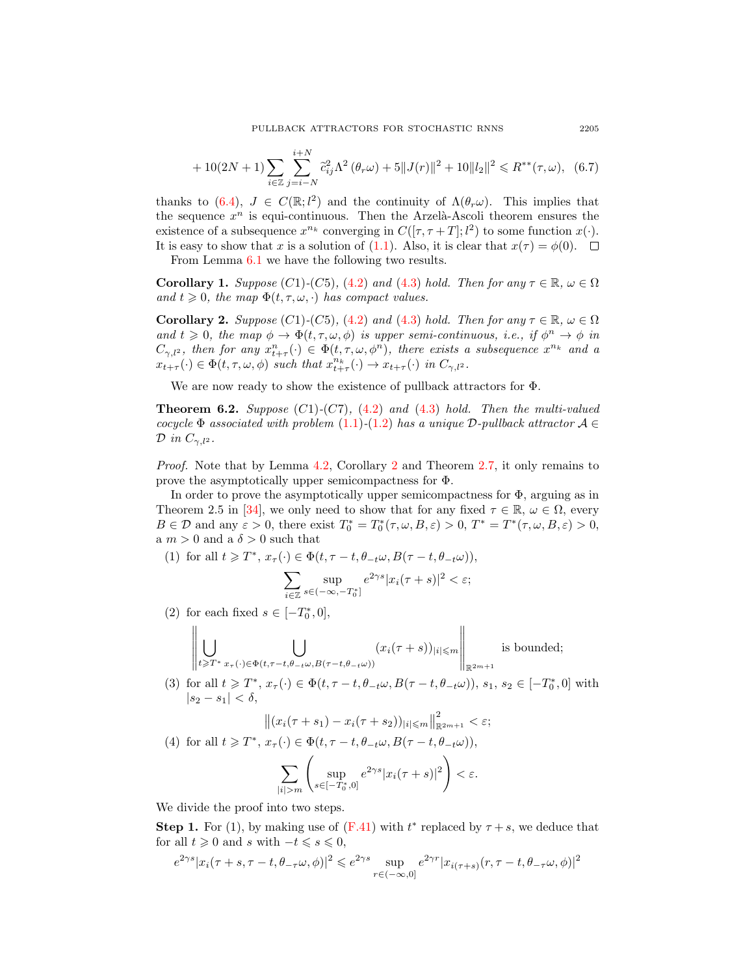$$
+10(2N+1)\sum_{i\in\mathbb{Z}}\sum_{j=i-N}^{i+N}\tilde{c}_{ij}^2\Lambda^2(\theta_r\omega)+5||J(r)||^2+10||l_2||^2\leq R^{**}(\tau,\omega),\tag{6.7}
$$

thanks to [\(6.4\)](#page-16-1),  $J \in C(\mathbb{R}; l^2)$  and the continuity of  $\Lambda(\theta_r \omega)$ . This implies that the sequence  $x^n$  is equi-continuous. Then the Arzelà-Ascoli theorem ensures the existence of a subsequence  $x^{n_k}$  converging in  $C([\tau, \tau + T]; l^2)$  to some function  $x(\cdot)$ . It is easy to show that x is a solution of [\(1.1\)](#page-1-0). Also, it is clear that  $x(\tau) = \phi(0)$ .  $\Box$ 

From Lemma [6.1](#page-16-4) we have the following two results.

**Corollary 1.** Suppose (C1)-(C5), [\(4.2\)](#page-8-2) and [\(4.3\)](#page-8-3) hold. Then for any  $\tau \in \mathbb{R}$ ,  $\omega \in \Omega$ and  $t \geq 0$ , the map  $\Phi(t, \tau, \omega, \cdot)$  has compact values.

<span id="page-18-0"></span>**Corollary 2.** Suppose (C1)-(C5), [\(4.2\)](#page-8-2) and [\(4.3\)](#page-8-3) hold. Then for any  $\tau \in \mathbb{R}$ ,  $\omega \in \Omega$ and  $t \geq 0$ , the map  $\phi \to \Phi(t, \tau, \omega, \phi)$  is upper semi-continuous, i.e., if  $\phi^n \to \phi$  in  $C_{\gamma,l^2}$ , then for any  $x_{t+\tau}^n(\cdot) \in \Phi(t,\tau,\omega,\phi^n)$ , there exists a subsequence  $x^{n_k}$  and a  $x_{t+\tau}(\cdot) \in \Phi(t,\tau,\omega,\phi)$  such that  $x_{t+\tau}^{n_k}(\cdot) \to x_{t+\tau}(\cdot)$  in  $C_{\gamma,l^2}$ .

We are now ready to show the existence of pullback attractors for Φ.

**Theorem 6.2.** Suppose  $(C1)$ - $(C7)$ ,  $(4.2)$  and  $(4.3)$  hold. Then the multi-valued cocycle  $\Phi$  associated with problem [\(1.1\)](#page-1-0)-[\(1.2\)](#page-1-1) has a unique D-pullback attractor  $\mathcal{A} \in$  $\mathcal{D}$  in  $C_{\gamma,l^2}$ .

Proof. Note that by Lemma [4.2,](#page-8-1) Corollary [2](#page-18-0) and Theorem [2.7,](#page-3-0) it only remains to prove the asymptotically upper semicompactness for Φ.

In order to prove the asymptotically upper semicompactness for  $\Phi$ , arguing as in Theorem 2.5 in [\[34\]](#page-34-6), we only need to show that for any fixed  $\tau \in \mathbb{R}$ ,  $\omega \in \Omega$ , every  $B \in \mathcal{D}$  and any  $\varepsilon > 0$ , there exist  $T_0^* = T_0^*(\tau, \omega, B, \varepsilon) > 0$ ,  $T^* = T^*(\tau, \omega, B, \varepsilon) > 0$ , a  $m > 0$  and a  $\delta > 0$  such that

(1) for all  $t \geqslant T^*, x_\tau(\cdot) \in \Phi(t, \tau - t, \theta_{-t}\omega, B(\tau - t, \theta_{-t}\omega)),$ 

$$
\sum_{i \in \mathbb{Z}} \sup_{s \in (-\infty, -T_0^*]} e^{2\gamma s} |x_i(\tau + s)|^2 < \varepsilon;
$$

(2) for each fixed  $s \in [-T_0^*, 0],$ 

 $\alpha$ 

$$
\left\|\bigcup_{t\geq T^*}\bigcup_{x_{\tau}(\cdot)\in\Phi(t,\tau-t,\theta_{-t}\omega,B(\tau-t,\theta_{-t}\omega))} (x_i(\tau+s))_{|i|\leqslant m}\right\|_{\mathbb{R}^{2m+1}}
$$
 is bounded;

(3) for all  $t \geq T^*$ ,  $x_\tau(\cdot) \in \Phi(t, \tau - t, \theta_{-t}\omega, B(\tau - t, \theta_{-t}\omega))$ ,  $s_1, s_2 \in [-T_0^*, 0]$  with  $|s_2 - s_1| < \delta$ ,

$$
||(x_i(\tau + s_1) - x_i(\tau + s_2))_{|i| \leq m}||^2_{\mathbb{R}^{2m+1}} < \varepsilon;
$$

(4) for all 
$$
t \geq T^*
$$
,  $x_{\tau}(\cdot) \in \Phi(t, \tau - t, \theta_{-t}\omega, B(\tau - t, \theta_{-t}\omega)),$   

$$
\sum_{|i|>m} \left( \sup_{s \in [-T_0^*, 0]} e^{2\gamma s} |x_i(\tau + s)|^2 \right) < \varepsilon.
$$

 $s{\in}[-T_0^{\ast},0]$ 

We divide the proof into two steps.

**Step 1.** For (1), by making use of  $(F.41)$  with  $t^*$  replaced by  $\tau + s$ , we deduce that for all  $t \geqslant 0$  and s with  $-t \leqslant s \leqslant 0$ ,

$$
e^{2\gamma s}|x_i(\tau+s,\tau-t,\theta_{-\tau}\omega,\phi)|^2 \leqslant e^{2\gamma s}\sup_{r\in(-\infty,0]}e^{2\gamma r}|x_{i(\tau+s)}(r,\tau-t,\theta_{-\tau}\omega,\phi)|^2
$$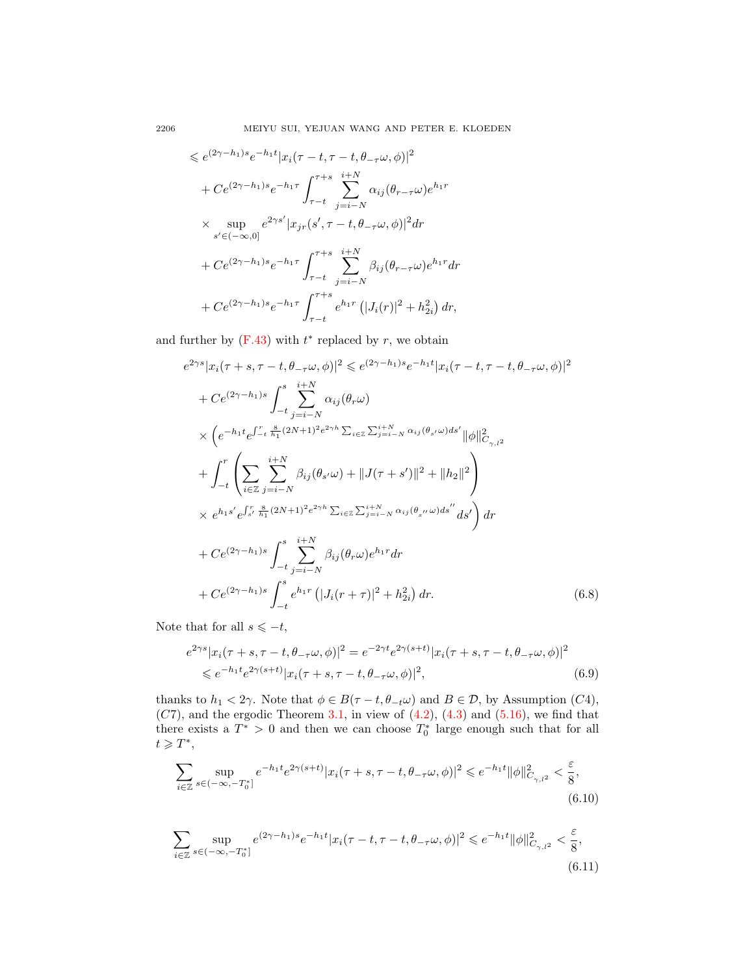$$
\leq e^{(2\gamma - h_1)s} e^{-h_1 t} |x_i(\tau - t, \tau - t, \theta_{-\tau}\omega, \phi)|^2
$$
  
+  $C e^{(2\gamma - h_1)s} e^{-h_1 \tau} \int_{\tau - t}^{\tau + s} \sum_{j=i-N}^{i+N} \alpha_{ij} (\theta_{r-\tau}\omega) e^{h_1 r}$   
  $\times \sup_{s' \in (-\infty, 0]} e^{2\gamma s'} |x_{jr}(s', \tau - t, \theta_{-\tau}\omega, \phi)|^2 dr$   
+  $C e^{(2\gamma - h_1)s} e^{-h_1 \tau} \int_{\tau - t}^{\tau + s} \sum_{j=i-N}^{i+N} \beta_{ij} (\theta_{r-\tau}\omega) e^{h_1 r} dr$   
+  $C e^{(2\gamma - h_1)s} e^{-h_1 \tau} \int_{\tau - t}^{\tau + s} e^{h_1 r} (|J_i(r)|^2 + h_{2i}^2) dr$ ,

and further by  $(F.43)$  with  $t^*$  replaced by r, we obtain

$$
e^{2\gamma s}|x_i(\tau+s,\tau-t,\theta_{-\tau}\omega,\phi)|^2 \leq e^{(2\gamma-h_1)s}e^{-h_1t}|x_i(\tau-t,\tau-t,\theta_{-\tau}\omega,\phi)|^2 + Ce^{(2\gamma-h_1)s}\int_{-t}^{s}\sum_{j=i-N}^{i+N}\alpha_{ij}(\theta_r\omega) \times \left(e^{-h_1t}e^{\int_{-t}^{r}\sum_{h_1}^{8}(2N+1)^2e^{2\gamma h}\sum_{i\in\mathbb{Z}}\sum_{j=i-N}^{i+N}\alpha_{ij}(\theta_{s'}\omega)ds'}\|\phi\|_{C_{\gamma,1}^2}^2 + \int_{-t}^{r}\left(\sum_{i\in\mathbb{Z}}\sum_{j=i-N}^{i+N}\beta_{ij}(\theta_{s'}\omega)+\|J(\tau+s')\|^2+\|h_2\|^2\right) \times e^{h_1s'}e^{\int_{s'}^{r}\sum_{h_1}^{8}(2N+1)^2e^{2\gamma h}\sum_{i\in\mathbb{Z}}\sum_{j=i-N}^{i+N}\alpha_{ij}(\theta_{s''}\omega)ds''}ds'\right)dr + Ce^{(2\gamma-h_1)s}\int_{-t}^{s}\sum_{j=i-N}^{i+N}\beta_{ij}(\theta_r\omega)e^{h_1r}dr + Ce^{(2\gamma-h_1)s}\int_{-t}^{s}e^{h_1r}\left(|J_i(\tau+\tau)|^2+h_{2i}^2\right)dr.
$$
 (6.8)

Note that for all  $s \leqslant -t,$ 

<span id="page-19-1"></span>
$$
e^{2\gamma s} |x_i(\tau + s, \tau - t, \theta_{-\tau}\omega, \phi)|^2 = e^{-2\gamma t} e^{2\gamma(s+t)} |x_i(\tau + s, \tau - t, \theta_{-\tau}\omega, \phi)|^2
$$
  
\$\leq e^{-h\_1 t} e^{2\gamma(s+t)} |x\_i(\tau + s, \tau - t, \theta\_{-\tau}\omega, \phi)|^2\$, \t(6.9)

thanks to  $h_1 < 2\gamma$ . Note that  $\phi \in B(\tau - t, \theta_{-t}\omega)$  and  $B \in \mathcal{D}$ , by Assumption (C4),  $(C7)$ , and the ergodic Theorem [3.1,](#page-4-0) in view of  $(4.2)$ ,  $(4.3)$  and  $(5.16)$ , we find that there exists a  $T^* > 0$  and then we can choose  $T_0^*$  large enough such that for all  $t \geqslant T^*,$ 

<span id="page-19-2"></span>
$$
\sum_{i \in \mathbb{Z}} \sup_{s \in (-\infty, -T_0^*]} e^{-h_1 t} e^{2\gamma(s+t)} |x_i(\tau+s, \tau-t, \theta_{-\tau}\omega, \phi)|^2 \leqslant e^{-h_1 t} ||\phi||_{C_{\gamma, l^2}}^2 < \frac{\varepsilon}{8},\tag{6.10}
$$

<span id="page-19-0"></span>
$$
\sum_{i \in \mathbb{Z}} \sup_{s \in (-\infty, -T_0^*]} e^{(2\gamma - h_1)s} e^{-h_1 t} |x_i(\tau - t, \tau - t, \theta_{-\tau}\omega, \phi)|^2 \leq e^{-h_1 t} ||\phi||_{C_{\gamma, l^2}}^2 < \frac{\varepsilon}{8},\tag{6.11}
$$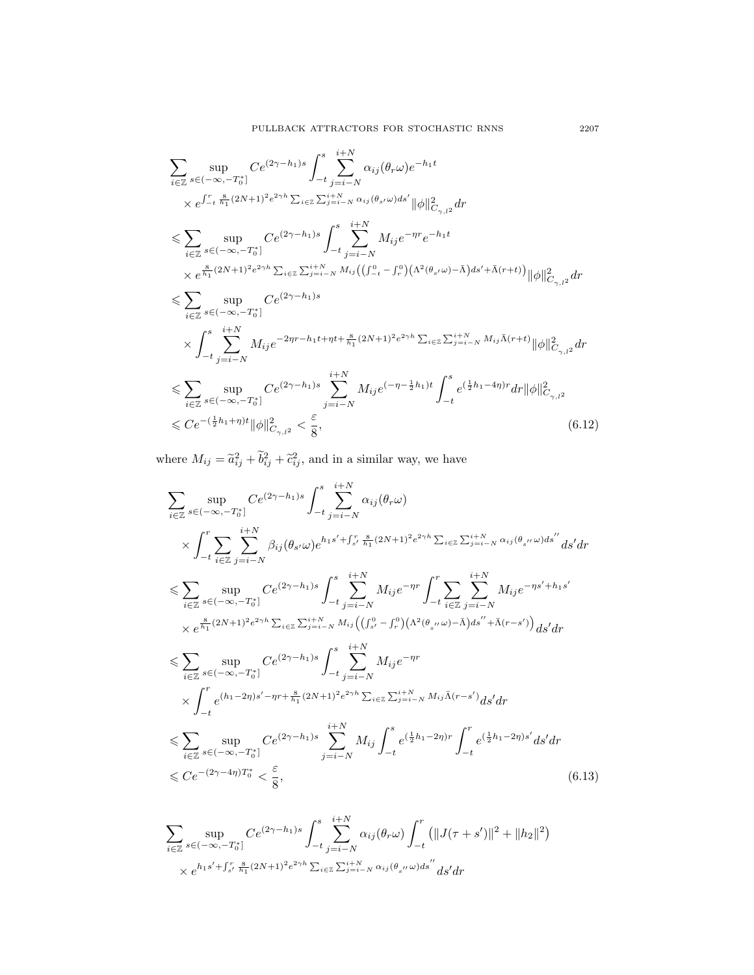$$
\sum_{i\in\mathbb{Z}} \sup_{s\in(-\infty,-T_0^*]} Ce^{(2\gamma-h_1)s} \int_{-t}^{s} \sum_{j=i-N}^{i+N} \alpha_{ij}(\theta_r \omega) e^{-h_1 t} \times e^{\int_{-t}^{t} \prod_{n_1}^{8} (2N+1)^2 e^{2\gamma h} \sum_{i\in\mathbb{Z}} \sum_{j=i-N}^{i+N} \alpha_{ij}(\theta_{s'}\omega) ds'} ||\phi||_{C_{\gamma,l^2}}^2 dr \n\leq \sum_{i\in\mathbb{Z}} \sup_{s\in(-\infty,-T_0^*]} Ce^{(2\gamma-h_1)s} \int_{-t}^{s} \sum_{j=i-N}^{i+N} M_{ij} e^{-\eta r} e^{-h_1 t} \times e^{\frac{8}{h_1}(2N+1)^2 e^{2\gamma h} \sum_{i\in\mathbb{Z}} \sum_{j=i-N}^{i+N} M_{ij}((\int_{-t}^{0} - \int_{r}^{0})(\Lambda^2(\theta_{s'}\omega) - \bar{\Lambda}) ds' + \bar{\Lambda}(r+t))} ||\phi||_{C_{\gamma,l^2}}^2 dr \n\leq \sum_{i\in\mathbb{Z}} \sup_{s\in(-\infty,-T_0^*]} Ce^{(2\gamma-h_1)s} \times \int_{-t}^{s} \sum_{j=i-N}^{i+N} M_{ij} e^{-2\eta r - h_1 t + \eta t + \frac{8}{h_1}(2N+1)^2 e^{2\gamma h} \sum_{i\in\mathbb{Z}} \sum_{j=i-N}^{i+N} M_{ij} \bar{\Lambda}(r+t)} ||\phi||_{C_{\gamma,l^2}}^2 dr \n\leq \sum_{i\in\mathbb{Z}} \sup_{s\in(-\infty,-T_0^*]} Ce^{(2\gamma-h_1)s} \sum_{j=i-N}^{i+N} M_{ij} e^{(-\eta - \frac{1}{2}h_1)t} \int_{-t}^{s} e^{(\frac{1}{2}h_1 - 4\eta)r} dr ||\phi||_{C_{\gamma,l^2}}^2 \n\leq C e^{-(\frac{1}{2}h_1 + \eta)t} ||\phi||_{C_{\gamma,l^2}}^2 < \frac{\varepsilon}{8},
$$
\n(6.12)

where  $M_{ij} = \tilde{a}_{ij}^2 + \tilde{b}_{ij}^2 + \tilde{c}_{ij}^2$ , and in a similar way, we have

$$
\sum_{i\in\mathbb{Z}} \sup_{s\in(-\infty,-T_0^*)} Ce^{(2\gamma-h_1)s} \int_{-t}^{s} \sum_{j=i-N}^{i+N} \alpha_{ij}(\theta_r \omega) \times \int_{-t}^{r} \sum_{i\in\mathbb{Z}} \sum_{j=i-N}^{i+N} \beta_{ij}(\theta_{s'}\omega) e^{h_1s' + \int_{s'}^{r} \frac{8}{h_1}(2N+1)^2 e^{2\gamma h} \sum_{i\in\mathbb{Z}} \sum_{j=i-N}^{i+N} \alpha_{ij}(\theta_{s''}\omega) ds''} ds'dr \n\leqslant \sum_{i\in\mathbb{Z}} \sup_{s\in(-\infty,-T_0^*)} Ce^{(2\gamma-h_1)s} \int_{-t}^{s} \sum_{j=i-N}^{i+N} M_{ij}e^{-\eta r} \int_{-t}^{r} \sum_{i\in\mathbb{Z}} \sum_{j=i-N}^{i+N} M_{ij}e^{-\eta s' + h_1s'} \times e^{\frac{8}{h_1}(2N+1)^2 e^{2\gamma h} \sum_{i\in\mathbb{Z}} \sum_{j=i-N}^{i+N} M_{ij}((\int_{s'}^{0} - \int_{r}^{0})(\Lambda^2(\theta_{s''}\omega) - \bar{\Lambda})ds'' + \bar{\Lambda}(r-s'))} ds'dr \n\leqslant \sum_{i\in\mathbb{Z}} \sup_{s\in(-\infty,-T_0^*)} Ce^{(2\gamma-h_1)s} \int_{-t}^{s} \sum_{j=i-N}^{i+N} M_{ij}e^{-\eta r} \times \int_{-t}^{r} e^{(h_1-2\eta)s'-\eta r + \frac{8}{h_1}(2N+1)^2 e^{2\gamma h} \sum_{i\in\mathbb{Z}} \sum_{j=i-N}^{i+N} M_{ij} \bar{\Lambda}(r-s') ds'dr \n\leqslant \sum_{i\in\mathbb{Z}} \sup_{s\in(-\infty,-T_0^*)} Ce^{(2\gamma-h_1)s} \sum_{j=i-N}^{i+N} M_{ij} \int_{-t}^{s} e^{(\frac{1}{2}h_1-2\eta)r} \int_{-t}^{r} e^{(\frac{1}{2}h_1-2\eta)s'} ds'dr \n\leqslant Ce^{-(2\gamma-4\eta)T_0^*} < \frac{\varepsilon}{8},
$$

$$
\sum_{i \in \mathbb{Z}} \sup_{s \in (-\infty, -T_0^*]} Ce^{(2\gamma - h_1)s} \int_{-t}^s \sum_{j=i-N}^{i+N} \alpha_{ij}(\theta_r \omega) \int_{-t}^r (||J(\tau + s')||^2 + ||h_2||^2) \times e^{h_1s' + \int_{s'}^r \frac{8}{h_1}(2N+1)^2 e^{2\gamma h} \sum_{i \in \mathbb{Z}} \sum_{j=i-N}^{i+N} \alpha_{ij}(\theta_{s''} \omega) ds''} ds' dr
$$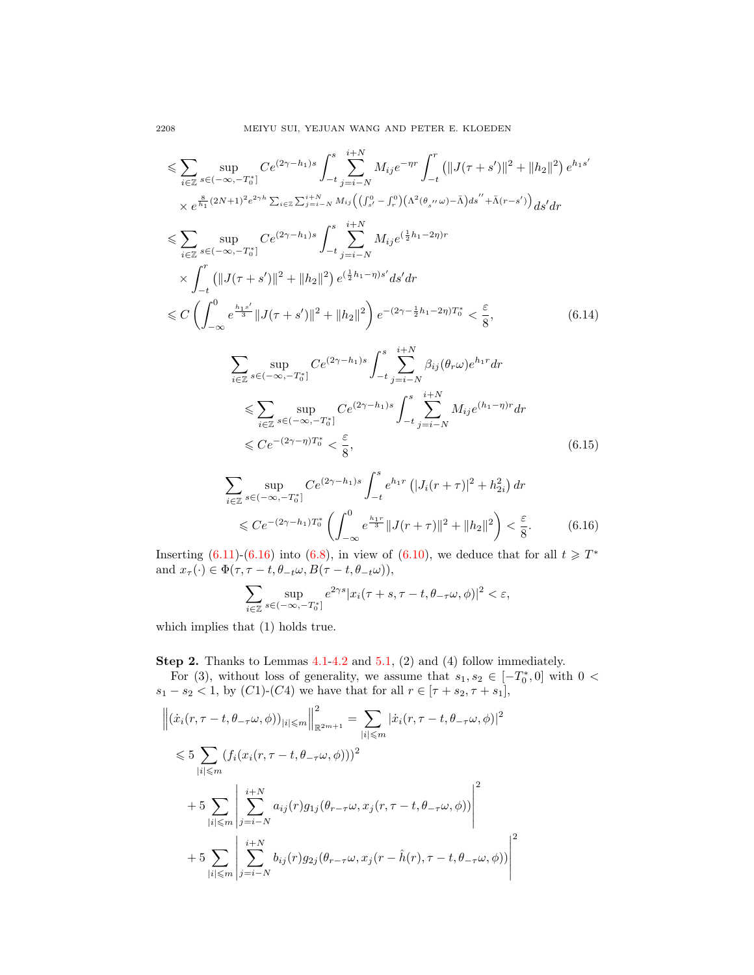$$
\leq \sum_{i\in\mathbb{Z}} \sup_{s\in(-\infty,-T_0^*]} Ce^{(2\gamma-h_1)s} \int_{-t}^{s} \sum_{j=i-N}^{i+N} M_{ij} e^{-\eta r} \int_{-t}^{r} (||J(\tau+s')||^2 + ||h_2||^2) e^{h_1s'}
$$
\n
$$
\times e^{\frac{8}{h_1}(2N+1)^2 e^{2\gamma h} \sum_{i\in\mathbb{Z}} \sum_{j=i-N}^{i+N} M_{ij} ((\int_{s'}^{0} - \int_{r}^{0})(\Lambda^2(\theta_{s''}\omega) - \bar{\Lambda})ds'' + \bar{\Lambda}(r-s'))} ds' dr
$$
\n
$$
\leq \sum_{i\in\mathbb{Z}} \sup_{s\in(-\infty,-T_0^*]} Ce^{(2\gamma-h_1)s} \int_{-t}^{s} \sum_{j=i-N}^{i+N} M_{ij} e^{(\frac{1}{2}h_1-2\eta)r}
$$
\n
$$
\times \int_{-t}^{r} (||J(\tau+s')||^2 + ||h_2||^2) e^{(\frac{1}{2}h_1-\eta)s'} ds' dr
$$
\n
$$
\leq C \left( \int_{-\infty}^{0} e^{\frac{h_1s'}{3}} ||J(\tau+s')||^2 + ||h_2||^2 \right) e^{-(2\gamma-\frac{1}{2}h_1-2\eta)T_0^*} < \frac{\varepsilon}{8}, \qquad (6.14)
$$
\n
$$
\sum_{i\in\mathbb{Z}} \sup_{s\in(-\infty,-T_0^*]} Ce^{(2\gamma-h_1)s} \int_{-t}^{s} \sum_{j=i-N}^{i+N} \beta_{ij}(\theta_r\omega) e^{h_1r} dr
$$
\n
$$
\leq \sum_{i\in\mathbb{Z}} \sup_{s\in(-\infty,-T_0^*]} Ce^{(2\gamma-h_1)s} \int_{-t}^{s} \sum_{j=i-N}^{i+N} M_{ij} e^{(h_1-\eta)r} dr
$$
\n
$$
\leq C e^{-(2\gamma-\eta)T_0^*} < \frac{\varepsilon}{8}, \qquad (6.15)
$$

$$
\sum_{i \in \mathbb{Z}} \sup_{s \in (-\infty, -T_0^*]} Ce^{(2\gamma - h_1)s} \int_{-t}^s e^{h_1 r} \left( |J_i(r + \tau)|^2 + h_{2i}^2 \right) dr
$$
  
\$\leqslant Ce^{-(2\gamma - h\_1)T\_0^\*} \left( \int\_{-\infty}^0 e^{\frac{h\_1 r}{3}} ||J(r + \tau)||^2 + ||h\_2||^2 \right) < \frac{\varepsilon}{8}\$. (6.16)

Inserting [\(6.11\)](#page-19-0)-[\(6.16\)](#page-21-0) into [\(6.8\)](#page-19-1), in view of [\(6.10\)](#page-19-2), we deduce that for all  $t \geq T^*$ and  $x_{\tau}(\cdot) \in \Phi(\tau, \tau - t, \theta_{-t}\omega, B(\tau - t, \theta_{-t}\omega)),$ 

<span id="page-21-0"></span>
$$
\sum_{i\in\mathbb{Z}}\sup_{s\in(-\infty,-T_0^*]}e^{2\gamma s}|x_i(\tau+s,\tau-t,\theta_{-\tau}\omega,\phi)|^2<\varepsilon,
$$

which implies that (1) holds true.

Step 2. Thanks to Lemmas [4.1](#page-8-0)[-4.2](#page-8-1) and [5.1,](#page-10-1) (2) and (4) follow immediately.

For (3), without loss of generality, we assume that  $s_1, s_2 \in [-T_0^*, 0]$  with  $0 <$  $s_1 - s_2 < 1$ , by  $(C1)-(C4)$  we have that for all  $r \in [\tau + s_2, \tau + s_1]$ ,

$$
\left\| (\dot{x}_i(r, \tau - t, \theta_{-\tau}\omega, \phi))_{|i| \le m} \right\|_{\mathbb{R}^{2m+1}}^2 = \sum_{|i| \le m} |\dot{x}_i(r, \tau - t, \theta_{-\tau}\omega, \phi)|^2
$$
  
\n
$$
\le 5 \sum_{|i| \le m} (f_i(x_i(r, \tau - t, \theta_{-\tau}\omega, \phi)))^2
$$
  
\n
$$
+ 5 \sum_{|i| \le m} \left| \sum_{j=i-N}^{i+N} a_{ij}(r) g_{1j}(\theta_{r-\tau}\omega, x_j(r, \tau - t, \theta_{-\tau}\omega, \phi)) \right|^2
$$
  
\n
$$
+ 5 \sum_{|i| \le m} \left| \sum_{j=i-N}^{i+N} b_{ij}(r) g_{2j}(\theta_{r-\tau}\omega, x_j(r - \hat{h}(r), \tau - t, \theta_{-\tau}\omega, \phi)) \right|^2
$$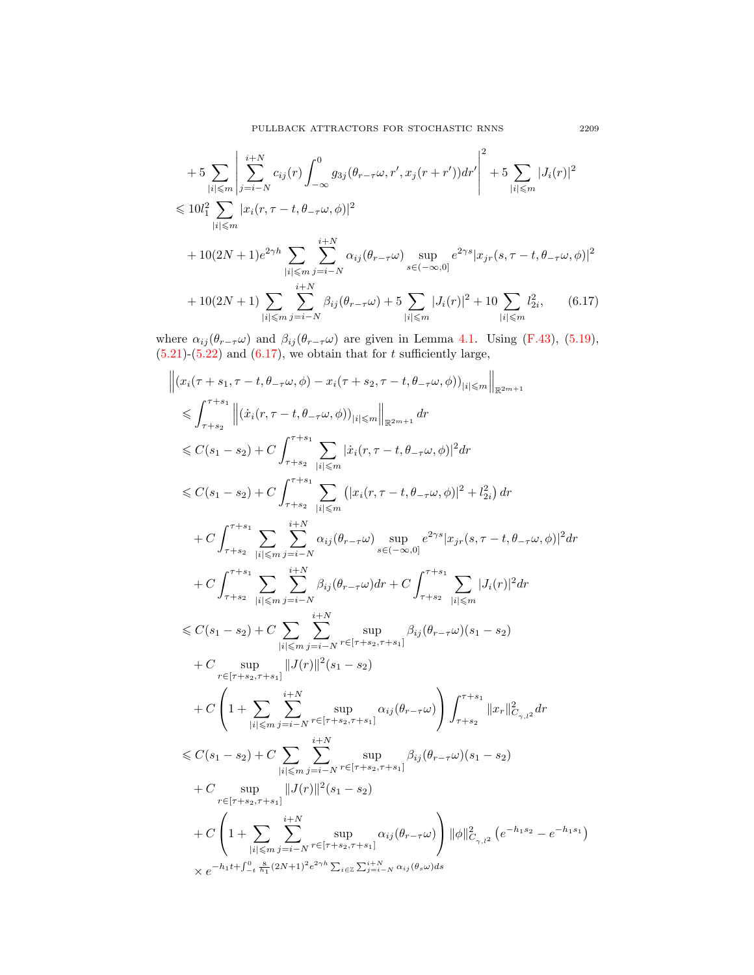$$
+ 5 \sum_{|i| \le m} \left| \sum_{j=i-N}^{i+N} c_{ij}(r) \int_{-\infty}^{0} g_{3j}(\theta_{r-\tau}\omega, r', x_j(r+r')) dr' \right|^2 + 5 \sum_{|i| \le m} |J_i(r)|^2
$$
  
\n
$$
\le 10l_1^2 \sum_{|i| \le m} |x_i(r, \tau - t, \theta_{-\tau}\omega, \phi)|^2
$$
  
\n
$$
+ 10(2N+1)e^{2\gamma h} \sum_{|i| \le m} \sum_{j=i-N}^{i+N} \alpha_{ij}(\theta_{r-\tau}\omega) \sup_{s \in (-\infty,0]} e^{2\gamma s} |x_{jr}(s, \tau - t, \theta_{-\tau}\omega, \phi)|^2
$$
  
\n
$$
+ 10(2N+1) \sum_{|i| \le m} \sum_{j=i-N}^{i+N} \beta_{ij}(\theta_{r-\tau}\omega) + 5 \sum_{|i| \le m} |J_i(r)|^2 + 10 \sum_{|i| \le m} l_{2i}^2, \qquad (6.17)
$$

where  $\alpha_{ij}(\theta_{r-\tau}\omega)$  and  $\beta_{ij}(\theta_{r-\tau}\omega)$  are given in Lemma [4.1.](#page-8-0) Using [\(F.43\)](#page-32-2), [\(5.19\)](#page-14-1),  $(5.21)-(5.22)$  $(5.21)-(5.22)$  $(5.21)-(5.22)$  and  $(6.17)$ , we obtain that for t sufficiently large,

$$
\begin{split} &\left\| \left(x_{i}(\tau+s_{1},\tau-t,\theta_{-\tau}\omega,\phi)-x_{i}(\tau+s_{2},\tau-t,\theta_{-\tau}\omega,\phi)\right)_{|i|\leqslant m}\right\|_{\mathbb{R}^{2m+1}}\\ &\leqslant \int_{\tau+s_{2}}^{\tau+s_{1}}\left\| \left(\dot{x}_{i}(\tau,\tau-t,\theta_{-\tau}\omega,\phi))_{|i|\leqslant m}\right\|_{\mathbb{R}^{2m+1}}d r\\ &\leqslant C(s_{1}-s_{2})+C\int_{\tau+s_{2}}^{\tau+s_{1}}\sum_{|i|\leqslant m}| \left|\dot{x}_{i}(\tau,\tau-t,\theta_{-\tau}\omega,\phi)\right|^{2}dr\\ &\leqslant C(s_{1}-s_{2})+C\int_{\tau+s_{2}}^{\tau+s_{1}}\sum_{|i|\leqslant m}| \left(|x_{i}(\tau,\tau-t,\theta_{-\tau}\omega,\phi)|^{2}+l_{2i}^{2}\right)dr\\ &+C\int_{\tau+s_{2}}^{\tau+s_{1}}\sum_{|i|\leqslant m}\sum_{j=i-N}^{i+N}\alpha_{ij}(\theta_{r-\tau}\omega)\sup_{s\in(-\infty,0]}e^{2\gamma s}|x_{j\tau}(s,\tau-t,\theta_{-\tau}\omega,\phi)|^{2}dr\\ &+C\int_{\tau+s_{2}}^{\tau+s_{1}}\sum_{|i|\leqslant m}\sum_{j=i-N}^{i+N}\alpha_{ij}(\theta_{r-\tau}\omega)dr+C\int_{\tau+s_{2}}^{\tau+s_{1}}\sum_{|i|\leqslant m}|J_{i}(r)|^{2}dr\\ &\leqslant C(s_{1}-s_{2})+C\sum_{|i|\leqslant m}\sum_{j=i-N}^{i+N}\sup_{r\in[\tau+s_{2},\tau+s_{1}]}\beta_{ij}(\theta_{r-\tau}\omega)(s_{1}-s_{2})\\ &+C\sup_{|i|\leqslant m}\| |J(r)||^{2}(s_{1}-s_{2})\\ &+C\left(1+\sum_{|i|\leqslant m}\sum_{j=i-N}^{i+N}\sup_{r\in[\tau+s_{2},\tau+s_{1}]}\alpha_{ij}(\theta_{r-\tau}\omega)\right)\int_{\tau+s_{2}}^{\tau+s_{1}}\|x_{r}\|_{C_{\gamma,l^{2}}}^{2}dr\\ &\leqslant C(s_{1}-s_{2})+C\sum_{|i|\leqslant m}\sum_{j=i-N}
$$

<span id="page-22-0"></span>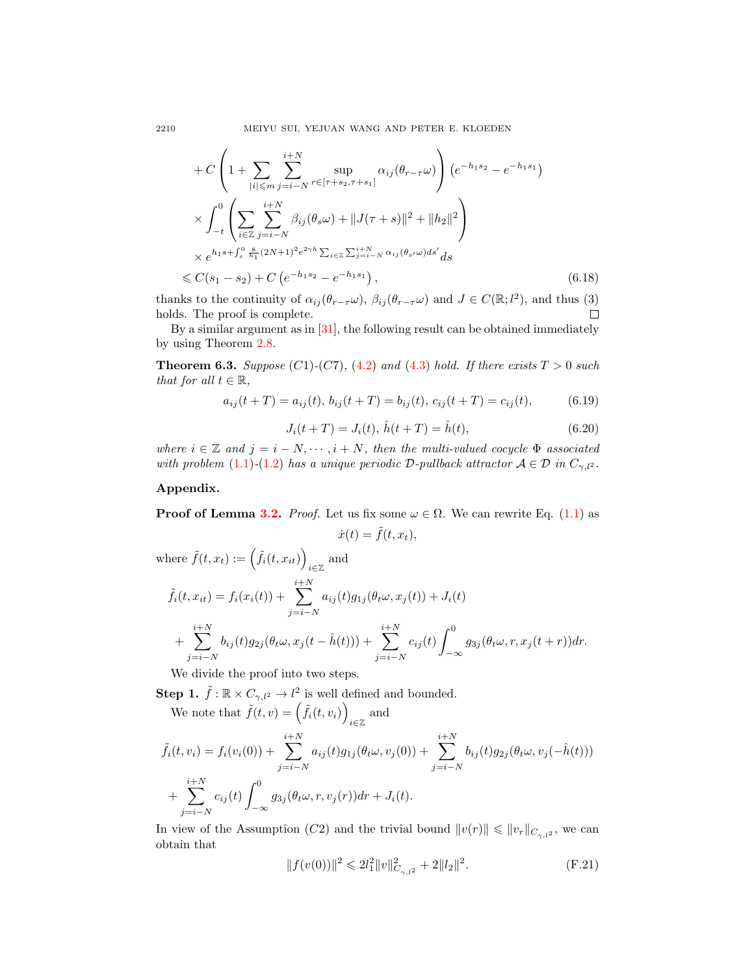$$
+ C \left( 1 + \sum_{|i| \leq m} \sum_{j=i-N}^{i+N} \sup_{r \in [\tau+s_2, \tau+s_1]} \alpha_{ij}(\theta_{r-\tau}\omega) \right) \left( e^{-h_1s_2} - e^{-h_1s_1} \right)
$$
  
\n
$$
\times \int_{-t}^{0} \left( \sum_{i \in \mathbb{Z}} \sum_{j=i-N}^{i+N} \beta_{ij}(\theta_s\omega) + ||J(\tau+s)||^2 + ||h_2||^2 \right)
$$
  
\n
$$
\times e^{h_1s + \int_s^0 \frac{s}{h_1}(2N+1)^2 e^{2\gamma h} \sum_{i \in \mathbb{Z}} \sum_{j=i-N}^{i+N} \alpha_{ij}(\theta_{s'}\omega) ds'} ds
$$
  
\n
$$
\leq C(s_1 - s_2) + C \left( e^{-h_1s_2} - e^{-h_1s_1} \right), \tag{6.18}
$$

thanks to the continuity of  $\alpha_{ij}(\theta_{r-\tau}\omega)$ ,  $\beta_{ij}(\theta_{r-\tau}\omega)$  and  $J \in C(\mathbb{R}; l^2)$ , and thus (3) holds. The proof is complete.  $\Box$ 

By a similar argument as in  $[31]$ , the following result can be obtained immediately by using Theorem [2.8.](#page-3-1)

**Theorem 6.3.** Suppose (C1)-(C7), [\(4.2\)](#page-8-2) and [\(4.3\)](#page-8-3) hold. If there exists  $T > 0$  such that for all  $t \in \mathbb{R}$ ,

$$
a_{ij}(t+T) = a_{ij}(t), \, b_{ij}(t+T) = b_{ij}(t), \, c_{ij}(t+T) = c_{ij}(t), \tag{6.19}
$$

$$
J_i(t+T) = J_i(t), \,\hat{h}(t+T) = \hat{h}(t),\tag{6.20}
$$

where  $i \in \mathbb{Z}$  and  $j = i - N, \dots, i + N$ , then the multi-valued cocycle  $\Phi$  associated with problem [\(1.1\)](#page-1-0)-[\(1.2\)](#page-1-1) has a unique periodic D-pullback attractor  $A \in \mathcal{D}$  in  $C_{\gamma,l^2}$ .

## Appendix.

**Proof of Lemma [3.2.](#page-6-0)** Proof. Let us fix some  $\omega \in \Omega$ . We can rewrite Eq. [\(1.1\)](#page-1-0) as  $\dot{x}(t) = \tilde{f}(t, x_t),$ 

where 
$$
\tilde{f}(t, x_t) := (\tilde{f}_i(t, x_{it}))_{i \in \mathbb{Z}}
$$
 and  
\n
$$
\tilde{f}_i(t, x_{it}) = f_i(x_i(t)) + \sum_{j=i-N}^{i+N} a_{ij}(t)g_{1j}(\theta_t \omega, x_j(t)) + J_i(t) + \sum_{j=i-N}^{i+N} b_{ij}(t)g_{2j}(\theta_t \omega, x_j(t - \hat{h}(t))) + \sum_{j=i-N}^{i+N} c_{ij}(t) \int_{-\infty}^{0} g_{3j}(\theta_t \omega, r, x_j(t + r)) dr.
$$

We divide the proof into two steps.

**Step 1.**  $\tilde{f} : \mathbb{R} \times C_{\gamma, l^2} \to l^2$  is well defined and bounded.

We note that  $\tilde{f}(t, v) = (\tilde{f}_i(t, v_i))$ and  $\lim_{i\in\mathbb{Z}}$ 

$$
\tilde{f}_i(t, v_i) = f_i(v_i(0)) + \sum_{j=i-N}^{i+N} a_{ij}(t)g_{1j}(\theta_t \omega, v_j(0)) + \sum_{j=i-N}^{i+N} b_{ij}(t)g_{2j}(\theta_t \omega, v_j(-\hat{h}(t))) \n+ \sum_{j=i-N}^{i+N} c_{ij}(t) \int_{-\infty}^0 g_{3j}(\theta_t \omega, r, v_j(r)) dr + J_i(t).
$$

In view of the Assumption (C2) and the trivial bound  $||v(r)|| \le ||v_r||_{C_{\gamma,l^2}}$ , we can obtain that

<span id="page-23-0"></span>
$$
||f(v(0))||^{2} \le 2l_{1}^{2}||v||_{C_{\gamma,l^{2}}}^{2} + 2||l_{2}||^{2}.
$$
 (F.21)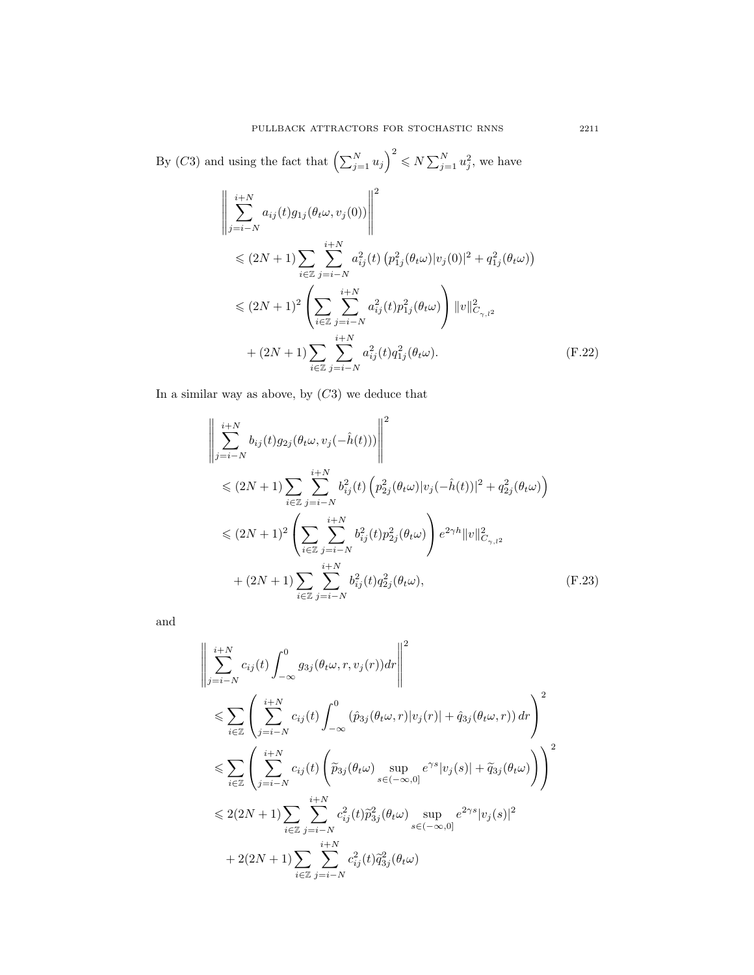By (C3) and using the fact that  $\left(\sum_{j=1}^N u_j\right)^2 \leq N \sum_{j=1}^N u_j^2$ , we have

$$
\left\| \sum_{j=i-N}^{i+N} a_{ij}(t) g_{1j}(\theta_t \omega, v_j(0)) \right\|^2
$$
  
\n
$$
\leq (2N+1) \sum_{i \in \mathbb{Z}} \sum_{j=i-N}^{i+N} a_{ij}^2(t) (p_{1j}^2(\theta_t \omega) |v_j(0)|^2 + q_{1j}^2(\theta_t \omega))
$$
  
\n
$$
\leq (2N+1)^2 \left( \sum_{i \in \mathbb{Z}} \sum_{j=i-N}^{i+N} a_{ij}^2(t) p_{1j}^2(\theta_t \omega) \right) ||v||^2_{C_{\gamma,1}^2}
$$
  
\n
$$
+ (2N+1) \sum_{i \in \mathbb{Z}} \sum_{j=i-N}^{i+N} a_{ij}^2(t) q_{1j}^2(\theta_t \omega).
$$
 (F.22)

In a similar way as above, by  $(C3)$  we deduce that

$$
\left\| \sum_{j=i-N}^{i+N} b_{ij}(t) g_{2j}(\theta_t \omega, v_j(-\hat{h}(t))) \right\|^2
$$
  
\n
$$
\leq (2N+1) \sum_{i \in \mathbb{Z}} \sum_{j=i-N}^{i+N} b_{ij}^2(t) \left( p_{2j}^2(\theta_t \omega) |v_j(-\hat{h}(t))|^2 + q_{2j}^2(\theta_t \omega) \right)
$$
  
\n
$$
\leq (2N+1)^2 \left( \sum_{i \in \mathbb{Z}} \sum_{j=i-N}^{i+N} b_{ij}^2(t) p_{2j}^2(\theta_t \omega) \right) e^{2\gamma h} ||v||_{C_{\gamma,1^2}}^2
$$
  
\n
$$
+ (2N+1) \sum_{i \in \mathbb{Z}} \sum_{j=i-N}^{i+N} b_{ij}^2(t) q_{2j}^2(\theta_t \omega), \qquad (F.23)
$$

and

$$
\left\| \sum_{j=i-N}^{i+N} c_{ij}(t) \int_{-\infty}^{0} g_{3j}(\theta_t \omega, r, v_j(r)) dr \right\|^2
$$
  
\n
$$
\leqslant \sum_{i \in \mathbb{Z}} \left( \sum_{j=i-N}^{i+N} c_{ij}(t) \int_{-\infty}^{0} (\hat{p}_{3j}(\theta_t \omega, r)|v_j(r)| + \hat{q}_{3j}(\theta_t \omega, r)) dr \right)^2
$$
  
\n
$$
\leqslant \sum_{i \in \mathbb{Z}} \left( \sum_{j=i-N}^{i+N} c_{ij}(t) \left( \tilde{p}_{3j}(\theta_t \omega) \sup_{s \in (-\infty, 0]} e^{\gamma s} |v_j(s)| + \tilde{q}_{3j}(\theta_t \omega) \right) \right)^2
$$
  
\n
$$
\leqslant 2(2N+1) \sum_{i \in \mathbb{Z}} \sum_{j=i-N}^{i+N} c_{ij}^2(t) \tilde{p}_{3j}^2(\theta_t \omega) \sup_{s \in (-\infty, 0]} e^{2\gamma s} |v_j(s)|^2
$$
  
\n
$$
+ 2(2N+1) \sum_{i \in \mathbb{Z}} \sum_{j=i-N}^{i+N} c_{ij}^2(t) \tilde{q}_{3j}^2(\theta_t \omega)
$$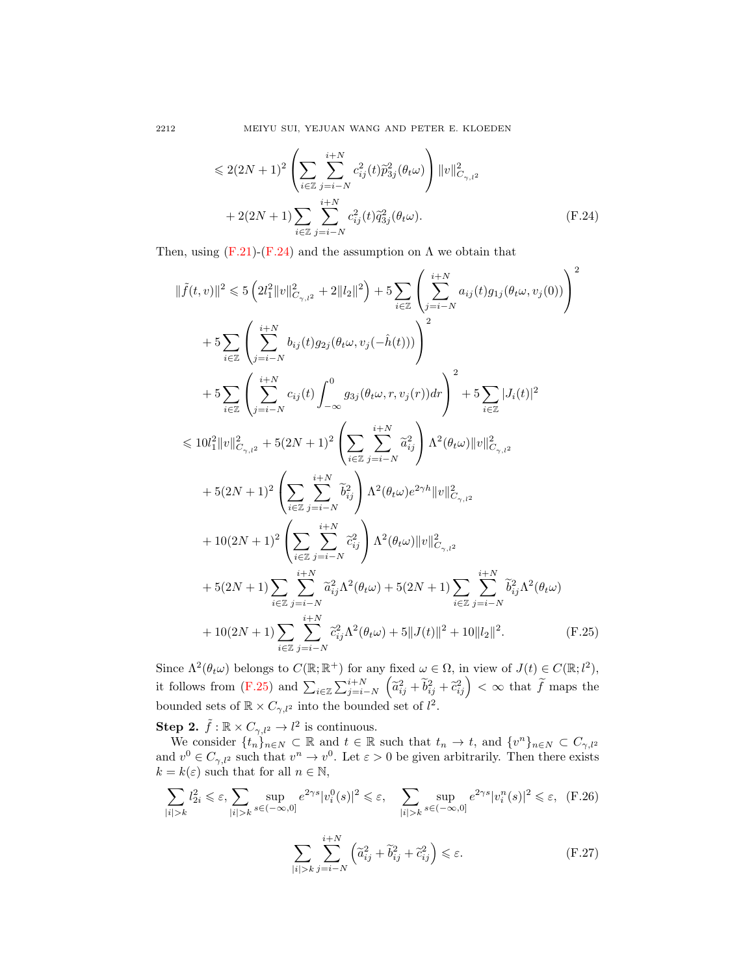<span id="page-25-0"></span>
$$
\leq 2(2N+1)^2 \left( \sum_{i \in \mathbb{Z}} \sum_{j=i-N}^{i+N} c_{ij}^2(t) \tilde{p}_{3j}^2(\theta_t \omega) \right) ||v||^2_{C_{\gamma,l^2}} + 2(2N+1) \sum_{i \in \mathbb{Z}} \sum_{j=i-N}^{i+N} c_{ij}^2(t) \tilde{q}_{3j}^2(\theta_t \omega).
$$
 (F.24)

Then, using  $(F.21)-(F.24)$  $(F.21)-(F.24)$  $(F.21)-(F.24)$  and the assumption on  $\Lambda$  we obtain that

$$
\|\tilde{f}(t,v)\|^2 \leq 5 \left( 2l_1^2 \|v\|_{C_{\gamma,l^2}}^2 + 2\|l_2\|^2 \right) + 5 \sum_{i \in \mathbb{Z}} \left( \sum_{j=i-N}^{i+N} a_{ij}(t) g_{1j}(\theta_t \omega, v_j(0)) \right)^2
$$
  
+  $5 \sum_{i \in \mathbb{Z}} \left( \sum_{j=i-N}^{i+N} b_{ij}(t) g_{2j}(\theta_t \omega, v_j(-\hat{h}(t))) \right)^2$   
+  $5 \sum_{i \in \mathbb{Z}} \left( \sum_{j=i-N}^{i+N} c_{ij}(t) \int_{-\infty}^0 g_{3j}(\theta_t \omega, r, v_j(r)) dr \right)^2 + 5 \sum_{i \in \mathbb{Z}} |J_i(t)|^2$   
 $\leq 10l_1^2 \|v\|_{C_{\gamma,l^2}}^2 + 5(2N+1)^2 \left( \sum_{i \in \mathbb{Z}} \sum_{j=i-N}^{i+N} \tilde{a}_{ij}^2 \right) \Lambda^2(\theta_t \omega) \|v\|_{C_{\gamma,l^2}}^2$   
+  $5(2N+1)^2 \left( \sum_{i \in \mathbb{Z}} \sum_{j=i-N}^{i+N} \tilde{b}_{ij}^2 \right) \Lambda^2(\theta_t \omega) e^{2\gamma h} \|v\|_{C_{\gamma,l^2}}^2$   
+  $10(2N+1)^2 \left( \sum_{i \in \mathbb{Z}} \sum_{j=i-N}^{i+N} \tilde{c}_{ij}^2 \right) \Lambda^2(\theta_t \omega) \|v\|_{C_{\gamma,l^2}}^2$   
+  $5(2N+1) \sum_{i \in \mathbb{Z}} \sum_{j=i-N}^{i+N} \tilde{a}_{ij}^2 \Lambda^2(\theta_t \omega) + 5(2N+1) \sum_{i \in \mathbb{Z}} \sum_{j=i-N}^{i+N} \tilde{b}_{ij}^2 \Lambda^2(\theta_t \omega)$   
+  $10(2N+1) \sum_{i \in \mathbb{Z}} \sum_{j=i-N}^{i+N} \tilde{c}_{ij}^2 \Lambda^2(\theta_t \omega) + 5 \|J(t)\|^2 + 10 \|l_2\|^2.$  (F.25)

Since  $\Lambda^2(\theta_t \omega)$  belongs to  $C(\mathbb{R}; \mathbb{R}^+)$  for any fixed  $\omega \in \Omega$ , in view of  $J(t) \in C(\mathbb{R}; l^2)$ , it follows from  $(F.25)$  and  $\sum_{i\in\mathbb{Z}}\sum_{j=i-N}^{i+N} (\tilde{a}_{ij}^2+\tilde{b}_{ij}^2+\tilde{c}_{ij}^2) < \infty$  that  $\tilde{f}$  maps the bounded sets of  $\mathbb{R} \times C_{\gamma,l^2}$  into the bounded set of  $l^2$ .

**Step 2.**  $\tilde{f} : \mathbb{R} \times C_{\gamma,l^2} \to l^2$  is continuous.

We consider  $\{t_n\}_{n\in\mathbb{N}}\subset\mathbb{R}$  and  $t\in\mathbb{R}$  such that  $t_n\to t$ , and  $\{v^n\}_{n\in\mathbb{N}}\subset C_{\gamma,l^2}$ and  $v^0 \in C_{\gamma,l^2}$  such that  $v^n \to v^0$ . Let  $\varepsilon > 0$  be given arbitrarily. Then there exists  $k = k(\varepsilon)$  such that for all  $n \in \mathbb{N}$ ,

$$
\sum_{|i|>k} l_{2i}^2 \leqslant \varepsilon, \sum_{|i|>k} \sup_{s \in (-\infty,0]} e^{2\gamma s} |v_i^0(s)|^2 \leqslant \varepsilon, \quad \sum_{|i|>k} \sup_{s \in (-\infty,0]} e^{2\gamma s} |v_i^n(s)|^2 \leqslant \varepsilon, \quad \text{(F.26)}
$$

<span id="page-25-2"></span><span id="page-25-1"></span>
$$
\sum_{|i|>k} \sum_{j=i-N}^{i+N} \left( \tilde{a}_{ij}^2 + \tilde{b}_{ij}^2 + \tilde{c}_{ij}^2 \right) \leq \varepsilon.
$$
 (F.27)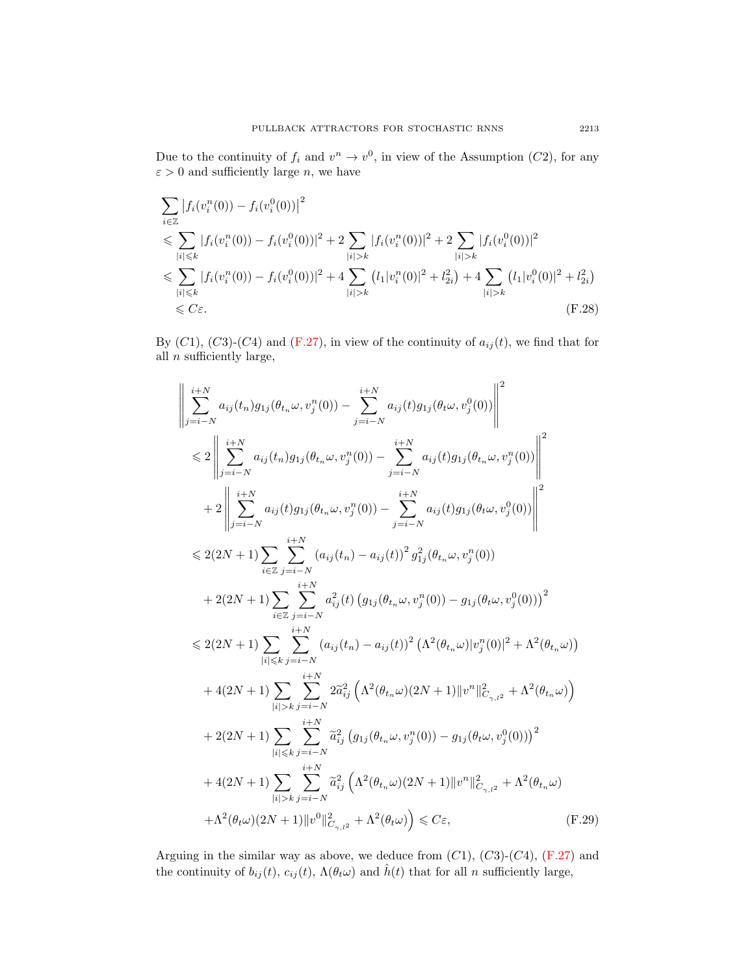Due to the continuity of  $f_i$  and  $v^n \to v^0$ , in view of the Assumption (C2), for any  $\varepsilon > 0$  and sufficiently large *n*, we have

$$
\sum_{i \in \mathbb{Z}} |f_i(v_i^n(0)) - f_i(v_i^0(0))|^2
$$
\n
$$
\leq \sum_{|i| \leq k} |f_i(v_i^n(0)) - f_i(v_i^0(0))|^2 + 2 \sum_{|i| > k} |f_i(v_i^n(0))|^2 + 2 \sum_{|i| > k} |f_i(v_i^0(0))|^2
$$
\n
$$
\leq \sum_{|i| \leq k} |f_i(v_i^n(0)) - f_i(v_i^0(0))|^2 + 4 \sum_{|i| > k} (l_1|v_i^n(0)|^2 + l_{2i}^2) + 4 \sum_{|i| > k} (l_1|v_i^0(0)|^2 + l_{2i}^2)
$$
\n
$$
\leq C\varepsilon.
$$
\n(F.28)

By  $(C1)$ ,  $(C3)-(C4)$  and  $(F.27)$ , in view of the continuity of  $a_{ij}(t)$ , we find that for all  $n$  sufficiently large,

<span id="page-26-0"></span>
$$
\left\| \sum_{j=i-N}^{i+N} a_{ij}(t_n) g_{1j}(\theta_{t_n} \omega, v_j^n(0)) - \sum_{j=i-N}^{i+N} a_{ij}(t) g_{1j}(\theta_{t} \omega, v_j^0(0)) \right\|^2
$$
  
\n
$$
\leq 2 \left\| \sum_{j=i-N}^{i+N} a_{ij}(t_n) g_{1j}(\theta_{t_n} \omega, v_j^n(0)) - \sum_{j=i-N}^{i+N} a_{ij}(t) g_{1j}(\theta_{t_n} \omega, v_j^n(0)) \right\|^2
$$
  
\n
$$
+ 2 \left\| \sum_{j=i-N}^{i+N} a_{ij}(t) g_{1j}(\theta_{t_n} \omega, v_j^n(0)) - \sum_{j=i-N}^{i+N} a_{ij}(t) g_{1j}(\theta_{t} \omega, v_j^0(0)) \right\|^2
$$
  
\n
$$
\leq 2(2N+1) \sum_{i \in \mathbb{Z}} \sum_{j=i-N}^{i+N} (a_{ij}(t_n) - a_{ij}(t))^2 g_{1j}^2(\theta_{t_n} \omega, v_j^n(0))
$$
  
\n
$$
+ 2(2N+1) \sum_{i \in \mathbb{Z}} \sum_{j=i-N}^{i+N} a_{ij}^2(t) (g_{1j}(\theta_{t_n} \omega, v_j^n(0)) - g_{1j}(\theta_t \omega, v_j^0(0)))^2
$$
  
\n
$$
\leq 2(2N+1) \sum_{|i| \leq k} \sum_{j=i-N}^{i+N} (a_{ij}(t_n) - a_{ij}(t))^2 (\Lambda^2(\theta_{t_n} \omega) |v_j^n(0)|^2 + \Lambda^2(\theta_{t_n} \omega))
$$
  
\n
$$
+ 4(2N+1) \sum_{|i| > k} \sum_{j=i-N}^{i+N} 2\tilde{a}_{ij}^2 (\Lambda^2(\theta_{t_n} \omega) (2N+1) ||v^n||_{C_{\gamma,1}^2}^2 + \Lambda^2(\theta_{t_n} \omega))
$$
  
\n
$$
+ 2(2N+1) \sum_{|i| > k} \sum_{j=i-N}^{i+N} \tilde{a}_{ij}^2 (g_{1j}(\theta_{t_n} \omega, v_j^n(0)) - g_{1j}(\theta_t \omega, v_j^0(0)))^2
$$
  
\n

Arguing in the similar way as above, we deduce from  $(C1)$ ,  $(C3)-(C4)$ ,  $(F.27)$  and the continuity of  $b_{ij}(t)$ ,  $c_{ij}(t)$ ,  $\Lambda(\theta_t \omega)$  and  $\hat{h}(t)$  that for all n sufficiently large,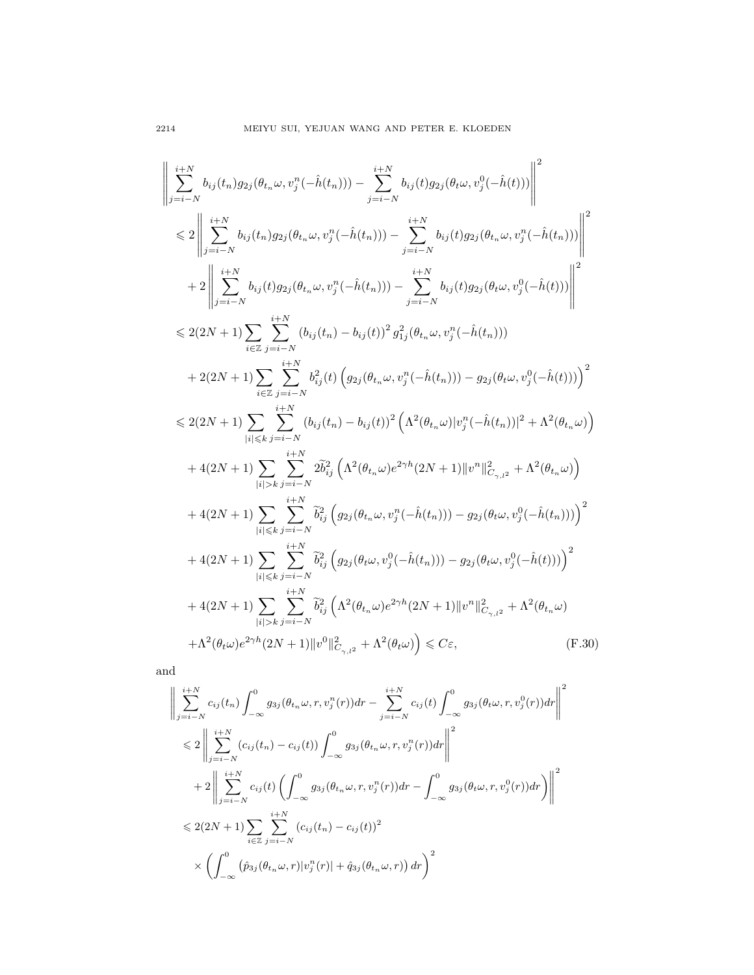$$
\left\|\sum_{j=i-N}^{i+N} b_{ij}(t_n) g_{2j}(\theta_{t_n}\omega, v_j^n(-\hat{h}(t_n))) - \sum_{j=i-N}^{i+N} b_{ij}(t) g_{2j}(\theta_{t}\omega, v_j^0(-\hat{h}(t)))\right\|^2
$$
\n
$$
\leq 2 \left\|\sum_{j=i-N}^{i+N} b_{ij}(t_n) g_{2j}(\theta_{t_n}\omega, v_j^n(-\hat{h}(t_n))) - \sum_{j=i-N}^{i+N} b_{ij}(t) g_{2j}(\theta_{t_n}\omega, v_j^n(-\hat{h}(t_n)))\right\|^2
$$
\n
$$
+ 2 \left\|\sum_{j=i-N}^{i+N} b_{ij}(t) g_{2j}(\theta_{t_n}\omega, v_j^n(-\hat{h}(t_n))) - \sum_{j=i-N}^{i+N} b_{ij}(t) g_{2j}(\theta_{t}\omega, v_j^0(-\hat{h}(t)))\right\|^2
$$
\n
$$
\leq 2(2N+1) \sum_{i\in\mathbb{Z}} \sum_{j=i-N}^{i+N} (b_{ij}(t_n) - b_{ij}(t))^2 g_{1j}^2(\theta_{t_n}\omega, v_j^n(-\hat{h}(t_n)))
$$
\n
$$
+ 2(2N+1) \sum_{i\in\mathbb{Z}} \sum_{j=i-N}^{i+N} b_{ij}^2(t) \left(g_{2j}(\theta_{t_n}\omega, v_j^n(-\hat{h}(t_n))) - g_{2j}(\theta_t\omega, v_j^0(-\hat{h}(t)))\right)^2
$$
\n
$$
\leq 2(2N+1) \sum_{|i|\leq k} \sum_{j=i-N}^{i+N} (b_{ij}(t_n) - b_{ij}(t))^2 \left(\Lambda^2(\theta_{t_n}\omega)|v_j^n(-\hat{h}(t_n))|^2 + \Lambda^2(\theta_{t_n}\omega)\right)
$$
\n
$$
+ 4(2N+1) \sum_{|i|\leq k} \sum_{j=i-N}^{i+N} 2\tilde{b}_{ij}^2 \left(\Lambda^2(\theta_{t_n}\omega)e^{2\gamma h}(2N+1) ||v^n||_{C_{\gamma,1}2}^2 + \Lambda^2(\theta_{t_n}\omega)\right)
$$
\n
$$
+ 4(2N+1) \sum_{|i|\leq k} \sum_{j=i-N}^{i+N} \tilde{b}_{ij}^2 \left(g_{2j}
$$

and

$$
\left\| \sum_{j=i-N}^{i+N} c_{ij}(t_n) \int_{-\infty}^{0} g_{3j}(\theta_{t_n} \omega, r, v_j^n(r)) dr - \sum_{j=i-N}^{i+N} c_{ij}(t) \int_{-\infty}^{0} g_{3j}(\theta_t \omega, r, v_j^0(r)) dr \right\|^2
$$
  
\n
$$
\leq 2 \left\| \sum_{j=i-N}^{i+N} (c_{ij}(t_n) - c_{ij}(t)) \int_{-\infty}^{0} g_{3j}(\theta_{t_n} \omega, r, v_j^n(r)) dr \right\|^2
$$
  
\n
$$
+ 2 \left\| \sum_{j=i-N}^{i+N} c_{ij}(t) \left( \int_{-\infty}^{0} g_{3j}(\theta_{t_n} \omega, r, v_j^n(r)) dr - \int_{-\infty}^{0} g_{3j}(\theta_t \omega, r, v_j^0(r)) dr \right) \right\|^2
$$
  
\n
$$
\leq 2(2N+1) \sum_{i \in \mathbb{Z}} \sum_{j=i-N}^{i+N} (c_{ij}(t_n) - c_{ij}(t))^2
$$
  
\n
$$
\times \left( \int_{-\infty}^{0} (\hat{p}_{3j}(\theta_{t_n} \omega, r) |v_j^n(r)| + \hat{q}_{3j}(\theta_{t_n} \omega, r)) dr \right)^2
$$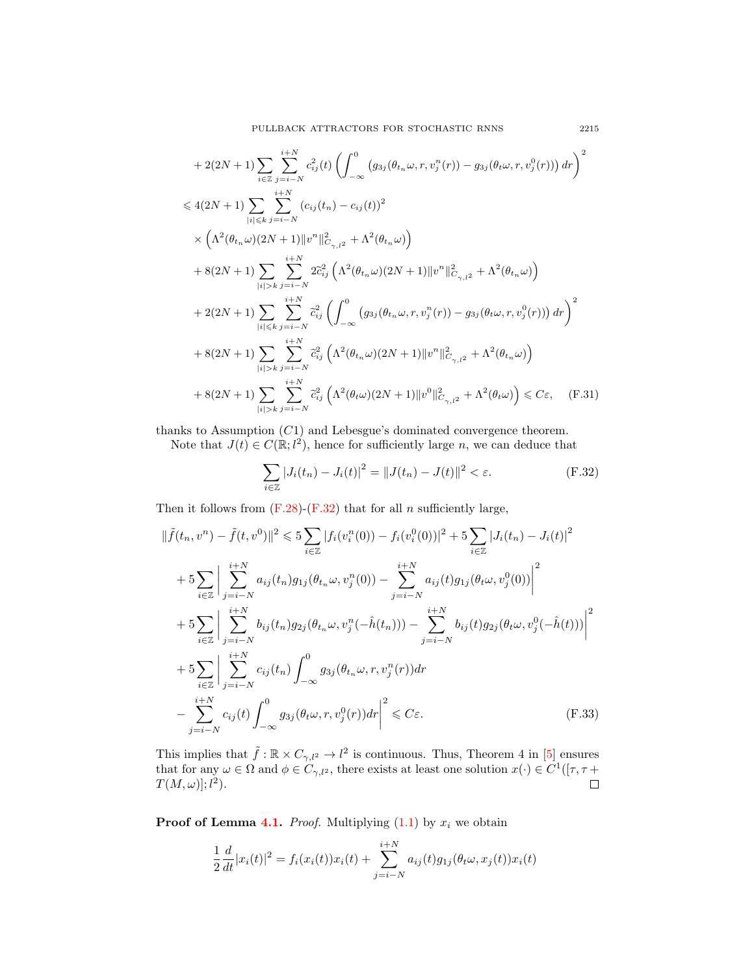$$
+ 2(2N + 1) \sum_{i \in \mathbb{Z}} \sum_{j=i-N}^{i+N} c_{ij}^{2}(t) \left( \int_{-\infty}^{0} (g_{3j}(\theta_{t_{n}}\omega, r, v_{j}^{n}(r)) - g_{3j}(\theta_{t}\omega, r, v_{j}^{0}(r))) dr \right)^{2}
$$
  
\n
$$
\leq 4(2N + 1) \sum_{|i| \leq k} \sum_{j=i-N}^{i+N} (c_{ij}(t_{n}) - c_{ij}(t))^{2}
$$
  
\n
$$
\times \left( \Lambda^{2}(\theta_{t_{n}}\omega)(2N + 1) ||v^{n}||_{C_{\gamma,1}2}^{2} + \Lambda^{2}(\theta_{t_{n}}\omega) \right)
$$
  
\n
$$
+ 8(2N + 1) \sum_{|i| > k} \sum_{j=i-N}^{i+N} 2\tilde{c}_{ij}^{2} \left( \Lambda^{2}(\theta_{t_{n}}\omega)(2N + 1) ||v^{n}||_{C_{\gamma,1}2}^{2} + \Lambda^{2}(\theta_{t_{n}}\omega) \right)
$$
  
\n
$$
+ 2(2N + 1) \sum_{|i| \leq k} \sum_{j=i-N}^{i+N} \tilde{c}_{ij}^{2} \left( \int_{-\infty}^{0} (g_{3j}(\theta_{t_{n}}\omega, r, v_{j}^{n}(r)) - g_{3j}(\theta_{t}\omega, r, v_{j}^{0}(r))) dr \right)^{2}
$$
  
\n
$$
+ 8(2N + 1) \sum_{|i| > k} \sum_{j=i-N}^{i+N} \tilde{c}_{ij}^{2} \left( \Lambda^{2}(\theta_{t_{n}}\omega)(2N + 1) ||v^{n}||_{C_{\gamma,1}2}^{2} + \Lambda^{2}(\theta_{t_{n}}\omega) \right)
$$
  
\n
$$
+ 8(2N + 1) \sum_{|i| > k} \sum_{j=i-N}^{i+N} \tilde{c}_{ij}^{2} \left( \Lambda^{2}(\theta_{t}\omega)(2N + 1) ||v^{0}||_{C_{\gamma,1}2}^{2} + \Lambda^{2}(\theta_{t}\omega) \right) \leq C\varepsilon, \quad \text{(F.31)}
$$

thanks to Assumption (C1) and Lebesgue's dominated convergence theorem.

Note that  $J(t) \in C(\mathbb{R}; l^2)$ , hence for sufficiently large n, we can deduce that

<span id="page-28-0"></span>
$$
\sum_{i \in \mathbb{Z}} |J_i(t_n) - J_i(t)|^2 = ||J(t_n) - J(t)||^2 < \varepsilon. \tag{F.32}
$$

Then it follows from  $(F.28)-(F.32)$  $(F.28)-(F.32)$  $(F.28)-(F.32)$  that for all n sufficiently large,

$$
\|\tilde{f}(t_n, v^n) - \tilde{f}(t, v^0)\|^2 \leq \frac{1}{2} \sum_{i \in \mathbb{Z}} |f_i(v_i^n(0)) - f_i(v_i^0(0))|^2 + \frac{1}{2} \sum_{i \in \mathbb{Z}} |J_i(t_n) - J_i(t)|^2
$$
  
+ 
$$
\frac{1}{2} \sum_{i \in \mathbb{Z}} \left| \sum_{j=i-N}^{i+N} a_{ij}(t_n) g_{1j}(\theta_{t_n} \omega, v_j^n(0)) - \sum_{j=i-N}^{i+N} a_{ij}(t) g_{1j}(\theta_t \omega, v_j^0(0)) \right|^2
$$
  
+ 
$$
\frac{1}{2} \sum_{i \in \mathbb{Z}} \left| \sum_{j=i-N}^{i+N} b_{ij}(t_n) g_{2j}(\theta_{t_n} \omega, v_j^n(-\hat{h}(t_n))) - \sum_{j=i-N}^{i+N} b_{ij}(t) g_{2j}(\theta_t \omega, v_j^0(-\hat{h}(t))) \right|^2
$$
  
+ 
$$
\frac{1}{2} \sum_{i \in \mathbb{Z}} \left| \sum_{j=i-N}^{i+N} c_{ij}(t_n) \int_{-\infty}^0 g_{3j}(\theta_{t_n} \omega, r, v_j^n(r)) dr - \sum_{j=i-N}^{i+N} c_{ij}(t) \int_{-\infty}^0 g_{3j}(\theta_t \omega, r, v_j^0(r)) dr \right|^2 \leq C \varepsilon.
$$
 (F.33)

This implies that  $\tilde{f} : \mathbb{R} \times C_{\gamma,l^2} \to l^2$  is continuous. Thus, Theorem 4 in [\[5\]](#page-33-22) ensures that for any  $\omega \in \Omega$  and  $\phi \in C_{\gamma,l^2}$ , there exists at least one solution  $x(\cdot) \in C^1([\tau, \tau +$  $T(M,\omega)]; l^2$ .  $\Box$ 

**Proof of Lemma [4.1.](#page-8-0)** *Proof.* Multiplying  $(1.1)$  by  $x_i$  we obtain

$$
\frac{1}{2}\frac{d}{dt}|x_i(t)|^2 = f_i(x_i(t))x_i(t) + \sum_{j=i-N}^{i+N} a_{ij}(t)g_{1j}(\theta_t\omega, x_j(t))x_i(t)
$$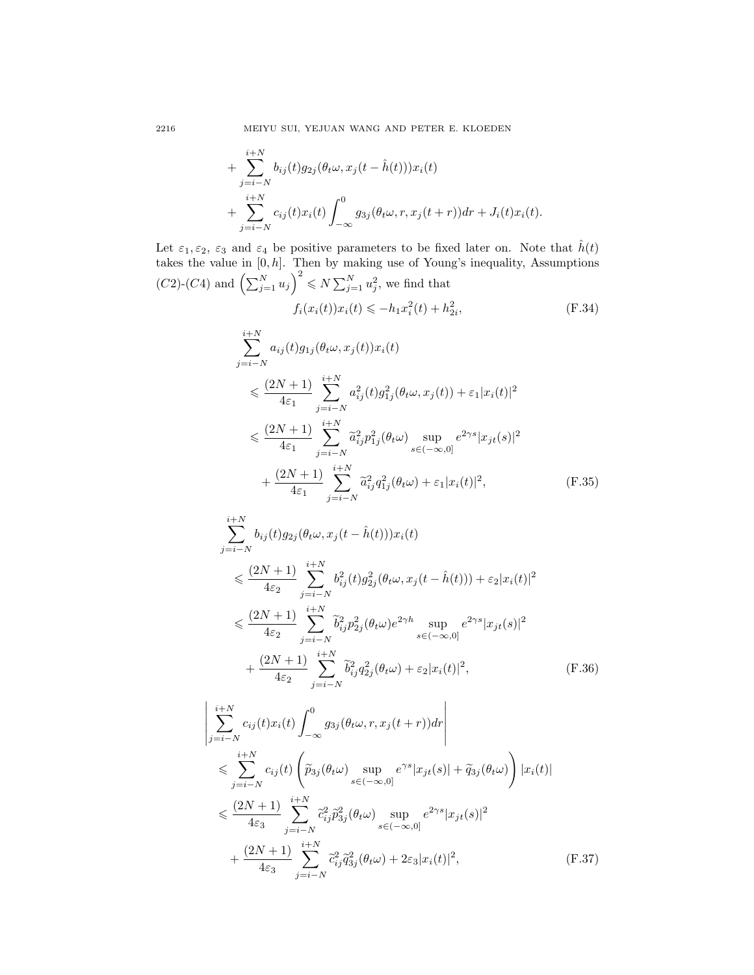2216 MEIYU SUI, YEJUAN WANG AND PETER E. KLOEDEN

+ 
$$
\sum_{j=i-N}^{i+N} b_{ij}(t)g_{2j}(\theta_t \omega, x_j(t - \hat{h}(t)))x_i(t) + \sum_{j=i-N}^{i+N} c_{ij}(t)x_i(t) \int_{-\infty}^0 g_{3j}(\theta_t \omega, r, x_j(t+r))dr + J_i(t)x_i(t).
$$

Let  $\varepsilon_1, \varepsilon_2, \varepsilon_3$  and  $\varepsilon_4$  be positive parameters to be fixed later on. Note that  $\hat{h}(t)$ takes the value in  $[0, h]$ . Then by making use of Young's inequality, Assumptions  $(C2)$ - $(C4)$  and  $\left(\sum_{j=1}^{N} u_j\right)^2 \leq N \sum_{j=1}^{N} u_j^2$ , we find that

$$
f_i(x_i(t))x_i(t) \le -h_1 x_i^2(t) + h_{2i}^2,
$$
\n(F.34)

$$
\sum_{j=i-N}^{i+N} a_{ij}(t)g_{1j}(\theta_t \omega, x_j(t))x_i(t)
$$
\n
$$
\leq \frac{(2N+1)}{4\varepsilon_1} \sum_{j=i-N}^{i+N} a_{ij}^2(t)g_{1j}^2(\theta_t \omega, x_j(t)) + \varepsilon_1 |x_i(t)|^2
$$
\n
$$
\leq \frac{(2N+1)}{4\varepsilon_1} \sum_{j=i-N}^{i+N} \tilde{a}_{ij}^2 p_{1j}^2(\theta_t \omega) \sup_{s \in (-\infty,0]} e^{2\gamma s} |x_{jt}(s)|^2
$$
\n
$$
+ \frac{(2N+1)}{4\varepsilon_1} \sum_{j=i-N}^{i+N} \tilde{a}_{ij}^2 q_{1j}^2(\theta_t \omega) + \varepsilon_1 |x_i(t)|^2, \tag{F.35}
$$

$$
\sum_{j=i-N}^{i+N} b_{ij}(t)g_{2j}(\theta_t \omega, x_j(t - \hat{h}(t)))x_i(t)
$$
\n
$$
\leq \frac{(2N+1)}{4\varepsilon_2} \sum_{j=i-N}^{i+N} b_{ij}^2(t)g_{2j}^2(\theta_t \omega, x_j(t - \hat{h}(t))) + \varepsilon_2 |x_i(t)|^2
$$
\n
$$
\leq \frac{(2N+1)}{4\varepsilon_2} \sum_{j=i-N}^{i+N} \tilde{b}_{ij}^2 p_{2j}^2(\theta_t \omega) e^{2\gamma h} \sup_{s \in (-\infty,0]} e^{2\gamma s} |x_{jt}(s)|^2
$$
\n
$$
+ \frac{(2N+1)}{4\varepsilon_2} \sum_{j=i-N}^{i+N} \tilde{b}_{ij}^2 q_{2j}^2(\theta_t \omega) + \varepsilon_2 |x_i(t)|^2, \tag{F.36}
$$

$$
\begin{split}\n&\left|\sum_{j=i-N}^{i+N} c_{ij}(t)x_i(t)\int_{-\infty}^0 g_{3j}(\theta_t\omega, r, x_j(t+r))dr\right| \\
&\leq \sum_{j=i-N}^{i+N} c_{ij}(t) \left(\tilde{p}_{3j}(\theta_t\omega) \sup_{s\in(-\infty,0]} e^{\gamma s}|x_{jt}(s)| + \tilde{q}_{3j}(\theta_t\omega)\right) |x_i(t)| \\
&\leq \frac{(2N+1)}{4\varepsilon_3} \sum_{j=i-N}^{i+N} \tilde{c}_{ij}^2 \tilde{p}_{3j}^2(\theta_t\omega) \sup_{s\in(-\infty,0]} e^{2\gamma s}|x_{jt}(s)|^2 \\
&+ \frac{(2N+1)}{4\varepsilon_3} \sum_{j=i-N}^{i+N} \tilde{c}_{ij}^2 \tilde{q}_{3j}^2(\theta_t\omega) + 2\varepsilon_3 |x_i(t)|^2,\n\end{split} \tag{F.37}
$$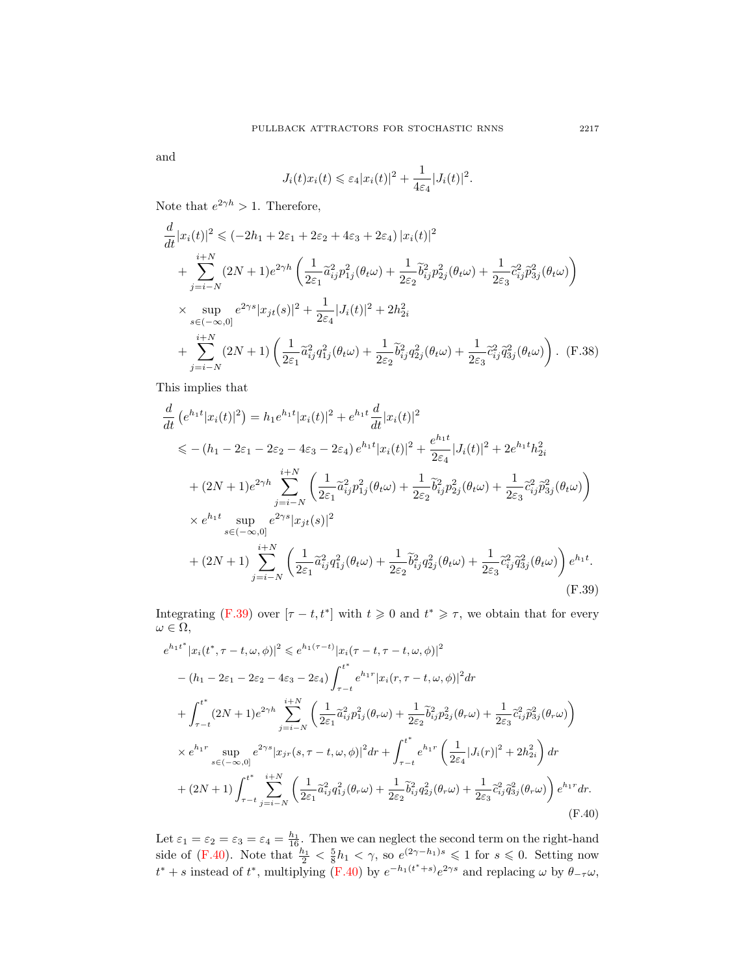and

$$
J_i(t)x_i(t) \leqslant \varepsilon_4 |x_i(t)|^2 + \frac{1}{4\varepsilon_4} |J_i(t)|^2.
$$

Note that  $e^{2\gamma h} > 1$ . Therefore,

$$
\frac{d}{dt}|x_i(t)|^2 \le (-2h_1 + 2\varepsilon_1 + 2\varepsilon_2 + 4\varepsilon_3 + 2\varepsilon_4) |x_i(t)|^2 \n+ \sum_{j=i-N}^{i+N} (2N+1)e^{2\gamma h} \left( \frac{1}{2\varepsilon_1} \tilde{a}_{ij}^2 p_{1j}^2(\theta_t \omega) + \frac{1}{2\varepsilon_2} \tilde{b}_{ij}^2 p_{2j}^2(\theta_t \omega) + \frac{1}{2\varepsilon_3} \tilde{c}_{ij}^2 \tilde{p}_{3j}^2(\theta_t \omega) \right) \n\times \sup_{s \in (-\infty,0]} e^{2\gamma s} |x_{jt}(s)|^2 + \frac{1}{2\varepsilon_4} |J_i(t)|^2 + 2h_{2i}^2 \n+ \sum_{j=i-N}^{i+N} (2N+1) \left( \frac{1}{2\varepsilon_1} \tilde{a}_{ij}^2 q_{1j}^2(\theta_t \omega) + \frac{1}{2\varepsilon_2} \tilde{b}_{ij}^2 q_{2j}^2(\theta_t \omega) + \frac{1}{2\varepsilon_3} \tilde{c}_{ij}^2 \tilde{q}_{3j}^2(\theta_t \omega) \right). \quad (F.38)
$$

This implies that

$$
\frac{d}{dt} (e^{h_1 t} |x_i(t)|^2) = h_1 e^{h_1 t} |x_i(t)|^2 + e^{h_1 t} \frac{d}{dt} |x_i(t)|^2
$$
\n
$$
\leq - (h_1 - 2\varepsilon_1 - 2\varepsilon_2 - 4\varepsilon_3 - 2\varepsilon_4) e^{h_1 t} |x_i(t)|^2 + \frac{e^{h_1 t}}{2\varepsilon_4} |J_i(t)|^2 + 2e^{h_1 t} h_{2i}^2
$$
\n
$$
+ (2N+1)e^{2\gamma h} \sum_{j=i-N}^{i+N} \left( \frac{1}{2\varepsilon_1} \tilde{a}_{ij}^2 p_{1j}^2 (\theta_t \omega) + \frac{1}{2\varepsilon_2} \tilde{b}_{ij}^2 p_{2j}^2 (\theta_t \omega) + \frac{1}{2\varepsilon_3} \tilde{c}_{ij}^2 \tilde{p}_{3j}^2 (\theta_t \omega) \right)
$$
\n
$$
\times e^{h_1 t} \sup_{s \in (-\infty, 0]} e^{2\gamma s} |x_{jt}(s)|^2
$$
\n
$$
+ (2N+1) \sum_{j=i-N}^{i+N} \left( \frac{1}{2\varepsilon_1} \tilde{a}_{ij}^2 q_{1j}^2 (\theta_t \omega) + \frac{1}{2\varepsilon_2} \tilde{b}_{ij}^2 q_{2j}^2 (\theta_t \omega) + \frac{1}{2\varepsilon_3} \tilde{c}_{ij}^2 \tilde{q}_{3j}^2 (\theta_t \omega) \right) e^{h_1 t}.
$$
\n(F.39)

Integrating [\(F.39\)](#page-30-0) over  $[\tau - t, t^*]$  with  $t \ge 0$  and  $t^* \ge \tau$ , we obtain that for every  $\omega \in \Omega$ ,

<span id="page-30-0"></span>
$$
e^{h_1t^*} |x_i(t^*, \tau - t, \omega, \phi)|^2 \leq e^{h_1(\tau - t)} |x_i(\tau - t, \tau - t, \omega, \phi)|^2
$$
  
–  $(h_1 - 2\varepsilon_1 - 2\varepsilon_2 - 4\varepsilon_3 - 2\varepsilon_4) \int_{\tau - t}^t e^{h_1 r} |x_i(\tau, \tau - t, \omega, \phi)|^2 dr$   
+  $\int_{\tau - t}^{t^*} (2N + 1) e^{2\gamma h} \sum_{j=i-N}^{i+N} \left( \frac{1}{2\varepsilon_1} \tilde{a}_{ij}^2 p_{1j}^2(\theta_r \omega) + \frac{1}{2\varepsilon_2} \tilde{b}_{ij}^2 p_{2j}^2(\theta_r \omega) + \frac{1}{2\varepsilon_3} \tilde{c}_{ij}^2 \tilde{p}_{3j}^2(\theta_r \omega) \right)$   
×  $e^{h_1 r} \sup_{s \in (-\infty, 0]} e^{2\gamma s} |x_{j\tau}(s, \tau - t, \omega, \phi)|^2 dr + \int_{\tau - t}^{t^*} e^{h_1 r} \left( \frac{1}{2\varepsilon_4} |J_i(\tau)|^2 + 2h_{2i}^2 \right) dr$   
+  $(2N + 1) \int_{\tau - t}^{t^*} \sum_{j=i-N}^{i+N} \left( \frac{1}{2\varepsilon_1} \tilde{a}_{ij}^2 q_{1j}^2(\theta_r \omega) + \frac{1}{2\varepsilon_2} \tilde{b}_{ij}^2 q_{2j}^2(\theta_r \omega) + \frac{1}{2\varepsilon_3} \tilde{c}_{ij}^2 \tilde{q}_{3j}^2(\theta_r \omega) \right) e^{h_1 r} dr.$   
(F.40)

<span id="page-30-1"></span>Let  $\varepsilon_1 = \varepsilon_2 = \varepsilon_3 = \varepsilon_4 = \frac{h_1}{16}$ . Then we can neglect the second term on the right-hand side of [\(F.40\)](#page-30-1). Note that  $\frac{h_1}{2} < \frac{5}{8}h_1 < \gamma$ , so  $e^{(2\gamma - h_1)s} \leq 1$  for  $s \leq 0$ . Setting now  $t^* + s$  instead of  $t^*$ , multiplying [\(F.40\)](#page-30-1) by  $e^{-h_1(t^*+s)}e^{2\gamma s}$  and replacing  $\omega$  by  $\theta_{-\tau}\omega$ ,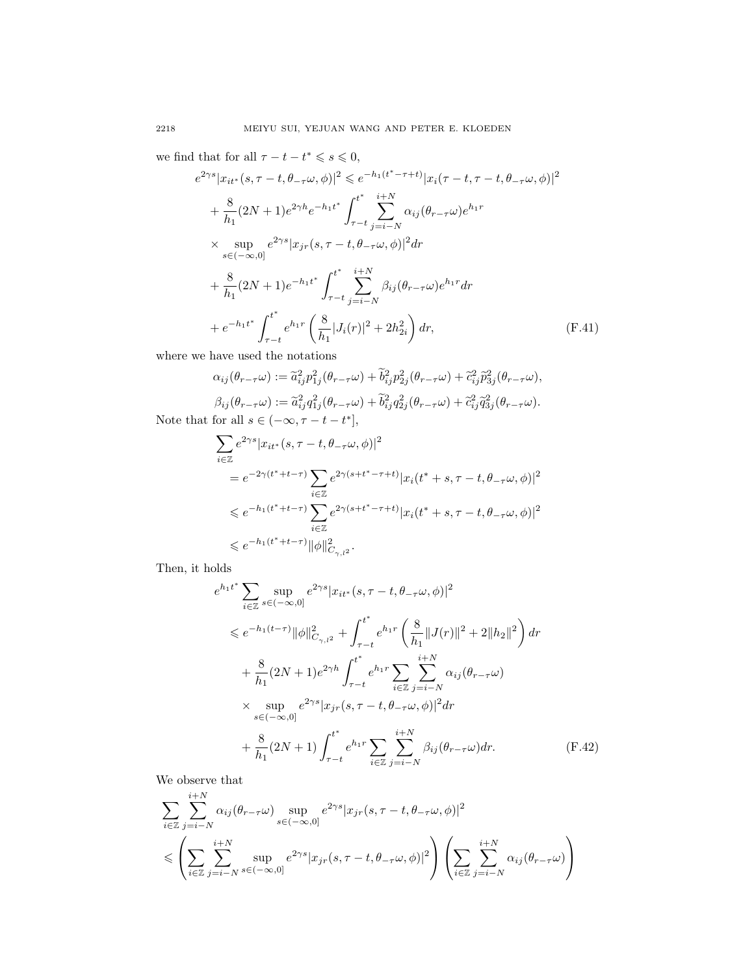we find that for all  $\tau - t - t^* \leqslant s \leqslant 0$ ,

$$
e^{2\gamma s}|x_{it^*}(s,\tau - t, \theta_{-\tau}\omega, \phi)|^2 \leq e^{-h_1(t^* - \tau + t)}|x_i(\tau - t, \tau - t, \theta_{-\tau}\omega, \phi)|^2
$$
  
+  $\frac{8}{h_1}(2N+1)e^{2\gamma h}e^{-h_1t^*}\int_{\tau - t}^{t^*}\sum_{j=i-N}^{i+N} \alpha_{ij}(\theta_{r-\tau}\omega)e^{h_1r}$   
×  $\sup_{s\in (-\infty,0]} e^{2\gamma s}|x_{jr}(s,\tau - t, \theta_{-\tau}\omega, \phi)|^2 dr$   
+  $\frac{8}{h_1}(2N+1)e^{-h_1t^*}\int_{\tau - t}^{t^*}\sum_{j=i-N}^{i+N} \beta_{ij}(\theta_{r-\tau}\omega)e^{h_1r} dr$   
+  $e^{-h_1t^*}\int_{\tau - t}^{t^*} e^{h_1r}\left(\frac{8}{h_1}|J_i(r)|^2 + 2h_{2i}^2\right) dr$ , (F.41)

where we have used the notations

$$
\alpha_{ij}(\theta_{r-\tau}\omega) := \tilde{a}_{ij}^2 p_{1j}^2(\theta_{r-\tau}\omega) + \tilde{b}_{ij}^2 p_{2j}^2(\theta_{r-\tau}\omega) + \tilde{c}_{ij}^2 \tilde{p}_{3j}^2(\theta_{r-\tau}\omega),
$$
  
\n
$$
\beta_{ij}(\theta_{r-\tau}\omega) := \tilde{a}_{ij}^2 q_{1j}^2(\theta_{r-\tau}\omega) + \tilde{b}_{ij}^2 q_{2j}^2(\theta_{r-\tau}\omega) + \tilde{c}_{ij}^2 \tilde{q}_{3j}^2(\theta_{r-\tau}\omega).
$$
  
\nNote that for all  $s \in (-\infty, \tau - t - t^*]$ ,

<span id="page-31-0"></span>
$$
\sum_{i\in\mathbb{Z}} e^{2\gamma s} |x_{it^*}(s,\tau-t,\theta_{-\tau}\omega,\phi)|^2
$$
  
\n
$$
= e^{-2\gamma(t^*+t-\tau)} \sum_{i\in\mathbb{Z}} e^{2\gamma(s+t^*-\tau+t)} |x_i(t^*+s,\tau-t,\theta_{-\tau}\omega,\phi)|^2
$$
  
\n
$$
\leq e^{-h_1(t^*+t-\tau)} \sum_{i\in\mathbb{Z}} e^{2\gamma(s+t^*-\tau+t)} |x_i(t^*+s,\tau-t,\theta_{-\tau}\omega,\phi)|^2
$$
  
\n
$$
\leq e^{-h_1(t^*+t-\tau)} ||\phi||^2_{C_{\gamma,l^2}}.
$$

Then, it holds

<span id="page-31-1"></span>
$$
e^{h_1 t^*} \sum_{i \in \mathbb{Z}} \sup_{s \in (-\infty, 0]} e^{2\gamma s} |x_{it^*}(s, \tau - t, \theta_{-\tau}\omega, \phi)|^2
$$
  
\$\leqslant e^{-h\_1(t-\tau)} ||\phi||^2\_{C\_{\gamma, l^2}} + \int\_{\tau - t}^{t^\*} e^{h\_1 r} \left( \frac{8}{h\_1} ||J(r)||^2 + 2||h\_2||^2 \right) dr  
+ \frac{8}{h\_1} (2N+1) e^{2\gamma h} \int\_{\tau - t}^{t^\*} e^{h\_1 r} \sum\_{i \in \mathbb{Z}} \sum\_{j=i-N}^{i+N} \alpha\_{ij} (\theta\_{r-\tau}\omega)   
\times \sup\_{s \in (-\infty, 0]} e^{2\gamma s} |x\_{jr}(s, \tau - t, \theta\_{-\tau}\omega, \phi)|^2 dr  
+ \frac{8}{h\_1} (2N+1) \int\_{\tau - t}^{t^\*} e^{h\_1 r} \sum\_{i \in \mathbb{Z}} \sum\_{j=i-N}^{i+N} \beta\_{ij} (\theta\_{r-\tau}\omega) dr. \tag{F.42}

We observe that

$$
\sum_{i \in \mathbb{Z}} \sum_{j=i-N}^{i+N} \alpha_{ij}(\theta_{r-\tau}\omega) \sup_{s \in (-\infty,0]} e^{2\gamma s} |x_{jr}(s,\tau-t,\theta_{-\tau}\omega,\phi)|^2
$$
  

$$
\leqslant \left(\sum_{i \in \mathbb{Z}} \sum_{j=i-N}^{i+N} \sup_{s \in (-\infty,0]} e^{2\gamma s} |x_{jr}(s,\tau-t,\theta_{-\tau}\omega,\phi)|^2\right) \left(\sum_{i \in \mathbb{Z}} \sum_{j=i-N}^{i+N} \alpha_{ij}(\theta_{r-\tau}\omega)\right)
$$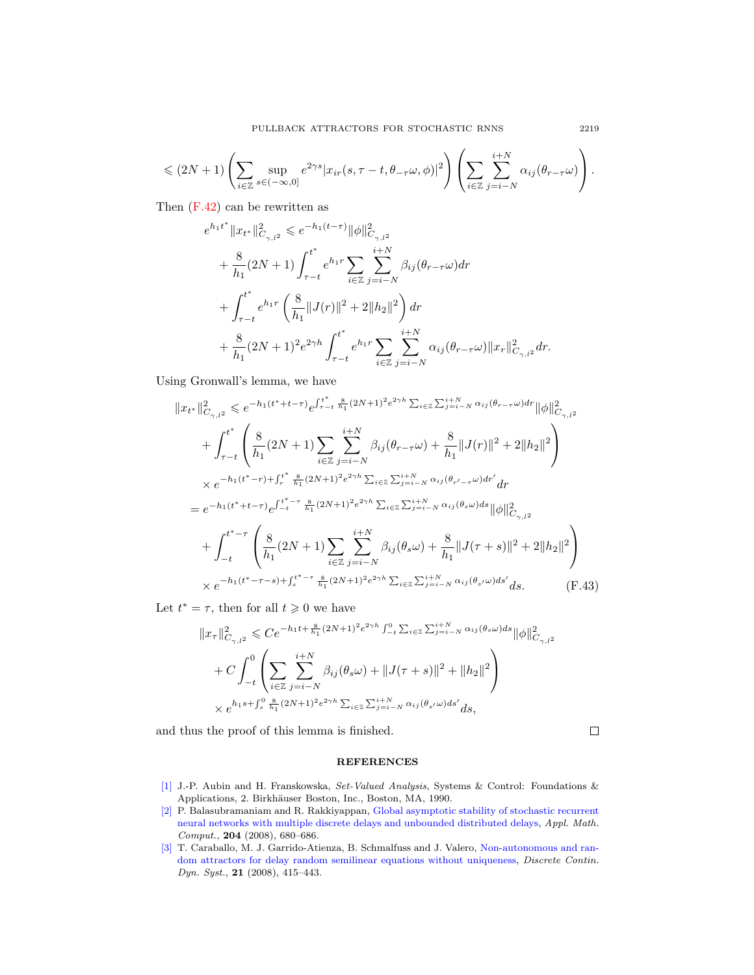$$
\leqslant (2N+1)\left(\sum_{i\in\mathbb{Z}}\sup_{s\in(-\infty,0]}e^{2\gamma s}|x_{ir}(s,\tau-t,\theta_{-\tau}\omega,\phi)|^2\right)\left(\sum_{i\in\mathbb{Z}}\sum_{j=i-N}^{i+N}\alpha_{ij}(\theta_{r-\tau}\omega)\right).
$$

Then [\(F.42\)](#page-31-1) can be rewritten as

$$
\begin{aligned} &e^{h_1t^*}\|x_{t^*}\|^2_{C_{\gamma,l^2}}\leqslant e^{-h_1(t-\tau)}\|\phi\|^2_{C_{\gamma,l^2}}\\&+\frac{8}{h_1}(2N+1)\int_{\tau-t}^{t^*}e^{h_1r}\sum_{i\in\mathbb{Z}}\sum_{j=i-N}^{i+N}\beta_{ij}(\theta_{r-\tau}\omega)dr\\&+\int_{\tau-t}^{t^*}e^{h_1r}\left(\frac{8}{h_1}\|J(r)\|^2+2\|h_2\|^2\right)dr\\&+\frac{8}{h_1}(2N+1)^2e^{2\gamma h}\int_{\tau-t}^{t^*}e^{h_1r}\sum_{i\in\mathbb{Z}}\sum_{j=i-N}^{i+N}\alpha_{ij}(\theta_{r-\tau}\omega)\|x_r\|^2_{C_{\gamma,l^2}}dr.\end{aligned}
$$

Using Gronwall's lemma, we have

$$
||x_{t^*}||_{C_{\gamma,l^2}}^2 \leqslant e^{-h_1(t^*+t-\tau)} e^{\int_{\tau-t}^t \frac{8}{h_1}(2N+1)^2 e^{2\gamma h} \sum_{i\in\mathbb{Z}} \sum_{j=i-N}^{i+N} \alpha_{ij}(\theta_{r-\tau}\omega) dr} ||\phi||_{C_{\gamma,l^2}}^2
$$
  
+ 
$$
\int_{\tau-t}^{t^*} \left( \frac{8}{h_1}(2N+1) \sum_{i\in\mathbb{Z}} \sum_{j=i-N}^{i+N} \beta_{ij}(\theta_{r-\tau}\omega) + \frac{8}{h_1} ||J(r)||^2 + 2||h_2||^2 \right)
$$
  
×  $e^{-h_1(t^*-r)+\int_{r}^{t^*} \frac{8}{h_1}(2N+1)^2 e^{2\gamma h} \sum_{i\in\mathbb{Z}} \sum_{j=i-N}^{i+N} \alpha_{ij}(\theta_{r'-\tau}\omega) dr' dr}$   
=  $e^{-h_1(t^*+t-\tau)} e^{\int_{-t}^{t^*-\tau} \frac{8}{h_1}(2N+1)^2 e^{2\gamma h} \sum_{i\in\mathbb{Z}} \sum_{j=i-N}^{i+N} \alpha_{ij}(\theta_s\omega) ds} ||\phi||_{C_{\gamma,l^2}}^2$   
+ 
$$
\int_{-t}^{t^*-\tau} \left( \frac{8}{h_1}(2N+1) \sum_{i\in\mathbb{Z}} \sum_{j=i-N}^{i+N} \beta_{ij}(\theta_s\omega) + \frac{8}{h_1} ||J(\tau+s)||^2 + 2||h_2||^2 \right)
$$
  
×  $e^{-h_1(t^*-\tau-s)+\int_{s}^{t^*-\tau} \frac{8}{h_1}(2N+1)^2 e^{2\gamma h} \sum_{i\in\mathbb{Z}} \sum_{j=i-N}^{i+N} \alpha_{ij}(\theta_{s'}\omega) ds' ds.$  (F.43)

Let  $t^* = \tau$ , then for all  $t \geq 0$  we have

$$
||x_{\tau}||_{C_{\gamma,l^2}}^2 \leqslant Ce^{-h_1t + \frac{8}{h_1}(2N+1)^2e^{2\gamma h} \int_{-t}^0 \sum_{i \in \mathbb{Z}} \sum_{j=i-N}^{i+N} \alpha_{ij}(\theta_s \omega) ds} ||\phi||_{C_{\gamma,l^2}}^2
$$
  
+ 
$$
C \int_{-t}^0 \left( \sum_{i \in \mathbb{Z}} \sum_{j=i-N}^{i+N} \beta_{ij}(\theta_s \omega) + ||J(\tau+s)||^2 + ||h_2||^2 \right)
$$
  
 
$$
\times e^{h_1s + \int_s^0 \frac{8}{h_1}(2N+1)^2e^{2\gamma h} \sum_{i \in \mathbb{Z}} \sum_{j=i-N}^{i+N} \alpha_{ij}(\theta_{s'}\omega) ds'} ds,
$$

and thus the proof of this lemma is finished.

<span id="page-32-2"></span> $\Box$ 

## **REFERENCES**

- [\[1\]](http://www.ams.org/mathscinet-getitem?mr=MR1048347&return=pdf) J.-P. Aubin and H. Franskowska, Set-Valued Analysis, Systems & Control: Foundations & Applications, 2. Birkh¨auser Boston, Inc., Boston, MA, 1990.
- <span id="page-32-0"></span>[\[2\]](http://www.ams.org/mathscinet-getitem?mr=MR2460304&return=pdf) P. Balasubramaniam and R. Rakkiyappan, [Global asymptotic stability of stochastic recurrent](http://dx.doi.org/10.1016/j.amc.2008.05.001) [neural networks with multiple discrete delays and unbounded distributed delays,](http://dx.doi.org/10.1016/j.amc.2008.05.001) Appl. Math. Comput., 204 (2008), 680–686.
- <span id="page-32-1"></span>[\[3\]](http://www.ams.org/mathscinet-getitem?mr=MR2385700&return=pdf) T. Caraballo, M. J. Garrido-Atienza, B. Schmalfuss and J. Valero, [Non-autonomous and ran](http://dx.doi.org/10.3934/dcds.2008.21.415)[dom attractors for delay random semilinear equations without uniqueness,](http://dx.doi.org/10.3934/dcds.2008.21.415) Discrete Contin. Dyn. Syst., 21 (2008), 415–443.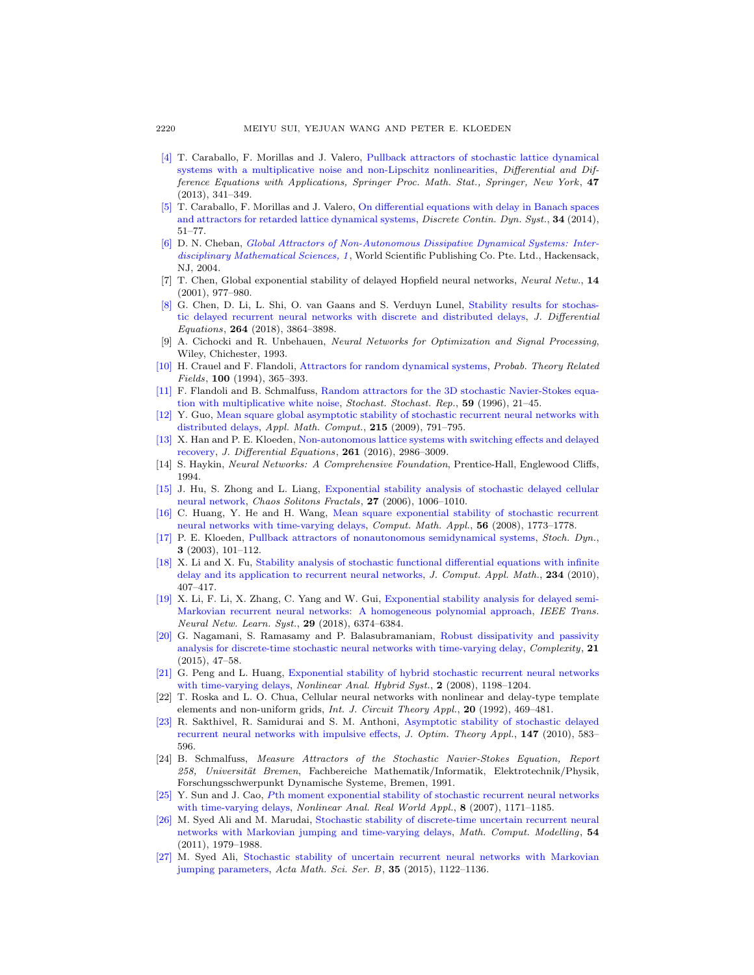- <span id="page-33-16"></span>[\[4\]](http://www.ams.org/mathscinet-getitem?mr=MR3110277&return=pdf) T. Caraballo, F. Morillas and J. Valero, [Pullback attractors of stochastic lattice dynamical](http://dx.doi.org/10.1007/978-1-4614-7333-6_27) [systems with a multiplicative noise and non-Lipschitz nonlinearities,](http://dx.doi.org/10.1007/978-1-4614-7333-6_27) Differential and Difference Equations with Applications, Springer Proc. Math. Stat., Springer, New York, 47 (2013), 341–349.
- <span id="page-33-22"></span>[\[5\]](http://www.ams.org/mathscinet-getitem?mr=MR3072985&return=pdf) T. Caraballo, F. Morillas and J. Valero, [On differential equations with delay in Banach spaces](http://dx.doi.org/10.3934/dcds.2014.34.51) [and attractors for retarded lattice dynamical systems,](http://dx.doi.org/10.3934/dcds.2014.34.51) *Discrete Contin. Dyn. Syst.*, **34** (2014), 51–77.
- [\[6\]](http://www.ams.org/mathscinet-getitem?mr=MR2159669&return=pdf) D. N. Cheban, [Global Attractors of Non-Autonomous Dissipative Dynamical Systems: Inter](http://dx.doi.org/10.1142/9789812563088)[disciplinary Mathematical Sciences, 1](http://dx.doi.org/10.1142/9789812563088) , World Scientific Publishing Co. Pte. Ltd., Hackensack, NJ, 2004.
- <span id="page-33-0"></span>[7] T. Chen, Global exponential stability of delayed Hopfield neural networks, Neural Netw., 14 (2001), 977–980.
- <span id="page-33-7"></span>[\[8\]](http://www.ams.org/mathscinet-getitem?mr=MR3747430&return=pdf) G. Chen, D. Li, L. Shi, O. van Gaans and S. Verduyn Lunel, [Stability results for stochas](http://dx.doi.org/10.1016/j.jde.2017.11.032)[tic delayed recurrent neural networks with discrete and distributed delays,](http://dx.doi.org/10.1016/j.jde.2017.11.032) J. Differential Equations, 264 (2018), 3864–3898.
- <span id="page-33-1"></span>[9] A. Cichocki and R. Unbehauen, Neural Networks for Optimization and Signal Processing, Wiley, Chichester, 1993.
- <span id="page-33-17"></span>[\[10\]](http://www.ams.org/mathscinet-getitem?mr=MR1305587&return=pdf) H. Crauel and F. Flandoli, [Attractors for random dynamical systems,](http://dx.doi.org/10.1007/BF01193705) Probab. Theory Related Fields, 100 (1994), 365–393.
- <span id="page-33-18"></span>[\[11\]](http://www.ams.org/mathscinet-getitem?mr=MR1427258&return=pdf) F. Flandoli and B. Schmalfuss, [Random attractors for the 3D stochastic Navier-Stokes equa](http://dx.doi.org/10.1080/17442509608834083)[tion with multiplicative white noise,](http://dx.doi.org/10.1080/17442509608834083) Stochast. Stochast. Rep.,  $59$  (1996), 21–45.
- <span id="page-33-14"></span>[\[12\]](http://www.ams.org/mathscinet-getitem?mr=MR2561535&return=pdf) Y. Guo, [Mean square global asymptotic stability of stochastic recurrent neural networks with](http://dx.doi.org/10.1016/j.amc.2009.06.002) [distributed delays,](http://dx.doi.org/10.1016/j.amc.2009.06.002) Appl. Math. Comput., 215 (2009), 791-795.
- <span id="page-33-19"></span>[\[13\]](http://www.ams.org/mathscinet-getitem?mr=MR3527620&return=pdf) X. Han and P. E. Kloeden, [Non-autonomous lattice systems with switching effects and delayed](http://dx.doi.org/10.1016/j.jde.2016.05.015) [recovery,](http://dx.doi.org/10.1016/j.jde.2016.05.015) J. Differential Equations, 261 (2016), 2986–3009.
- <span id="page-33-2"></span>[14] S. Haykin, Neural Networks: A Comprehensive Foundation, Prentice-Hall, Englewood Cliffs, 1994.
- <span id="page-33-8"></span>[\[15\]](http://www.ams.org/mathscinet-getitem?mr=MR2166682&return=pdf) J. Hu, S. Zhong and L. Liang, [Exponential stability analysis of stochastic delayed cellular](http://dx.doi.org/10.1016/j.chaos.2005.04.067) [neural network,](http://dx.doi.org/10.1016/j.chaos.2005.04.067) Chaos Solitons Fractals, 27 (2006), 1006–1010.
- <span id="page-33-3"></span>[\[16\]](http://www.ams.org/mathscinet-getitem?mr=MR2445323&return=pdf) C. Huang, Y. He and H. Wang, [Mean square exponential stability of stochastic recurrent](http://dx.doi.org/10.1016/j.camwa.2008.04.004) [neural networks with time-varying delays,](http://dx.doi.org/10.1016/j.camwa.2008.04.004) Comput. Math. Appl., 56 (2008), 1773–1778.
- <span id="page-33-20"></span>[\[17\]](http://www.ams.org/mathscinet-getitem?mr=MR1971189&return=pdf) P. E. Kloeden, [Pullback attractors of nonautonomous semidynamical systems,](http://dx.doi.org/10.1142/S0219493703000632) Stoch. Dyn., 3 (2003), 101–112.
- <span id="page-33-15"></span>[\[18\]](http://www.ams.org/mathscinet-getitem?mr=MR2606685&return=pdf) X. Li and X. Fu, [Stability analysis of stochastic functional differential equations with infinite](http://dx.doi.org/10.1016/j.cam.2009.12.033) [delay and its application to recurrent neural networks,](http://dx.doi.org/10.1016/j.cam.2009.12.033) J. Comput. Appl. Math., 234 (2010), 407–417.
- <span id="page-33-9"></span>[\[19\]](http://www.ams.org/mathscinet-getitem?mr=MR3891707&return=pdf) X. Li, F. Li, X. Zhang, C. Yang and W. Gui, [Exponential stability analysis for delayed semi-](http://dx.doi.org/10.1109/TNNLS.2018.2830789)[Markovian recurrent neural networks: A homogeneous polynomial approach,](http://dx.doi.org/10.1109/TNNLS.2018.2830789) IEEE Trans. Neural Netw. Learn. Syst., 29 (2018), 6374-6384.
- <span id="page-33-6"></span>[\[20\]](http://www.ams.org/mathscinet-getitem?mr=MR3457542&return=pdf) G. Nagamani, S. Ramasamy and P. Balasubramaniam, [Robust dissipativity and passivity](http://dx.doi.org/10.1002/cplx.21614) [analysis for discrete-time stochastic neural networks with time-varying delay,](http://dx.doi.org/10.1002/cplx.21614) Complexity, 21 (2015), 47–58.
- <span id="page-33-10"></span>[\[21\]](http://www.ams.org/mathscinet-getitem?mr=MR2478402&return=pdf) G. Peng and L. Huang, [Exponential stability of hybrid stochastic recurrent neural networks](http://dx.doi.org/10.1016/j.nahs.2008.09.012) [with time-varying delays,](http://dx.doi.org/10.1016/j.nahs.2008.09.012) Nonlinear Anal. Hybrid Syst., 2 (2008), 1198–1204.
- <span id="page-33-4"></span>[22] T. Roska and L. O. Chua, Cellular neural networks with nonlinear and delay-type template elements and non-uniform grids, Int. J. Circuit Theory Appl., 20 (1992), 469-481.
- <span id="page-33-5"></span>[\[23\]](http://www.ams.org/mathscinet-getitem?mr=MR2733995&return=pdf) R. Sakthivel, R. Samidurai and S. M. Anthoni, [Asymptotic stability of stochastic delayed](http://dx.doi.org/10.1007/s10957-010-9728-8) [recurrent neural networks with impulsive effects,](http://dx.doi.org/10.1007/s10957-010-9728-8) J. Optim. Theory Appl., 147 (2010), 583– 596.
- <span id="page-33-21"></span>[24] B. Schmalfuss, Measure Attractors of the Stochastic Navier-Stokes Equation, Report 258, Universität Bremen, Fachbereiche Mathematik/Informatik, Elektrotechnik/Physik, Forschungsschwerpunkt Dynamische Systeme, Bremen, 1991.
- <span id="page-33-11"></span>[\[25\]](http://www.ams.org/mathscinet-getitem?mr=MR2331433&return=pdf) Y. Sun and J. Cao, P[th moment exponential stability of stochastic recurrent neural networks](http://dx.doi.org/10.1016/j.nonrwa.2006.06.009) [with time-varying delays,](http://dx.doi.org/10.1016/j.nonrwa.2006.06.009) Nonlinear Anal. Real World Appl., 8 (2007), 1171-1185.
- <span id="page-33-12"></span>[\[26\]](http://www.ams.org/mathscinet-getitem?mr=MR2834603&return=pdf) M. Syed Ali and M. Marudai, [Stochastic stability of discrete-time uncertain recurrent neural](http://dx.doi.org/10.1016/j.mcm.2011.05.004) [networks with Markovian jumping and time-varying delays,](http://dx.doi.org/10.1016/j.mcm.2011.05.004) Math. Comput. Modelling, 54 (2011), 1979–1988.
- <span id="page-33-13"></span>[\[27\]](http://www.ams.org/mathscinet-getitem?mr=MR3374048&return=pdf) M. Syed Ali, [Stochastic stability of uncertain recurrent neural networks with Markovian](http://dx.doi.org/10.1016/S0252-9602(15)30044-8) [jumping parameters,](http://dx.doi.org/10.1016/S0252-9602(15)30044-8) Acta Math. Sci. Ser. B, 35 (2015), 1122–1136.